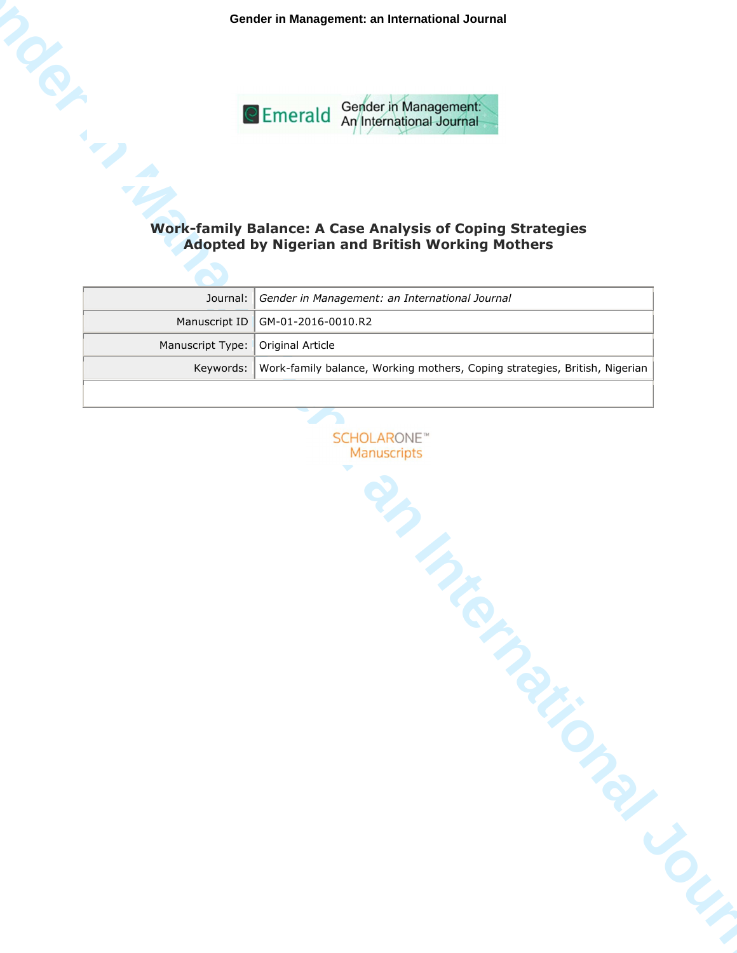**Gender in Management: an International Journal**



# **Adopted by Nigerian and British Working Mothers**

|                                     | Journal: Gender in Management: an International Journal                                |
|-------------------------------------|----------------------------------------------------------------------------------------|
|                                     | Manuscript ID   GM-01-2016-0010.R2                                                     |
| Manuscript Type:   Original Article |                                                                                        |
|                                     | Keywords:   Work-family balance, Working mothers, Coping strategies, British, Nigerian |
|                                     |                                                                                        |

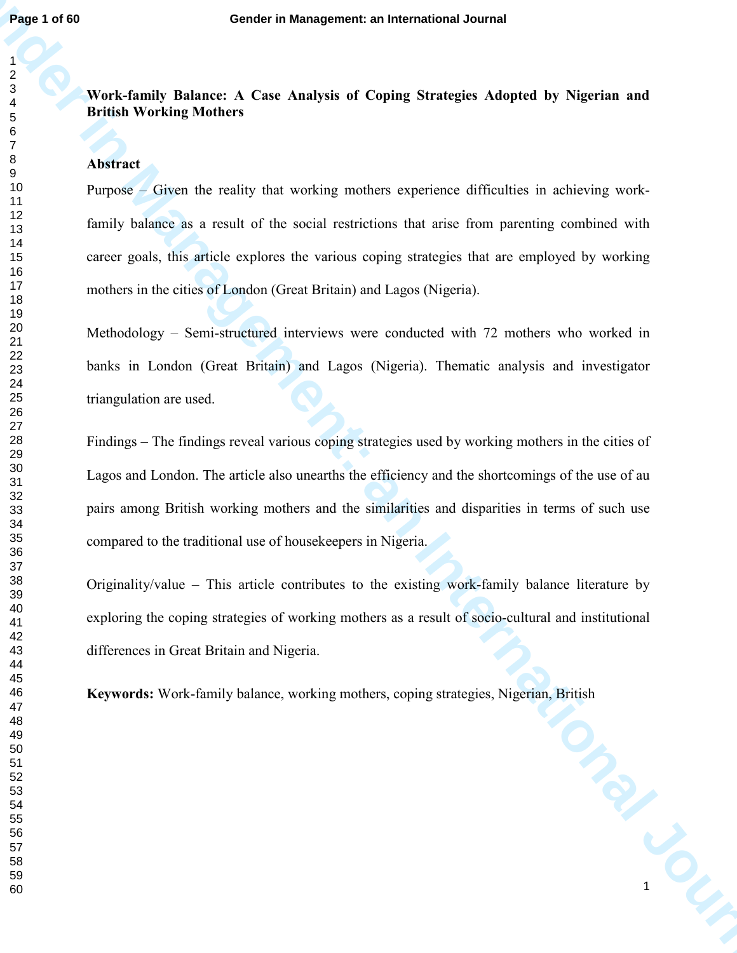#### **Work-family Balance: A Case Analysis of Coping Strategies Adopted by Nigerian and British Working Mothers**

#### **Abstract**

**Fage 1 of EQ**<br> **Gender in Management: an International Journal<br>
<b>Gender in Management:** an International Journal of Management Companies Adapted by Nigerian and<br> **C**<br> **Companies** Cross the reality that were<br> **Companies Co** Purpose – Given the reality that working mothers experience difficulties in achieving workfamily balance as a result of the social restrictions that arise from parenting combined with career goals, this article explores the various coping strategies that are employed by working mothers in the cities of London (Great Britain) and Lagos (Nigeria).

Methodology – Semi-structured interviews were conducted with 72 mothers who worked in banks in London (Great Britain) and Lagos (Nigeria). Thematic analysis and investigator triangulation are used.

Findings – The findings reveal various coping strategies used by working mothers in the cities of Lagos and London. The article also unearths the efficiency and the shortcomings of the use of au pairs among British working mothers and the similarities and disparities in terms of such use compared to the traditional use of housekeepers in Nigeria.

Originality/value – This article contributes to the existing work-family balance literature by exploring the coping strategies of working mothers as a result of socio-cultural and institutional differences in Great Britain and Nigeria.

**Keywords:** Work-family balance, working mothers, coping strategies, Nigerian, British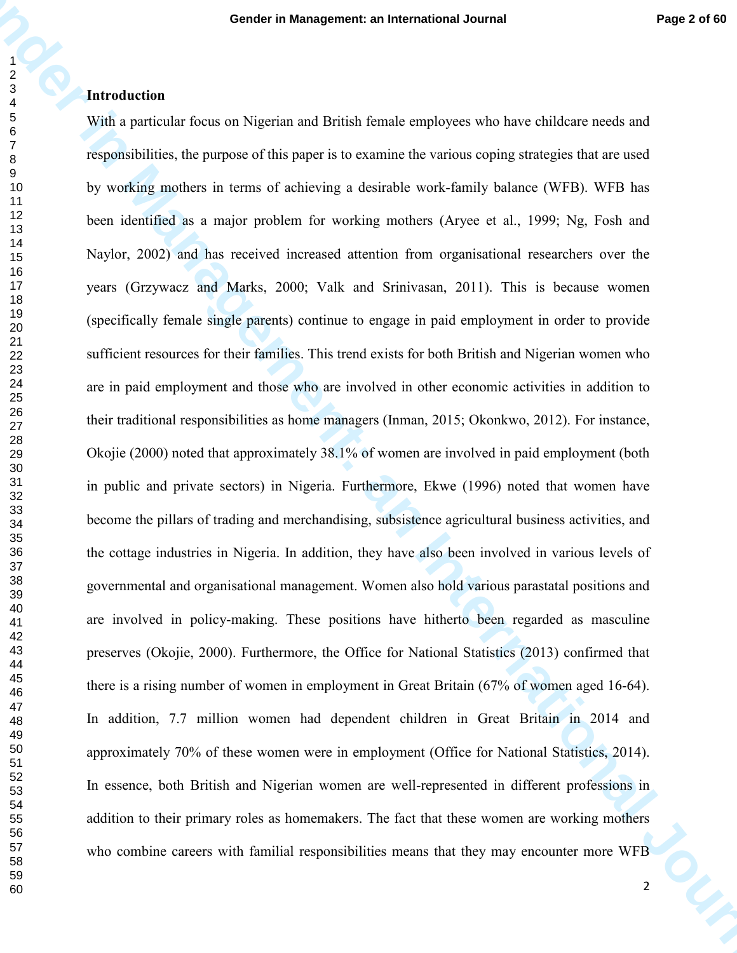#### **Introduction**

**Gender in Management: an International Journal Proposition**<br> **Gender in Management:** and the system and the system of the system of the system of the system of the system of the system of the system of the system of the s With a particular focus on Nigerian and British female employees who have childcare needs and responsibilities, the purpose of this paper is to examine the various coping strategies that are used by working mothers in terms of achieving a desirable work-family balance (WFB). WFB has been identified as a major problem for working mothers (Aryee et al., 1999; Ng, Fosh and Naylor, 2002) and has received increased attention from organisational researchers over the years (Grzywacz and Marks, 2000; Valk and Srinivasan, 2011). This is because women (specifically female single parents) continue to engage in paid employment in order to provide sufficient resources for their families. This trend exists for both British and Nigerian women who are in paid employment and those who are involved in other economic activities in addition to their traditional responsibilities as home managers (Inman, 2015; Okonkwo, 2012). For instance, Okojie (2000) noted that approximately 38.1% of women are involved in paid employment (both in public and private sectors) in Nigeria. Furthermore, Ekwe (1996) noted that women have become the pillars of trading and merchandising, subsistence agricultural business activities, and the cottage industries in Nigeria. In addition, they have also been involved in various levels of governmental and organisational management. Women also hold various parastatal positions and are involved in policy-making. These positions have hitherto been regarded as masculine preserves (Okojie, 2000). Furthermore, the Office for National Statistics (2013) confirmed that there is a rising number of women in employment in Great Britain (67% of women aged 16-64). In addition, 7.7 million women had dependent children in Great Britain in 2014 and approximately 70% of these women were in employment (Office for National Statistics, 2014). In essence, both British and Nigerian women are well-represented in different professions in addition to their primary roles as homemakers. The fact that these women are working mothers who combine careers with familial responsibilities means that they may encounter more WFB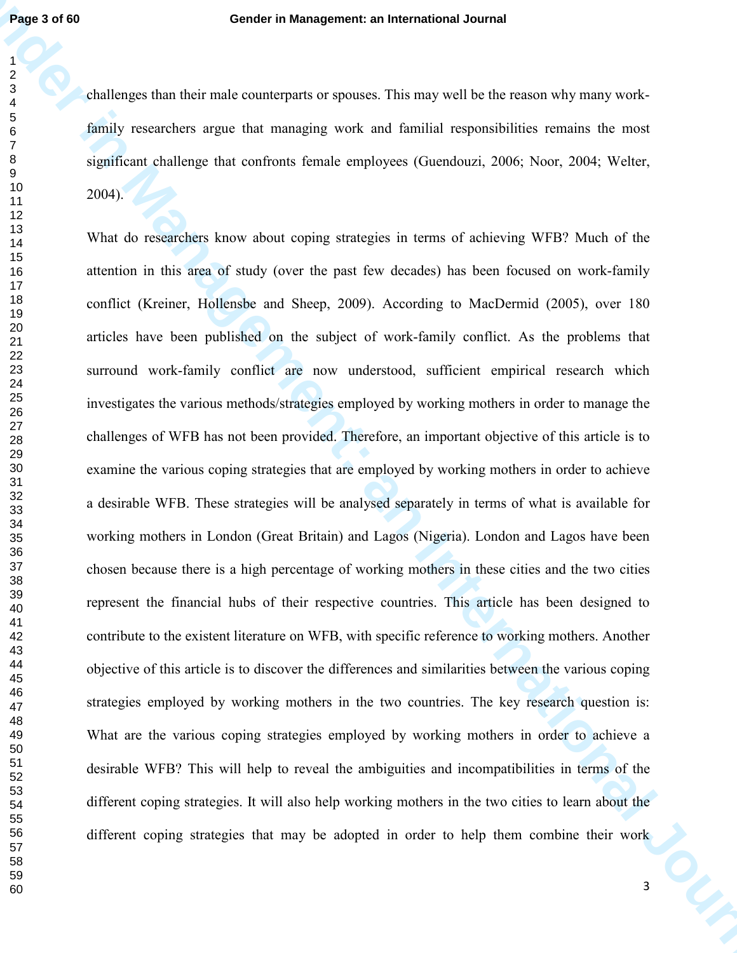challenges than their male counterparts or spouses. This may well be the reason why many workfamily researchers argue that managing work and familial responsibilities remains the most significant challenge that confronts female employees (Guendouzi, 2006; Noor, 2004; Welter, 2004).

**Frage 1 of EQ**<br> **Gender in Management: an International Journal version of the United States and States and States and States and States and States and States and States and States and States and States and States and Sta** What do researchers know about coping strategies in terms of achieving WFB? Much of the attention in this area of study (over the past few decades) has been focused on work-family conflict (Kreiner, Hollensbe and Sheep, 2009). According to MacDermid (2005), over 180 articles have been published on the subject of work-family conflict. As the problems that surround work-family conflict are now understood, sufficient empirical research which investigates the various methods/strategies employed by working mothers in order to manage the challenges of WFB has not been provided. Therefore, an important objective of this article is to examine the various coping strategies that are employed by working mothers in order to achieve a desirable WFB. These strategies will be analysed separately in terms of what is available for working mothers in London (Great Britain) and Lagos (Nigeria). London and Lagos have been chosen because there is a high percentage of working mothers in these cities and the two cities represent the financial hubs of their respective countries. This article has been designed to contribute to the existent literature on WFB, with specific reference to working mothers. Another objective of this article is to discover the differences and similarities between the various coping strategies employed by working mothers in the two countries. The key research question is: What are the various coping strategies employed by working mothers in order to achieve a desirable WFB? This will help to reveal the ambiguities and incompatibilities in terms of the different coping strategies. It will also help working mothers in the two cities to learn about the different coping strategies that may be adopted in order to help them combine their work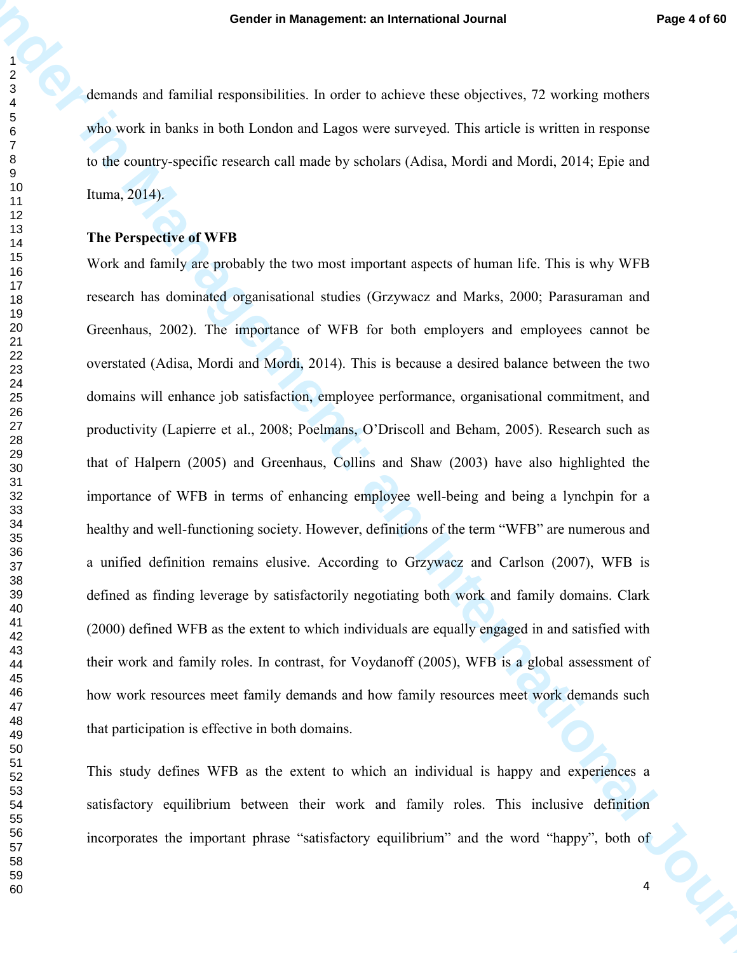demands and familial responsibilities. In order to achieve these objectives, 72 working mothers who work in banks in both London and Lagos were surveyed. This article is written in response to the country-specific research call made by scholars (Adisa, Mordi and Mordi, 2014; Epie and Ituma, 2014).

#### **The Perspective of WFB**

**Gender in Management: an International Journal Page 4 of 60**<br> **Gender in Management:** an International Journal Tage is a subset of the subset of the subset of the subset of the subset of the subset of the subset of the su Work and family are probably the two most important aspects of human life. This is why WFB research has dominated organisational studies (Grzywacz and Marks, 2000; Parasuraman and Greenhaus, 2002). The importance of WFB for both employers and employees cannot be overstated (Adisa, Mordi and Mordi, 2014). This is because a desired balance between the two domains will enhance job satisfaction, employee performance, organisational commitment, and productivity (Lapierre et al., 2008; Poelmans, O'Driscoll and Beham, 2005). Research such as that of Halpern (2005) and Greenhaus, Collins and Shaw (2003) have also highlighted the importance of WFB in terms of enhancing employee well-being and being a lynchpin for a healthy and well-functioning society. However, definitions of the term "WFB" are numerous and a unified definition remains elusive. According to Grzywacz and Carlson (2007), WFB is defined as finding leverage by satisfactorily negotiating both work and family domains. Clark (2000) defined WFB as the extent to which individuals are equally engaged in and satisfied with their work and family roles. In contrast, for Voydanoff (2005), WFB is a global assessment of how work resources meet family demands and how family resources meet work demands such that participation is effective in both domains.

This study defines WFB as the extent to which an individual is happy and experiences a satisfactory equilibrium between their work and family roles. This inclusive definition incorporates the important phrase "satisfactory equilibrium" and the word "happy", both of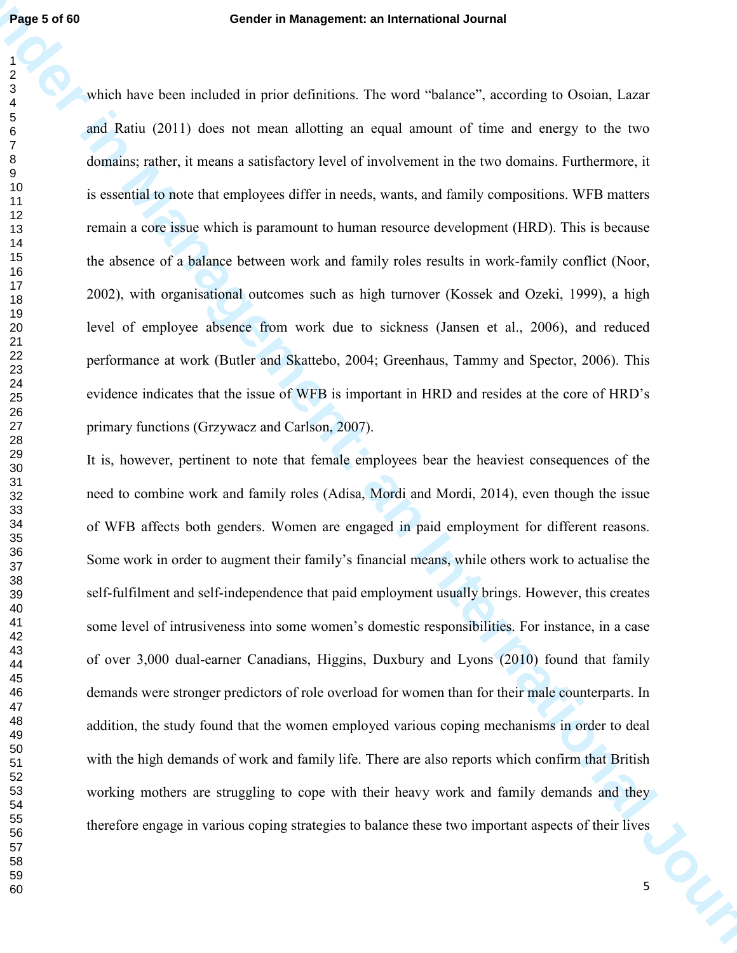which have been included in prior definitions. The word "balance", according to Osoian, Lazar and Ratiu (2011) does not mean allotting an equal amount of time and energy to the two domains; rather, it means a satisfactory level of involvement in the two domains. Furthermore, it is essential to note that employees differ in needs, wants, and family compositions. WFB matters remain a core issue which is paramount to human resource development (HRD). This is because the absence of a balance between work and family roles results in work-family conflict (Noor, 2002), with organisational outcomes such as high turnover (Kossek and Ozeki, 1999), a high level of employee absence from work due to sickness (Jansen et al., 2006), and reduced performance at work (Butler and Skattebo, 2004; Greenhaus, Tammy and Spector, 2006). This evidence indicates that the issue of WFB is important in HRD and resides at the core of HRD's primary functions (Grzywacz and Carlson, 2007).

**Frage 5 of 60**<br> **Gender in Management: an International Journal (10)**<br> **Gender in Management:** an International Volvoid Theoretical Company is the two declines that the studies of the studies of the studies of the studies It is, however, pertinent to note that female employees bear the heaviest consequences of the need to combine work and family roles (Adisa, Mordi and Mordi, 2014), even though the issue of WFB affects both genders. Women are engaged in paid employment for different reasons. Some work in order to augment their family's financial means, while others work to actualise the self-fulfilment and self-independence that paid employment usually brings. However, this creates some level of intrusiveness into some women's domestic responsibilities. For instance, in a case of over 3,000 dual-earner Canadians, Higgins, Duxbury and Lyons (2010) found that family demands were stronger predictors of role overload for women than for their male counterparts. In addition, the study found that the women employed various coping mechanisms in order to deal with the high demands of work and family life. There are also reports which confirm that British working mothers are struggling to cope with their heavy work and family demands and they therefore engage in various coping strategies to balance these two important aspects of their lives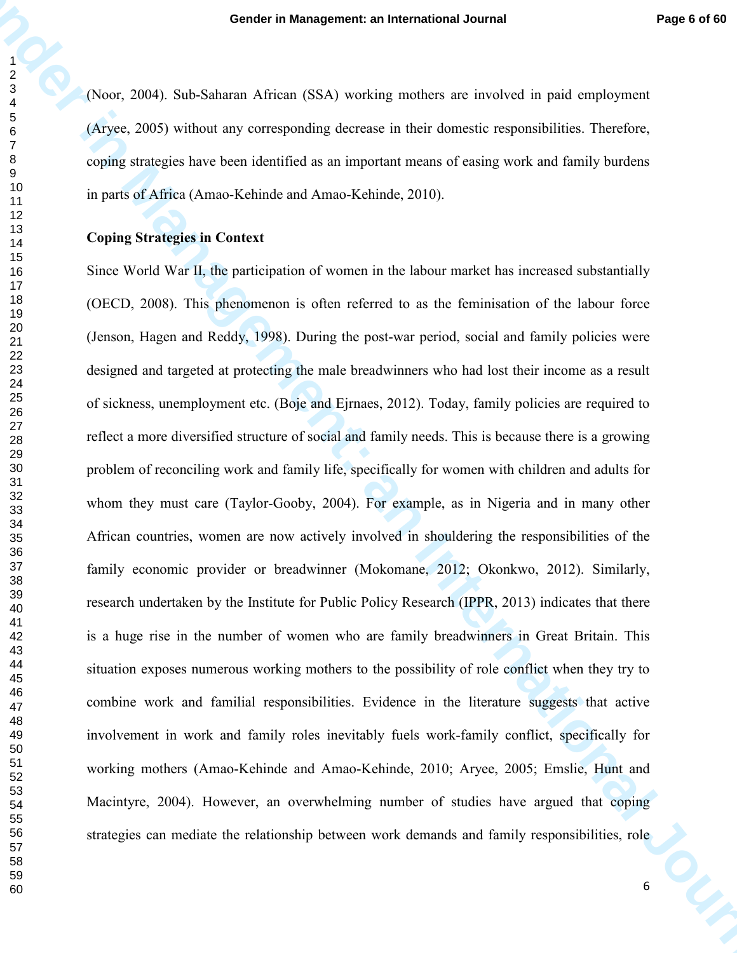(Noor, 2004). Sub-Saharan African (SSA) working mothers are involved in paid employment (Aryee, 2005) without any corresponding decrease in their domestic responsibilities. Therefore, coping strategies have been identified as an important means of easing work and family burdens in parts of Africa (Amao-Kehinde and Amao-Kehinde, 2010).

#### **Coping Strategies in Context**

**Gender in Management: an International Journal Page 6 of total<br>
2 Cours, 2006), Schif-Malaram Alboard (SSA) woulding mathes are involved in paid compleyment<br>
2 Course 2008) without any interneteding decrease in the dimens** Since World War II, the participation of women in the labour market has increased substantially (OECD, 2008). This phenomenon is often referred to as the feminisation of the labour force (Jenson, Hagen and Reddy, 1998). During the post-war period, social and family policies were designed and targeted at protecting the male breadwinners who had lost their income as a result of sickness, unemployment etc. (Boje and Ejrnaes, 2012). Today, family policies are required to reflect a more diversified structure of social and family needs. This is because there is a growing problem of reconciling work and family life, specifically for women with children and adults for whom they must care (Taylor-Gooby, 2004). For example, as in Nigeria and in many other African countries, women are now actively involved in shouldering the responsibilities of the family economic provider or breadwinner (Mokomane, 2012; Okonkwo, 2012). Similarly, research undertaken by the Institute for Public Policy Research (IPPR, 2013) indicates that there is a huge rise in the number of women who are family breadwinners in Great Britain. This situation exposes numerous working mothers to the possibility of role conflict when they try to combine work and familial responsibilities. Evidence in the literature suggests that active involvement in work and family roles inevitably fuels work-family conflict, specifically for working mothers (Amao-Kehinde and Amao-Kehinde, 2010; Aryee, 2005; Emslie, Hunt and Macintyre, 2004). However, an overwhelming number of studies have argued that coping strategies can mediate the relationship between work demands and family responsibilities, role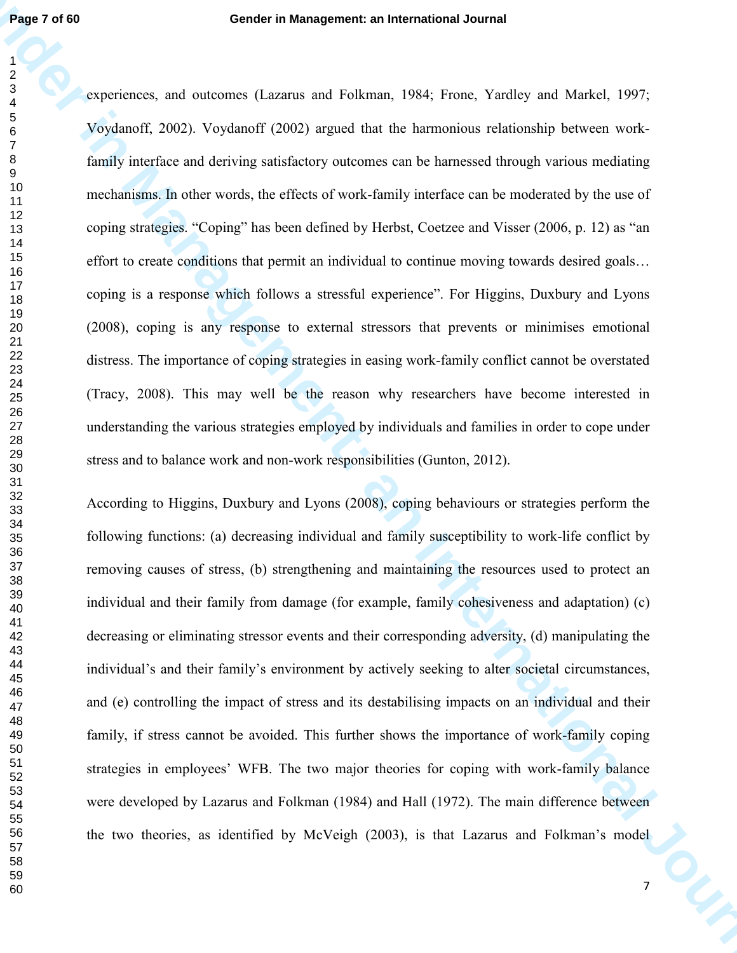**Frogs 7 of 60**<br>**Gender in Management: an International Journal**<br> **Gender in Management:** and Indicates Theorem Yank Point Yank Point Contact The Contact Theorem international Points with the Contact Theorem in the barrows experiences, and outcomes (Lazarus and Folkman, 1984; Frone, Yardley and Markel, 1997; Voydanoff, 2002). Voydanoff (2002) argued that the harmonious relationship between workfamily interface and deriving satisfactory outcomes can be harnessed through various mediating mechanisms. In other words, the effects of work-family interface can be moderated by the use of coping strategies. "Coping" has been defined by Herbst, Coetzee and Visser (2006, p. 12) as "an effort to create conditions that permit an individual to continue moving towards desired goals… coping is a response which follows a stressful experience". For Higgins, Duxbury and Lyons (2008), coping is any response to external stressors that prevents or minimises emotional distress. The importance of coping strategies in easing work-family conflict cannot be overstated (Tracy, 2008). This may well be the reason why researchers have become interested in understanding the various strategies employed by individuals and families in order to cope under stress and to balance work and non-work responsibilities (Gunton, 2012).

According to Higgins, Duxbury and Lyons (2008), coping behaviours or strategies perform the following functions: (a) decreasing individual and family susceptibility to work-life conflict by removing causes of stress, (b) strengthening and maintaining the resources used to protect an individual and their family from damage (for example, family cohesiveness and adaptation) (c) decreasing or eliminating stressor events and their corresponding adversity, (d) manipulating the individual's and their family's environment by actively seeking to alter societal circumstances, and (e) controlling the impact of stress and its destabilising impacts on an individual and their family, if stress cannot be avoided. This further shows the importance of work-family coping strategies in employees' WFB. The two major theories for coping with work-family balance were developed by Lazarus and Folkman (1984) and Hall (1972). The main difference between the two theories, as identified by McVeigh (2003), is that Lazarus and Folkman's model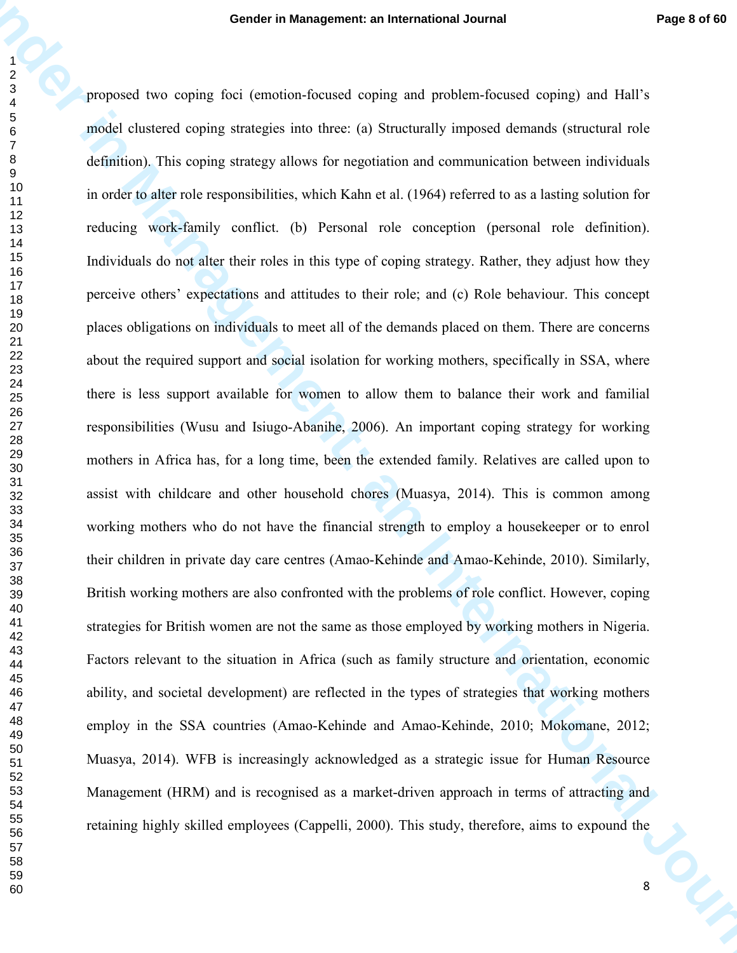**Gender in Management: an International Journal Properties and the properties and properties and the properties and the small of the small of the small of the small state of the small of the small state of the small state** proposed two coping foci (emotion-focused coping and problem-focused coping) and Hall's model clustered coping strategies into three: (a) Structurally imposed demands (structural role definition). This coping strategy allows for negotiation and communication between individuals in order to alter role responsibilities, which Kahn et al. (1964) referred to as a lasting solution for reducing work-family conflict. (b) Personal role conception (personal role definition). Individuals do not alter their roles in this type of coping strategy. Rather, they adjust how they perceive others' expectations and attitudes to their role; and (c) Role behaviour. This concept places obligations on individuals to meet all of the demands placed on them. There are concerns about the required support and social isolation for working mothers, specifically in SSA, where there is less support available for women to allow them to balance their work and familial responsibilities (Wusu and Isiugo-Abanihe, 2006). An important coping strategy for working mothers in Africa has, for a long time, been the extended family. Relatives are called upon to assist with childcare and other household chores (Muasya, 2014). This is common among working mothers who do not have the financial strength to employ a housekeeper or to enrol their children in private day care centres (Amao-Kehinde and Amao-Kehinde, 2010). Similarly, British working mothers are also confronted with the problems of role conflict. However, coping strategies for British women are not the same as those employed by working mothers in Nigeria. Factors relevant to the situation in Africa (such as family structure and orientation, economic ability, and societal development) are reflected in the types of strategies that working mothers employ in the SSA countries (Amao-Kehinde and Amao-Kehinde, 2010; Mokomane, 2012; Muasya, 2014). WFB is increasingly acknowledged as a strategic issue for Human Resource Management (HRM) and is recognised as a market-driven approach in terms of attracting and retaining highly skilled employees (Cappelli, 2000). This study, therefore, aims to expound the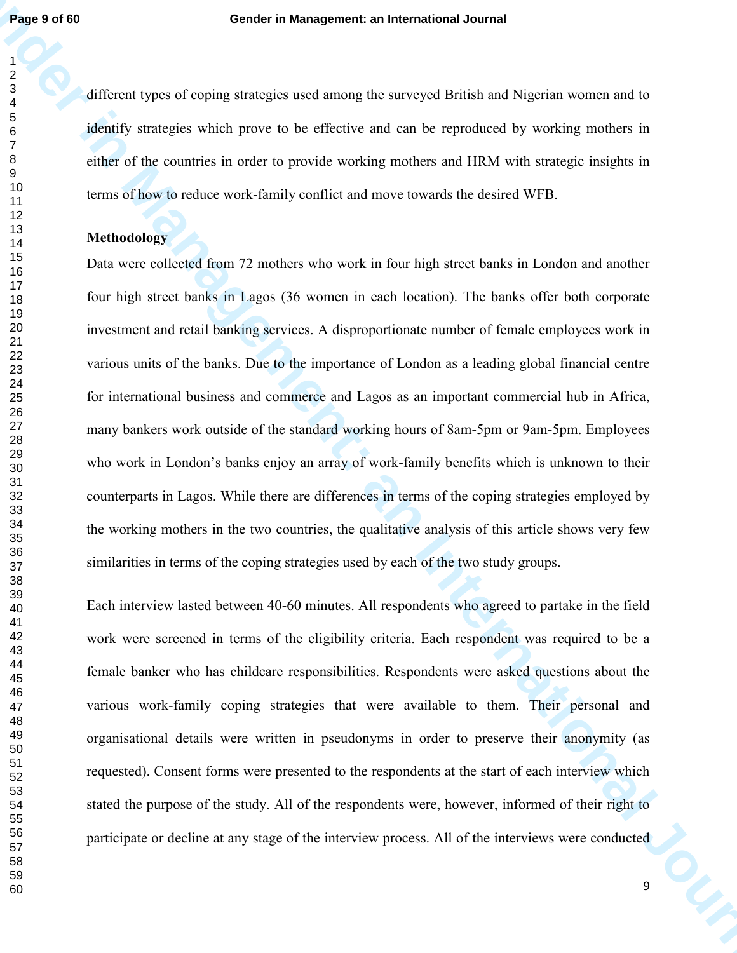different types of coping strategies used among the surveyed British and Nigerian women and to identify strategies which prove to be effective and can be reproduced by working mothers in either of the countries in order to provide working mothers and HRM with strategic insights in terms of how to reduce work-family conflict and move towards the desired WFB.

#### **Methodology**

**Frage 1 of EQ**<br> **Gender in Management: an International Journal is a different internal of the strength of the contribution of the contribution of the contribution of the contribution of the contribution of the contributi** Data were collected from 72 mothers who work in four high street banks in London and another four high street banks in Lagos (36 women in each location). The banks offer both corporate investment and retail banking services. A disproportionate number of female employees work in various units of the banks. Due to the importance of London as a leading global financial centre for international business and commerce and Lagos as an important commercial hub in Africa, many bankers work outside of the standard working hours of 8am-5pm or 9am-5pm. Employees who work in London's banks enjoy an array of work-family benefits which is unknown to their counterparts in Lagos. While there are differences in terms of the coping strategies employed by the working mothers in the two countries, the qualitative analysis of this article shows very few similarities in terms of the coping strategies used by each of the two study groups.

Each interview lasted between 40-60 minutes. All respondents who agreed to partake in the field work were screened in terms of the eligibility criteria. Each respondent was required to be a female banker who has childcare responsibilities. Respondents were asked questions about the various work-family coping strategies that were available to them. Their personal and organisational details were written in pseudonyms in order to preserve their anonymity (as requested). Consent forms were presented to the respondents at the start of each interview which stated the purpose of the study. All of the respondents were, however, informed of their right to participate or decline at any stage of the interview process. All of the interviews were conducted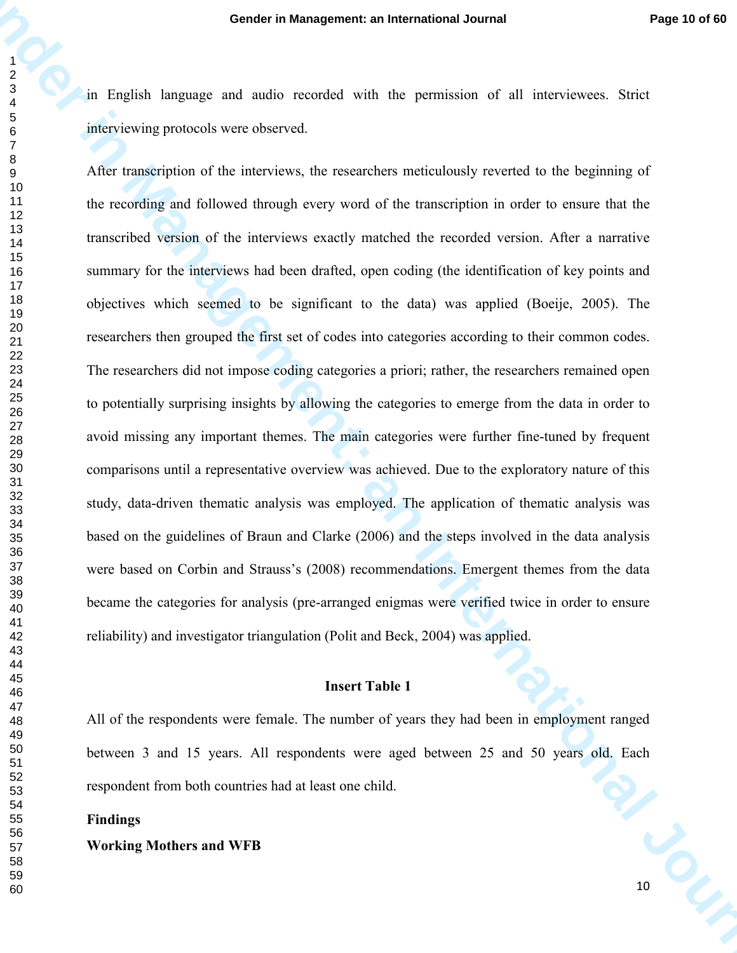in English language and audio recorded with the permission of all interviewees. Strict interviewing protocols were observed.

**Gender in Management: an International Journal Proper Constrained Sound Properties and the permission of all interviewers. Nuntil the difference of the interviewer of the interviewer of the interviewer of the interviewer** After transcription of the interviews, the researchers meticulously reverted to the beginning of the recording and followed through every word of the transcription in order to ensure that the transcribed version of the interviews exactly matched the recorded version. After a narrative summary for the interviews had been drafted, open coding (the identification of key points and objectives which seemed to be significant to the data) was applied (Boeije, 2005). The researchers then grouped the first set of codes into categories according to their common codes. The researchers did not impose coding categories a priori; rather, the researchers remained open to potentially surprising insights by allowing the categories to emerge from the data in order to avoid missing any important themes. The main categories were further fine-tuned by frequent comparisons until a representative overview was achieved. Due to the exploratory nature of this study, data-driven thematic analysis was employed. The application of thematic analysis was based on the guidelines of Braun and Clarke (2006) and the steps involved in the data analysis were based on Corbin and Strauss's (2008) recommendations. Emergent themes from the data became the categories for analysis (pre-arranged enigmas were verified twice in order to ensure reliability) and investigator triangulation (Polit and Beck, 2004) was applied.

#### **Insert Table 1**

1 Long All of the respondents were female. The number of years they had been in employment ranged between 3 and 15 years. All respondents were aged between 25 and 50 years old. Each respondent from both countries had at least one child.

**Findings** 

**Working Mothers and WFB**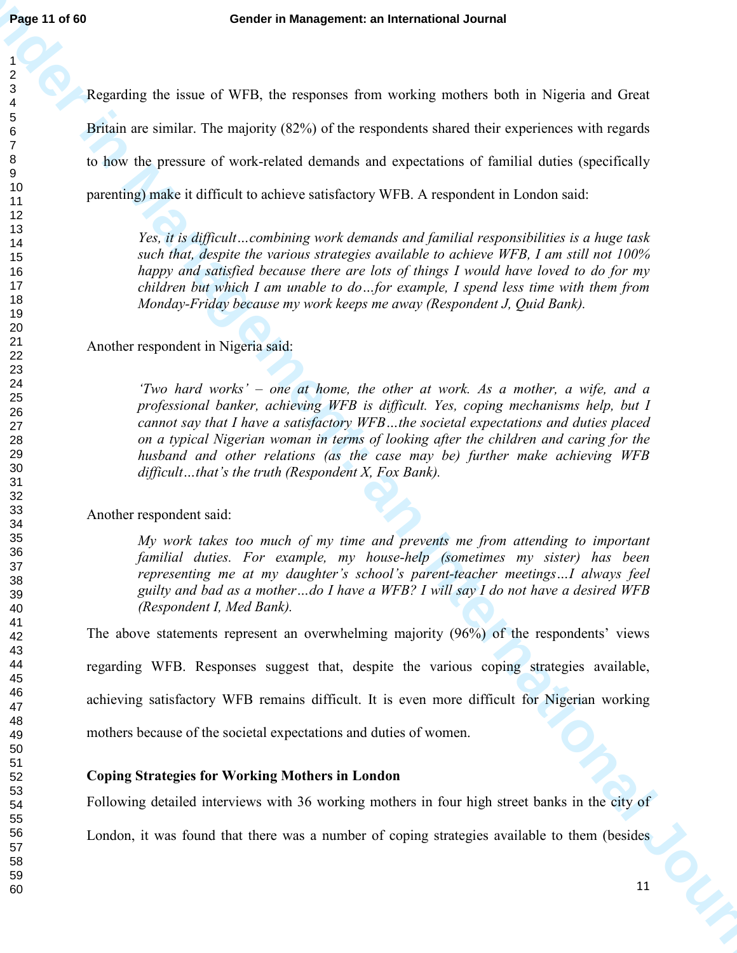**Frogs 11 of 60**<br>**Gendering** the two-or of W19. By response from venturing modesn botti in Nigeria and Creative<br>  $\frac{2}{5}$ <br> **Gendering the two-or of W19. By response from venturing modesn botti in Nigeria and Creative<br> \** Regarding the issue of WFB, the responses from working mothers both in Nigeria and Great Britain are similar. The majority (82%) of the respondents shared their experiences with regards to how the pressure of work-related demands and expectations of familial duties (specifically parenting) make it difficult to achieve satisfactory WFB. A respondent in London said:

*Yes, it is difficult…combining work demands and familial responsibilities is a huge task such that, despite the various strategies available to achieve WFB, I am still not 100% happy and satisfied because there are lots of things I would have loved to do for my children but which I am unable to do…for example, I spend less time with them from Monday-Friday because my work keeps me away (Respondent J, Quid Bank).* 

Another respondent in Nigeria said:

*'Two hard works' – one at home, the other at work. As a mother, a wife, and a professional banker, achieving WFB is difficult. Yes, coping mechanisms help, but I cannot say that I have a satisfactory WFB…the societal expectations and duties placed on a typical Nigerian woman in terms of looking after the children and caring for the husband and other relations (as the case may be) further make achieving WFB difficult…that's the truth (Respondent X, Fox Bank).* 

Another respondent said:

*My work takes too much of my time and prevents me from attending to important familial duties. For example, my house-help (sometimes my sister) has been representing me at my daughter's school's parent-teacher meetings…I always feel guilty and bad as a mother…do I have a WFB? I will say I do not have a desired WFB (Respondent I, Med Bank).* 

The above statements represent an overwhelming majority (96%) of the respondents' views regarding WFB. Responses suggest that, despite the various coping strategies available, achieving satisfactory WFB remains difficult. It is even more difficult for Nigerian working mothers because of the societal expectations and duties of women.

#### **Coping Strategies for Working Mothers in London**

Following detailed interviews with 36 working mothers in four high street banks in the city of

London, it was found that there was a number of coping strategies available to them (besides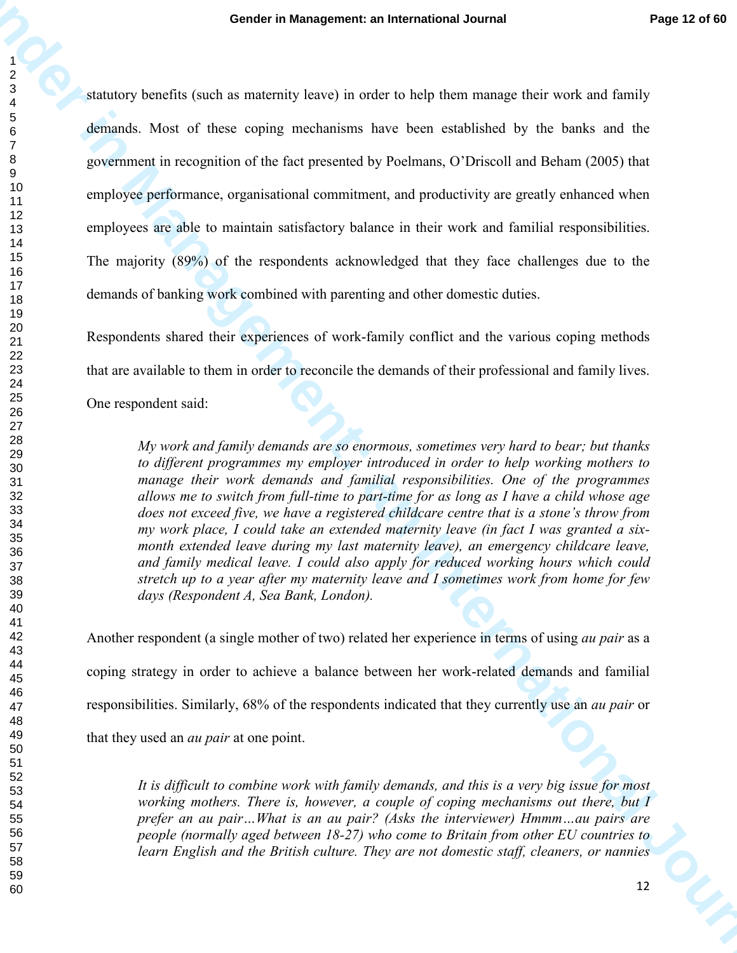**Gender in Management: an International Journal Page 12 of 60**<br> **Gender in Management:** A statistic (vech as maintring leave) in under tail for the international Journal Earthly<br> **Generalis.** Man, all these expressions res statutory benefits (such as maternity leave) in order to help them manage their work and family demands. Most of these coping mechanisms have been established by the banks and the government in recognition of the fact presented by Poelmans, O'Driscoll and Beham (2005) that employee performance, organisational commitment, and productivity are greatly enhanced when employees are able to maintain satisfactory balance in their work and familial responsibilities. The majority (89%) of the respondents acknowledged that they face challenges due to the demands of banking work combined with parenting and other domestic duties.

Respondents shared their experiences of work-family conflict and the various coping methods that are available to them in order to reconcile the demands of their professional and family lives. One respondent said:

*My work and family demands are so enormous, sometimes very hard to bear; but thanks to different programmes my employer introduced in order to help working mothers to manage their work demands and familial responsibilities. One of the programmes allows me to switch from full-time to part-time for as long as I have a child whose age does not exceed five, we have a registered childcare centre that is a stone's throw from my work place, I could take an extended maternity leave (in fact I was granted a sixmonth extended leave during my last maternity leave), an emergency childcare leave, and family medical leave. I could also apply for reduced working hours which could stretch up to a year after my maternity leave and I sometimes work from home for few days (Respondent A, Sea Bank, London).* 

Another respondent (a single mother of two) related her experience in terms of using *au pair* as a coping strategy in order to achieve a balance between her work-related demands and familial responsibilities. Similarly, 68% of the respondents indicated that they currently use an *au pair* or that they used an *au pair* at one point.

*It is difficult to combine work with family demands, and this is a very big issue for most working mothers. There is, however, a couple of coping mechanisms out there, but I prefer an au pair…What is an au pair? (Asks the interviewer) Hmmm…au pairs are people (normally aged between 18-27) who come to Britain from other EU countries to learn English and the British culture. They are not domestic staff, cleaners, or nannies*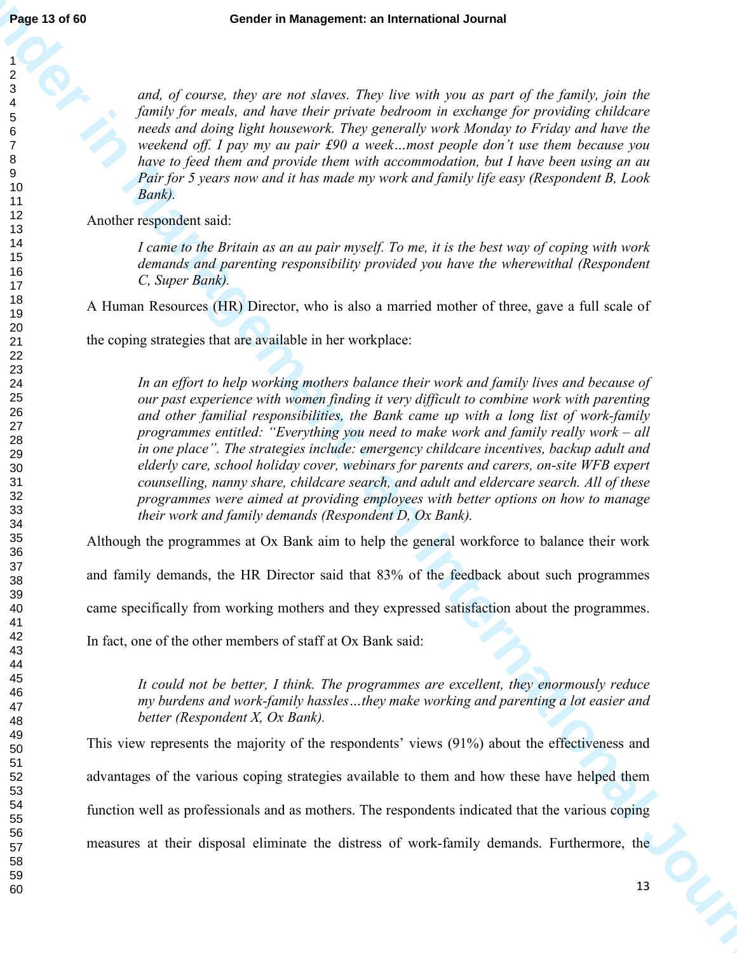*and, of course, they are not slaves. They live with you as part of the family, join the family for meals, and have their private bedroom in exchange for providing childcare needs and doing light housework. They generally work Monday to Friday and have the weekend off. I pay my au pair £90 a week…most people don't use them because you have to feed them and provide them with accommodation, but I have been using an au Pair for 5 years now and it has made my work and family life easy (Respondent B, Look Bank).* 

Another respondent said:

*I came to the Britain as an au pair myself. To me, it is the best way of coping with work demands and parenting responsibility provided you have the wherewithal (Respondent C, Super Bank).* 

A Human Resources (HR) Director, who is also a married mother of three, gave a full scale of

the coping strategies that are available in her workplace:

**Froge 13 of 60**<br> **Gender in Management: an International Journal particular is a method of the function of the function function**  $\frac{2}{5}$  **and the continue of the particular international Journal of the particular interna** *In an effort to help working mothers balance their work and family lives and because of our past experience with women finding it very difficult to combine work with parenting and other familial responsibilities, the Bank came up with a long list of work-family programmes entitled: "Everything you need to make work and family really work – all in one place". The strategies include: emergency childcare incentives, backup adult and elderly care, school holiday cover, webinars for parents and carers, on-site WFB expert counselling, nanny share, childcare search, and adult and eldercare search. All of these programmes were aimed at providing employees with better options on how to manage their work and family demands (Respondent D, Ox Bank).* 

Although the programmes at Ox Bank aim to help the general workforce to balance their work

and family demands, the HR Director said that 83% of the feedback about such programmes

came specifically from working mothers and they expressed satisfaction about the programmes.

In fact, one of the other members of staff at Ox Bank said:

*It could not be better, I think. The programmes are excellent, they enormously reduce my burdens and work-family hassles…they make working and parenting a lot easier and better (Respondent X, Ox Bank).* 

This view represents the majority of the respondents' views (91%) about the effectiveness and advantages of the various coping strategies available to them and how these have helped them function well as professionals and as mothers. The respondents indicated that the various coping measures at their disposal eliminate the distress of work-family demands. Furthermore, the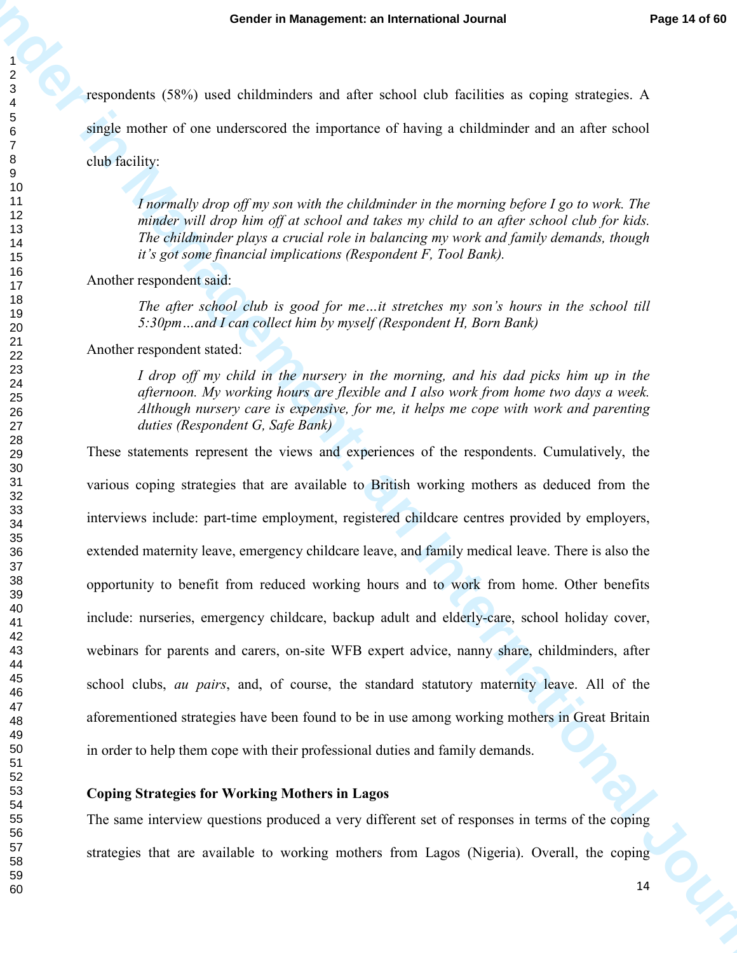respondents (58%) used childminders and after school club facilities as coping strategies. A single mother of one underscored the importance of having a childminder and an after school club facility:

*I normally drop off my son with the childminder in the morning before I go to work. The minder will drop him off at school and takes my child to an after school club for kids. The childminder plays a crucial role in balancing my work and family demands, though it's got some financial implications (Respondent F, Tool Bank).* 

Another respondent said:

*The after school club is good for me…it stretches my son's hours in the school till 5:30pm…and I can collect him by myself (Respondent H, Born Bank)* 

Another respondent stated:

*I drop off my child in the nursery in the morning, and his dad picks him up in the afternoon. My working hours are flexible and I also work from home two days a week. Although nursery care is expensive, for me, it helps me cope with work and parenting duties (Respondent G, Safe Bank)* 

**Gender in Management: an International Journal Progression**<br> **Gender in Management:** and also solind table lacking a strigger A strigger of the results of the strigger of the original of the string and the string a string These statements represent the views and experiences of the respondents. Cumulatively, the various coping strategies that are available to British working mothers as deduced from the interviews include: part-time employment, registered childcare centres provided by employers, extended maternity leave, emergency childcare leave, and family medical leave. There is also the opportunity to benefit from reduced working hours and to work from home. Other benefits include: nurseries, emergency childcare, backup adult and elderly-care, school holiday cover, webinars for parents and carers, on-site WFB expert advice, nanny share, childminders, after school clubs, *au pairs*, and, of course, the standard statutory maternity leave. All of the aforementioned strategies have been found to be in use among working mothers in Great Britain in order to help them cope with their professional duties and family demands.

#### **Coping Strategies for Working Mothers in Lagos**

The same interview questions produced a very different set of responses in terms of the coping strategies that are available to working mothers from Lagos (Nigeria). Overall, the coping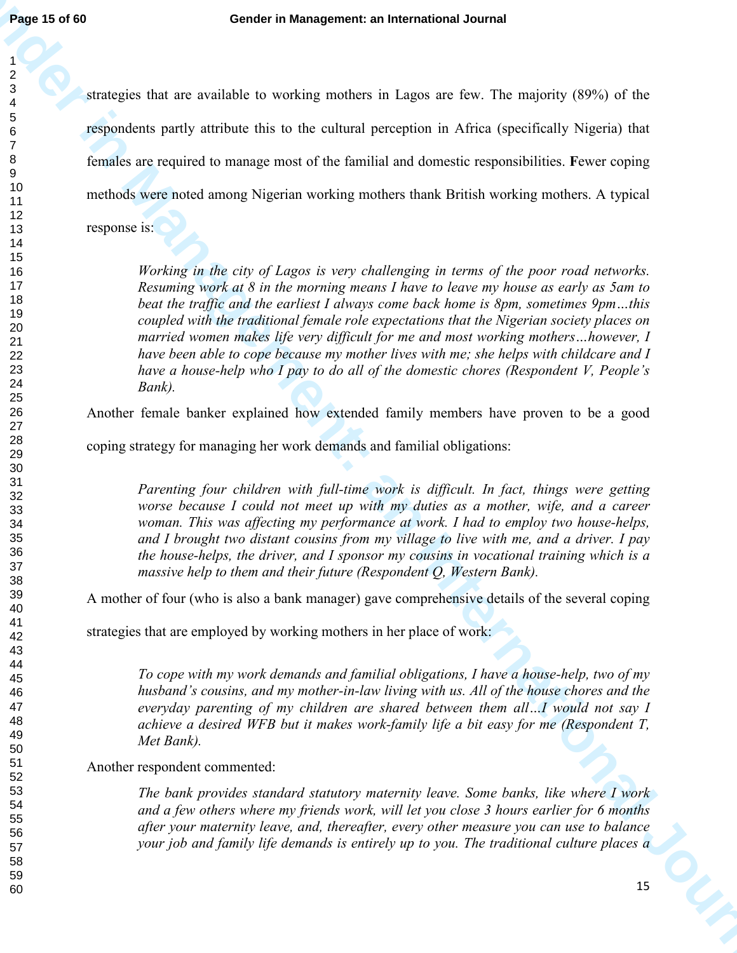**Froge 15 of 63**<br> **Gender in Management: an International Journal 16**<br> **Gender in Management:** an International Journal 16 of the state of the state of the state of the state of the state of the state of the state of the s strategies that are available to working mothers in Lagos are few. The majority (89%) of the respondents partly attribute this to the cultural perception in Africa (specifically Nigeria) that females are required to manage most of the familial and domestic responsibilities. **F**ewer coping methods were noted among Nigerian working mothers thank British working mothers. A typical response is:

*Working in the city of Lagos is very challenging in terms of the poor road networks. Resuming work at 8 in the morning means I have to leave my house as early as 5am to beat the traffic and the earliest I always come back home is 8pm, sometimes 9pm…this coupled with the traditional female role expectations that the Nigerian society places on married women makes life very difficult for me and most working mothers...however, I have been able to cope because my mother lives with me; she helps with childcare and I have a house-help who I pay to do all of the domestic chores (Respondent V, People's Bank).* 

Another female banker explained how extended family members have proven to be a good

coping strategy for managing her work demands and familial obligations:

*Parenting four children with full-time work is difficult. In fact, things were getting worse because I could not meet up with my duties as a mother, wife, and a career woman. This was affecting my performance at work. I had to employ two house-helps, and I brought two distant cousins from my village to live with me, and a driver. I pay the house-helps, the driver, and I sponsor my cousins in vocational training which is a massive help to them and their future (Respondent Q, Western Bank).* 

A mother of four (who is also a bank manager) gave comprehensive details of the several coping

strategies that are employed by working mothers in her place of work:

*To cope with my work demands and familial obligations, I have a house-help, two of my husband's cousins, and my mother-in-law living with us. All of the house chores and the everyday parenting of my children are shared between them all…I would not say I achieve a desired WFB but it makes work-family life a bit easy for me (Respondent T, Met Bank).* 

Another respondent commented:

*The bank provides standard statutory maternity leave. Some banks, like where I work and a few others where my friends work, will let you close 3 hours earlier for 6 months after your maternity leave, and, thereafter, every other measure you can use to balance your job and family life demands is entirely up to you. The traditional culture places a*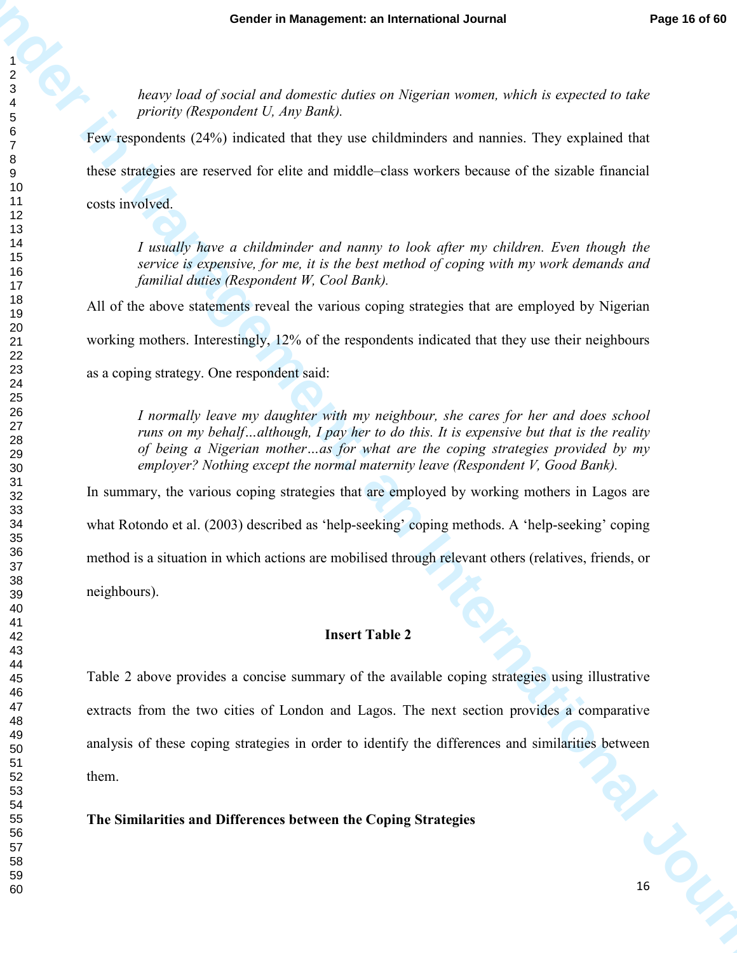*heavy load of social and domestic duties on Nigerian women, which is expected to take priority (Respondent U, Any Bank).* 

Few respondents (24%) indicated that they use childminders and nannies. They explained that

these strategies are reserved for elite and middle–class workers because of the sizable financial

costs involved.

*I usually have a childminder and nanny to look after my children. Even though the service is expensive, for me, it is the best method of coping with my work demands and familial duties (Respondent W, Cool Bank).* 

All of the above statements reveal the various coping strategies that are employed by Nigerian

working mothers. Interestingly, 12% of the respondents indicated that they use their neighbours

as a coping strategy. One respondent said:

*I normally leave my daughter with my neighbour, she cares for her and does school runs on my behalf…although, I pay her to do this. It is expensive but that is the reality of being a Nigerian mother…as for what are the coping strategies provided by my employer? Nothing except the normal maternity leave (Respondent V, Good Bank).* 

In summary, the various coping strategies that are employed by working mothers in Lagos are

what Rotondo et al. (2003) described as 'help-seeking' coping methods. A 'help-seeking' coping

method is a situation in which actions are mobilised through relevant others (relatives, friends, or neighbours).

#### **Insert Table 2**

**Gender in Management: an International Journal Proper is and the properties** on the second to the second the second to the proper international Anti-<br> **Example 18**<br> **Example 18**<br> **Example 18**<br> **Example 18**<br> **Example 18**<br> Table 2 above provides a concise summary of the available coping strategies using illustrative extracts from the two cities of London and Lagos. The next section provides a comparative analysis of these coping strategies in order to identify the differences and similarities between them.

**The Similarities and Differences between the Coping Strategies**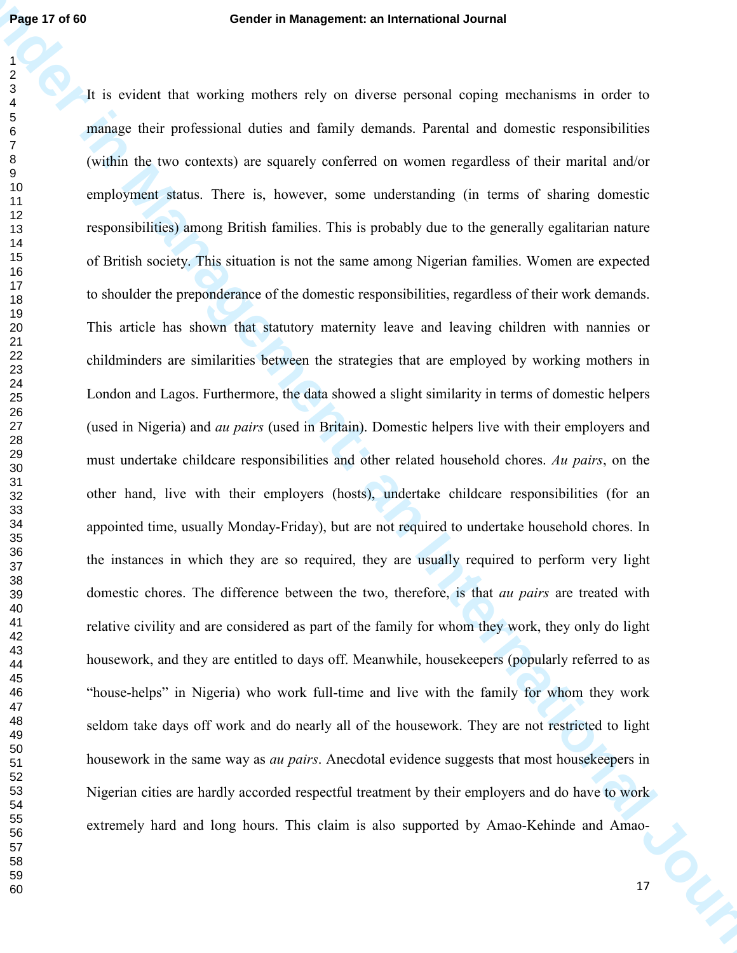**Frage 17 of 60**<br>**Gender in Management: an International Journal of the management in mixture of the system of the system of the system of the system of the system of the system of the system of the system of the system of** It is evident that working mothers rely on diverse personal coping mechanisms in order to manage their professional duties and family demands. Parental and domestic responsibilities (within the two contexts) are squarely conferred on women regardless of their marital and/or employment status. There is, however, some understanding (in terms of sharing domestic responsibilities) among British families. This is probably due to the generally egalitarian nature of British society. This situation is not the same among Nigerian families. Women are expected to shoulder the preponderance of the domestic responsibilities, regardless of their work demands. This article has shown that statutory maternity leave and leaving children with nannies or childminders are similarities between the strategies that are employed by working mothers in London and Lagos. Furthermore, the data showed a slight similarity in terms of domestic helpers (used in Nigeria) and *au pairs* (used in Britain). Domestic helpers live with their employers and must undertake childcare responsibilities and other related household chores. *Au pairs*, on the other hand, live with their employers (hosts), undertake childcare responsibilities (for an appointed time, usually Monday-Friday), but are not required to undertake household chores. In the instances in which they are so required, they are usually required to perform very light domestic chores. The difference between the two, therefore, is that *au pairs* are treated with relative civility and are considered as part of the family for whom they work, they only do light housework, and they are entitled to days off. Meanwhile, housekeepers (popularly referred to as "house-helps" in Nigeria) who work full-time and live with the family for whom they work seldom take days off work and do nearly all of the housework. They are not restricted to light housework in the same way as *au pairs*. Anecdotal evidence suggests that most housekeepers in Nigerian cities are hardly accorded respectful treatment by their employers and do have to work extremely hard and long hours. This claim is also supported by Amao-Kehinde and Amao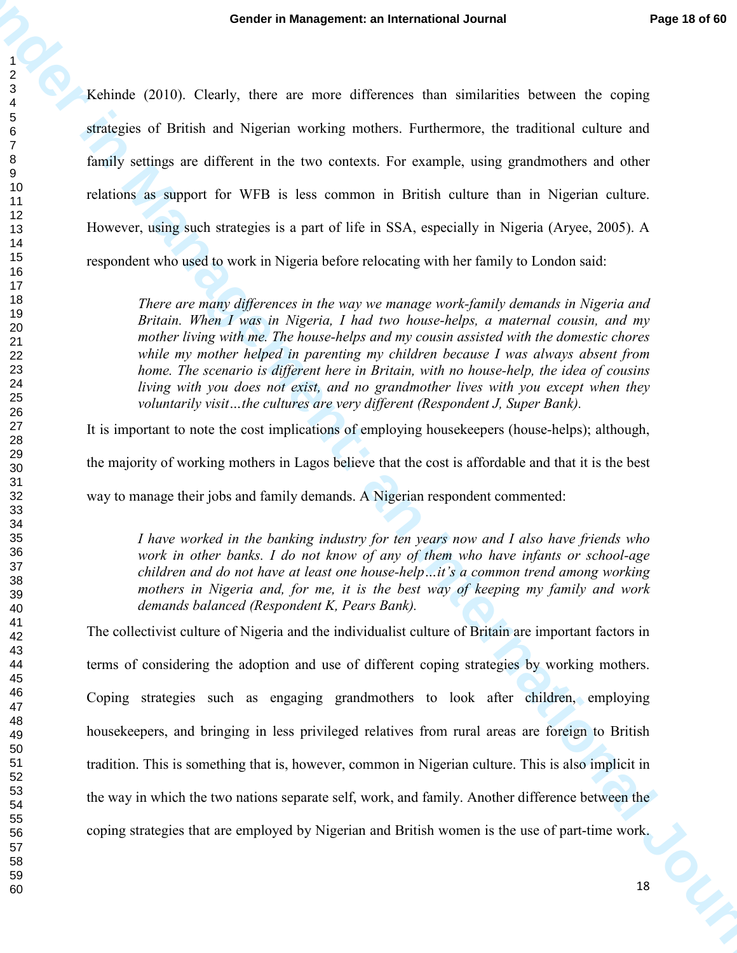Kehinde (2010). Clearly, there are more differences than similarities between the coping strategies of British and Nigerian working mothers. Furthermore, the traditional culture and family settings are different in the two contexts. For example, using grandmothers and other relations as support for WFB is less common in British culture than in Nigerian culture. However, using such strategies is a part of life in SSA, especially in Nigeria (Aryee, 2005). A respondent who used to work in Nigeria before relocating with her family to London said:

*There are many differences in the way we manage work-family demands in Nigeria and Britain. When I was in Nigeria, I had two house-helps, a maternal cousin, and my mother living with me. The house-helps and my cousin assisted with the domestic chores while my mother helped in parenting my children because I was always absent from home. The scenario is different here in Britain, with no house-help, the idea of cousins living with you does not exist, and no grandmother lives with you except when they voluntarily visit…the cultures are very different (Respondent J, Super Bank).* 

It is important to note the cost implications of employing housekeepers (house-helps); although,

the majority of working mothers in Lagos believe that the cost is affordable and that it is the best

way to manage their jobs and family demands. A Nigerian respondent commented:

*I have worked in the banking industry for ten years now and I also have friends who work in other banks. I do not know of any of them who have infants or school-age children and do not have at least one house-help…it's a common trend among working mothers in Nigeria and, for me, it is the best way of keeping my family and work demands balanced (Respondent K, Pears Bank).* 

**Gender in Management: an International Journal Proper is a controlled and the controlled and the set of the state of the state of the state of the state of the state of the state of the state of the state of the state of** The collectivist culture of Nigeria and the individualist culture of Britain are important factors in terms of considering the adoption and use of different coping strategies by working mothers. Coping strategies such as engaging grandmothers to look after children, employing housekeepers, and bringing in less privileged relatives from rural areas are foreign to British tradition. This is something that is, however, common in Nigerian culture. This is also implicit in the way in which the two nations separate self, work, and family. Another difference between the coping strategies that are employed by Nigerian and British women is the use of part-time work.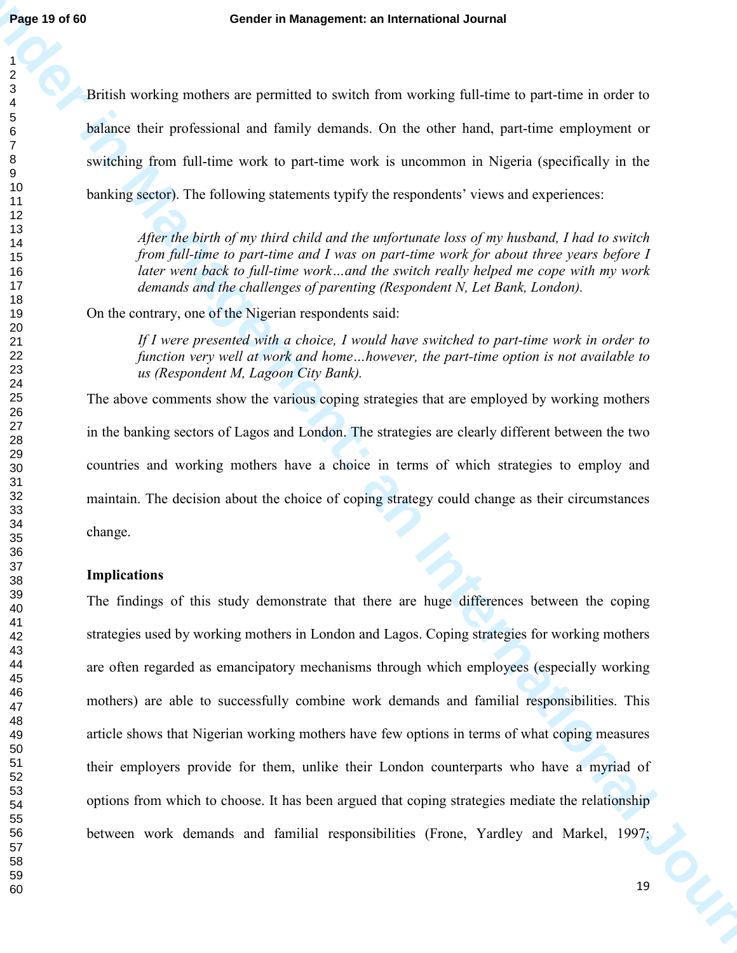British working mothers are permitted to switch from working full-time to part-time in order to balance their professional and family demands. On the other hand, part-time employment or switching from full-time work to part-time work is uncommon in Nigeria (specifically in the banking sector). The following statements typify the respondents' views and experiences:

*After the birth of my third child and the unfortunate loss of my husband, I had to switch from full-time to part-time and I was on part-time work for about three years before I later went back to full-time work…and the switch really helped me cope with my work demands and the challenges of parenting (Respondent N, Let Bank, London).* 

On the contrary, one of the Nigerian respondents said:

*If I were presented with a choice, I would have switched to part-time work in order to function very well at work and home…however, the part-time option is not available to us (Respondent M, Lagoon City Bank).* 

The above comments show the various coping strategies that are employed by working mothers in the banking sectors of Lagos and London. The strategies are clearly different between the two countries and working mothers have a choice in terms of which strategies to employ and maintain. The decision about the choice of coping strategy could change as their circumstances change.

#### **Implications**

**Fage 19 of 60**<br> **Gender in Management: an International Journal** and the particular structure in the time of the particular structure in the particular structure in the particular structure in the particular origin of th The findings of this study demonstrate that there are huge differences between the coping strategies used by working mothers in London and Lagos. Coping strategies for working mothers are often regarded as emancipatory mechanisms through which employees (especially working mothers) are able to successfully combine work demands and familial responsibilities. This article shows that Nigerian working mothers have few options in terms of what coping measures their employers provide for them, unlike their London counterparts who have a myriad of options from which to choose. It has been argued that coping strategies mediate the relationship between work demands and familial responsibilities (Frone, Yardley and Markel, 1997;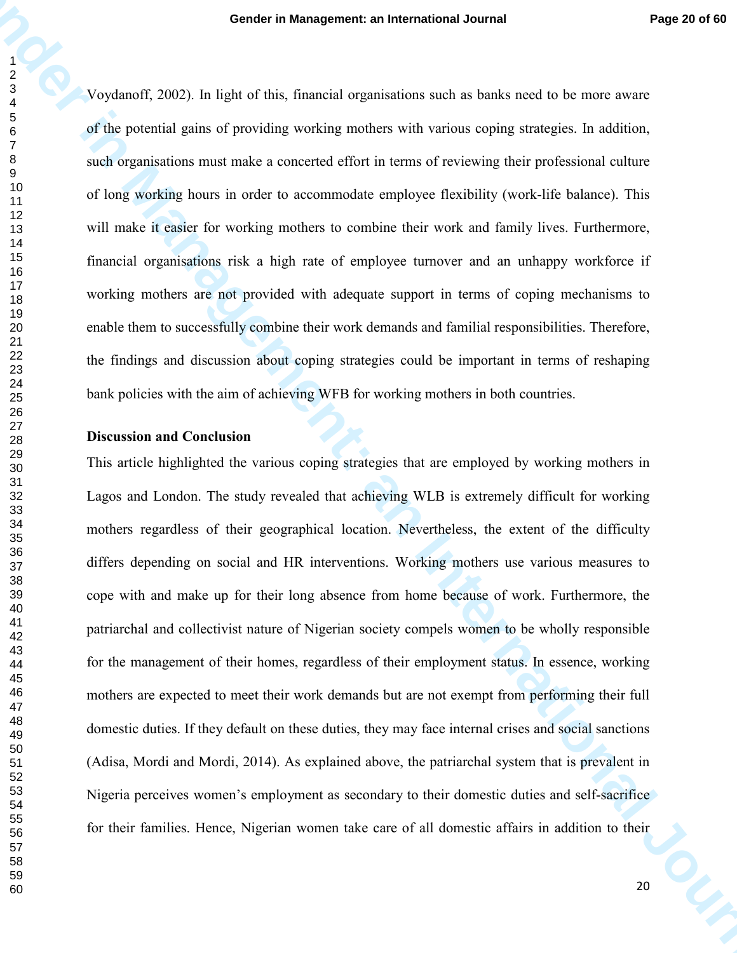Voydanoff, 2002). In light of this, financial organisations such as banks need to be more aware of the potential gains of providing working mothers with various coping strategies. In addition, such organisations must make a concerted effort in terms of reviewing their professional culture of long working hours in order to accommodate employee flexibility (work-life balance). This will make it easier for working mothers to combine their work and family lives. Furthermore, financial organisations risk a high rate of employee turnover and an unhappy workforce if working mothers are not provided with adequate support in terms of coping mechanisms to enable them to successfully combine their work demands and familial responsibilities. Therefore, the findings and discussion about coping strategies could be important in terms of reshaping bank policies with the aim of achieving WFB for working mothers in both countries.

#### **Discussion and Conclusion**

**Gender in Management: an International Journal Page 20 of 60**<br><sup>2</sup> systems of 2002), in high of the, financial regularisation such a bands road to be none aways<br>
of the estertial game of providing sovieting problem with st This article highlighted the various coping strategies that are employed by working mothers in Lagos and London. The study revealed that achieving WLB is extremely difficult for working mothers regardless of their geographical location. Nevertheless, the extent of the difficulty differs depending on social and HR interventions. Working mothers use various measures to cope with and make up for their long absence from home because of work. Furthermore, the patriarchal and collectivist nature of Nigerian society compels women to be wholly responsible for the management of their homes, regardless of their employment status. In essence, working mothers are expected to meet their work demands but are not exempt from performing their full domestic duties. If they default on these duties, they may face internal crises and social sanctions (Adisa, Mordi and Mordi, 2014). As explained above, the patriarchal system that is prevalent in Nigeria perceives women's employment as secondary to their domestic duties and self-sacrifice for their families. Hence, Nigerian women take care of all domestic affairs in addition to their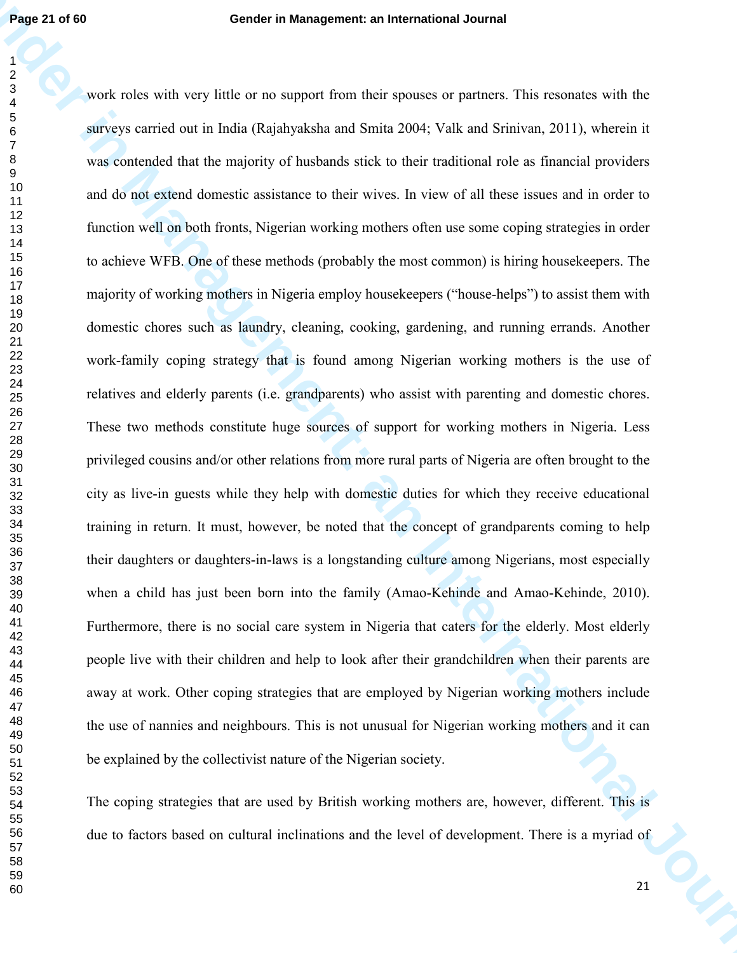**Fage 21 of 60**<br>**Gender in Management: an International Journal Comparison in Section 1980**<br> **Gender in the state of the Comparison of the Comparison Comparison in the state of the state of the state of the State of the St** work roles with very little or no support from their spouses or partners. This resonates with the surveys carried out in India (Rajahyaksha and Smita 2004; Valk and Srinivan, 2011), wherein it was contended that the majority of husbands stick to their traditional role as financial providers and do not extend domestic assistance to their wives. In view of all these issues and in order to function well on both fronts, Nigerian working mothers often use some coping strategies in order to achieve WFB. One of these methods (probably the most common) is hiring housekeepers. The majority of working mothers in Nigeria employ housekeepers ("house-helps") to assist them with domestic chores such as laundry, cleaning, cooking, gardening, and running errands. Another work-family coping strategy that is found among Nigerian working mothers is the use of relatives and elderly parents (i.e. grandparents) who assist with parenting and domestic chores. These two methods constitute huge sources of support for working mothers in Nigeria. Less privileged cousins and/or other relations from more rural parts of Nigeria are often brought to the city as live-in guests while they help with domestic duties for which they receive educational training in return. It must, however, be noted that the concept of grandparents coming to help their daughters or daughters-in-laws is a longstanding culture among Nigerians, most especially when a child has just been born into the family (Amao-Kehinde and Amao-Kehinde, 2010). Furthermore, there is no social care system in Nigeria that caters for the elderly. Most elderly people live with their children and help to look after their grandchildren when their parents are away at work. Other coping strategies that are employed by Nigerian working mothers include the use of nannies and neighbours. This is not unusual for Nigerian working mothers and it can be explained by the collectivist nature of the Nigerian society.

The coping strategies that are used by British working mothers are, however, different. This is due to factors based on cultural inclinations and the level of development. There is a myriad of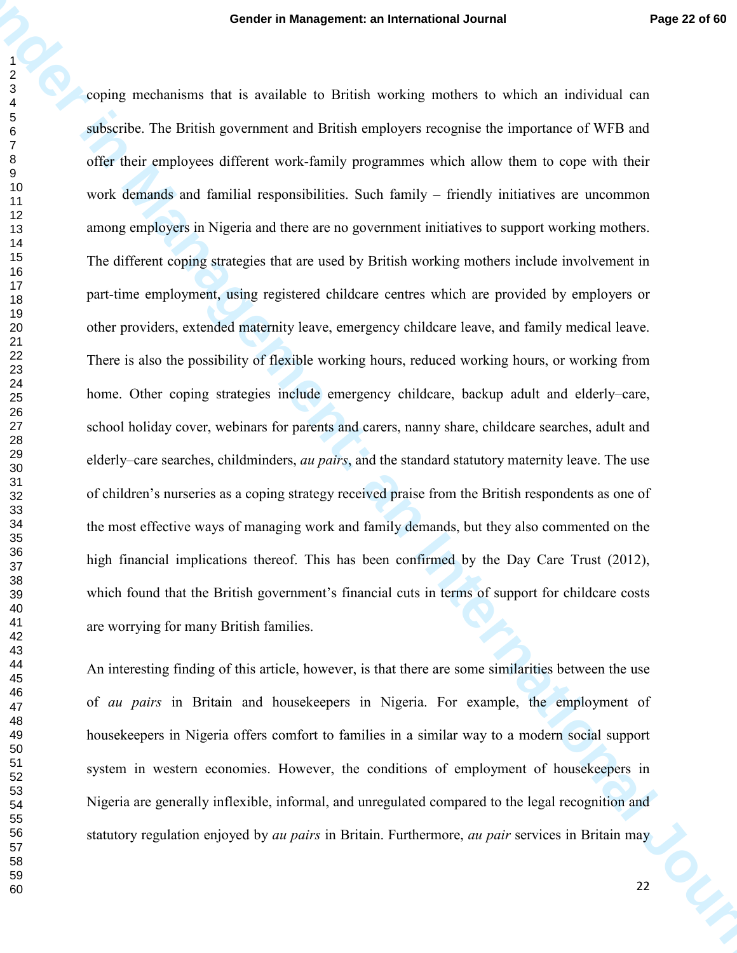**Gender in Management: an International Journal Page 22 of 60<br>
A soquing mechanisms: Etat is available to British system provider to which an international distribution<br>
of the British generation of British employees resul** coping mechanisms that is available to British working mothers to which an individual can subscribe. The British government and British employers recognise the importance of WFB and offer their employees different work-family programmes which allow them to cope with their work demands and familial responsibilities. Such family – friendly initiatives are uncommon among employers in Nigeria and there are no government initiatives to support working mothers. The different coping strategies that are used by British working mothers include involvement in part-time employment, using registered childcare centres which are provided by employers or other providers, extended maternity leave, emergency childcare leave, and family medical leave. There is also the possibility of flexible working hours, reduced working hours, or working from home. Other coping strategies include emergency childcare, backup adult and elderly–care, school holiday cover, webinars for parents and carers, nanny share, childcare searches, adult and elderly–care searches, childminders, *au pairs*, and the standard statutory maternity leave. The use of children's nurseries as a coping strategy received praise from the British respondents as one of the most effective ways of managing work and family demands, but they also commented on the high financial implications thereof. This has been confirmed by the Day Care Trust (2012), which found that the British government's financial cuts in terms of support for childcare costs are worrying for many British families.

An interesting finding of this article, however, is that there are some similarities between the use of *au pairs* in Britain and housekeepers in Nigeria. For example, the employment of housekeepers in Nigeria offers comfort to families in a similar way to a modern social support system in western economies. However, the conditions of employment of housekeepers in Nigeria are generally inflexible, informal, and unregulated compared to the legal recognition and statutory regulation enjoyed by *au pairs* in Britain. Furthermore, *au pair* services in Britain may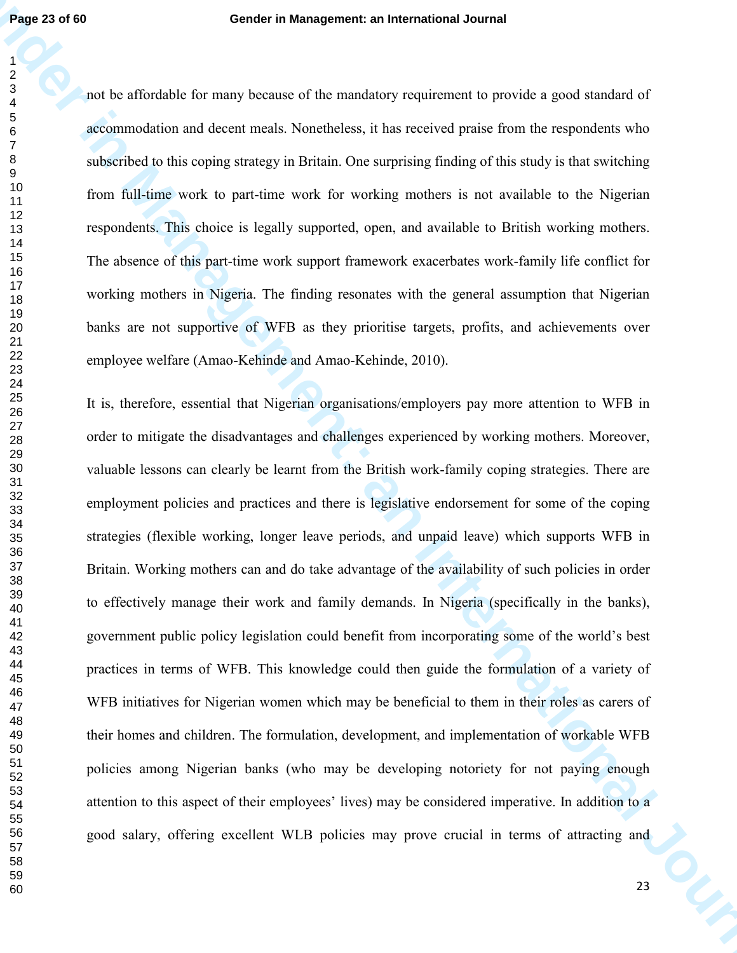not be affordable for many because of the mandatory requirement to provide a good standard of accommodation and decent meals. Nonetheless, it has received praise from the respondents who subscribed to this coping strategy in Britain. One surprising finding of this study is that switching from full-time work to part-time work for working mothers is not available to the Nigerian respondents. This choice is legally supported, open, and available to British working mothers. The absence of this part-time work support framework exacerbates work-family life conflict for working mothers in Nigeria. The finding resonates with the general assumption that Nigerian banks are not supportive of WFB as they prioritise targets, profits, and achievements over employee welfare (Amao-Kehinde and Amao-Kehinde, 2010).

**Fage 21 of 60**<br>**Gender in Management: an International Journal of view of the mandatory requirement to provide a good standard of a<br>**  $\frac{2}{5}$  **and the alliedable life many because of the mandatory requirement to provide a** It is, therefore, essential that Nigerian organisations/employers pay more attention to WFB in order to mitigate the disadvantages and challenges experienced by working mothers. Moreover, valuable lessons can clearly be learnt from the British work-family coping strategies. There are employment policies and practices and there is legislative endorsement for some of the coping strategies (flexible working, longer leave periods, and unpaid leave) which supports WFB in Britain. Working mothers can and do take advantage of the availability of such policies in order to effectively manage their work and family demands. In Nigeria (specifically in the banks), government public policy legislation could benefit from incorporating some of the world's best practices in terms of WFB. This knowledge could then guide the formulation of a variety of WFB initiatives for Nigerian women which may be beneficial to them in their roles as carers of their homes and children. The formulation, development, and implementation of workable WFB policies among Nigerian banks (who may be developing notoriety for not paying enough attention to this aspect of their employees' lives) may be considered imperative. In addition to a good salary, offering excellent WLB policies may prove crucial in terms of attracting and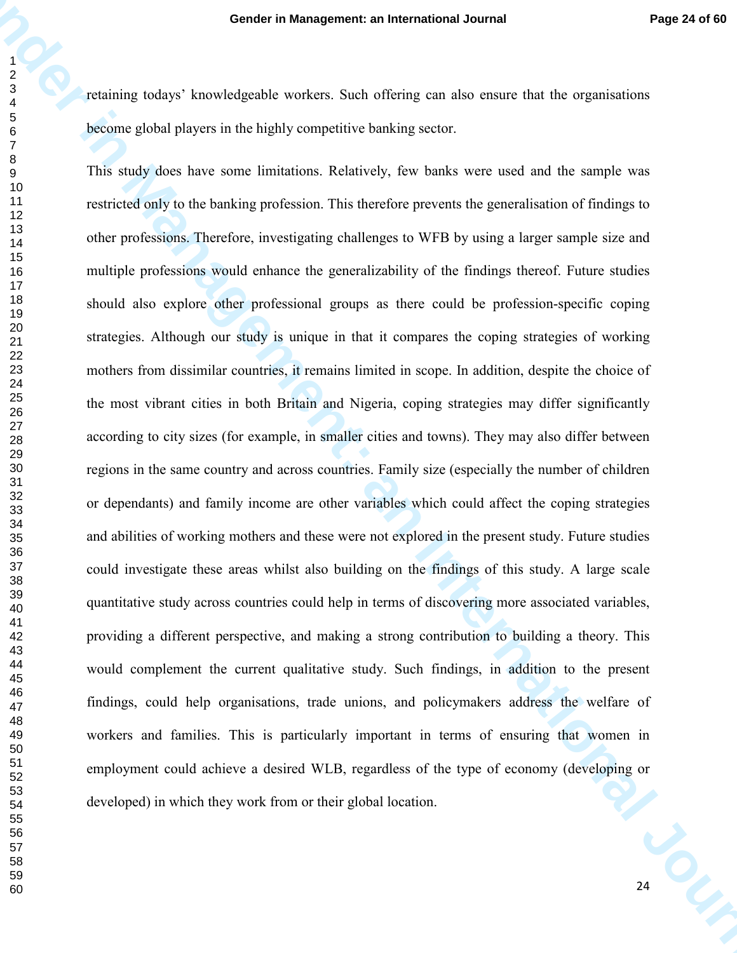retaining todays' knowledgeable workers. Such offering can also ensure that the organisations become global players in the highly competitive banking sector.

**Gender in Management: an International Journal Page 24 of to**<br> **Gender in Management:** an International Surface Studies of the Uniternational Surface Contents and the sympathetics of the sympathetics of the sympathetics This study does have some limitations. Relatively, few banks were used and the sample was restricted only to the banking profession. This therefore prevents the generalisation of findings to other professions. Therefore, investigating challenges to WFB by using a larger sample size and multiple professions would enhance the generalizability of the findings thereof. Future studies should also explore other professional groups as there could be profession-specific coping strategies. Although our study is unique in that it compares the coping strategies of working mothers from dissimilar countries, it remains limited in scope. In addition, despite the choice of the most vibrant cities in both Britain and Nigeria, coping strategies may differ significantly according to city sizes (for example, in smaller cities and towns). They may also differ between regions in the same country and across countries. Family size (especially the number of children or dependants) and family income are other variables which could affect the coping strategies and abilities of working mothers and these were not explored in the present study. Future studies could investigate these areas whilst also building on the findings of this study. A large scale quantitative study across countries could help in terms of discovering more associated variables, providing a different perspective, and making a strong contribution to building a theory. This would complement the current qualitative study. Such findings, in addition to the present findings, could help organisations, trade unions, and policymakers address the welfare of workers and families. This is particularly important in terms of ensuring that women in employment could achieve a desired WLB, regardless of the type of economy (developing or developed) in which they work from or their global location.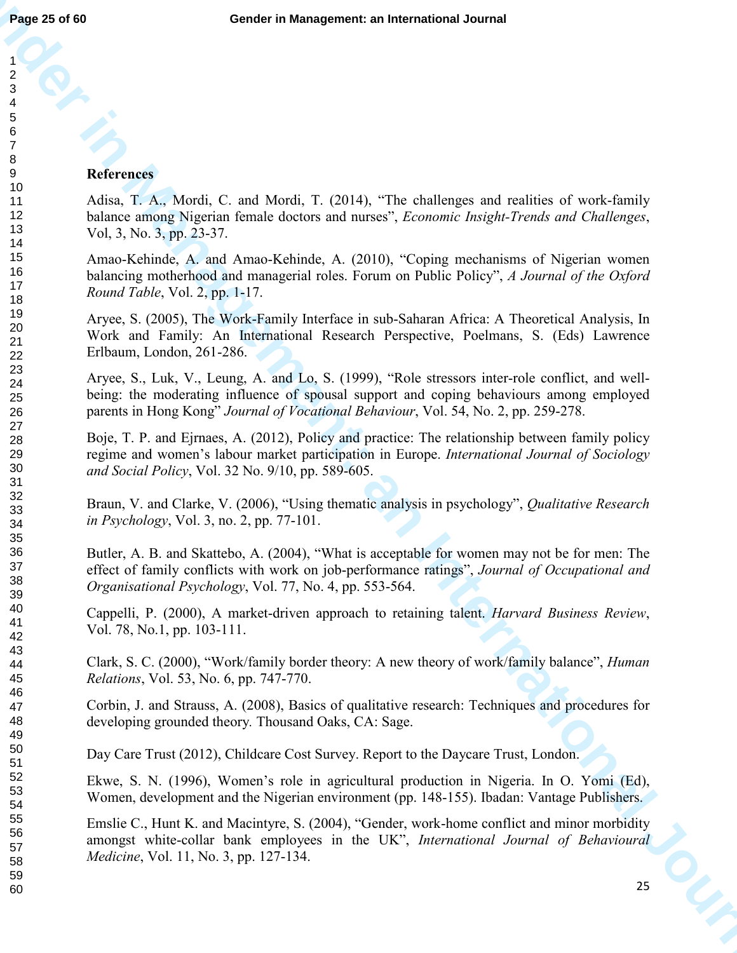#### 

## **References**

**Fage 22 of 60**<br> **Gender in Management: an International Journal<br>**  $\frac{2}{5}$ **<br>**  $\frac{2}{5}$ **<br>**  $\frac{2}{5}$ **<br>
<b>Centernoy**<br> **Centernoy**<br> **Gender in The Management: and Model, 1, (2011), "The intellective sum leading out the<br>
United a** Adisa, T. A., Mordi, C. and Mordi, T. (2014), "The challenges and realities of work-family balance among Nigerian female doctors and nurses", *Economic Insight-Trends and Challenges*, Vol, 3, No. 3, pp. 23-37.

Amao-Kehinde, A. and Amao-Kehinde, A. (2010), "Coping mechanisms of Nigerian women balancing motherhood and managerial roles. Forum on Public Policy", *A Journal of the Oxford Round Table*, Vol. 2, pp. 1-17.

Aryee, S. (2005), The Work-Family Interface in sub-Saharan Africa: A Theoretical Analysis, In Work and Family: An International Research Perspective, Poelmans, S. (Eds) Lawrence Erlbaum, London, 261-286.

Aryee, S., Luk, V., Leung, A. and Lo, S. (1999), "Role stressors inter-role conflict, and wellbeing: the moderating influence of spousal support and coping behaviours among employed parents in Hong Kong" *Journal of Vocational Behaviour*, Vol. 54, No. 2, pp. 259-278.

Boje, T. P. and Ejrnaes, A. (2012), Policy and practice: The relationship between family policy regime and women's labour market participation in Europe. *International Journal of Sociology and Social Policy*, Vol. 32 No. 9/10, pp. 589-605.

Braun, V. and Clarke, V. (2006), "Using thematic analysis in psychology", *Qualitative Research in Psychology*, Vol. 3, no. 2, pp. 77-101.

Butler, A. B. and Skattebo, A. (2004), "What is acceptable for women may not be for men: The effect of family conflicts with work on job-performance ratings", *Journal of Occupational and Organisational Psychology*, Vol. 77, No. 4, pp. 553-564.

Cappelli, P. (2000), A market-driven approach to retaining talent. *Harvard Business Review*, Vol. 78, No.1, pp. 103-111.

Clark, S. C. (2000), "Work/family border theory: A new theory of work/family balance", *Human Relations*, Vol. 53, No. 6, pp. 747-770.

Corbin, J. and Strauss, A. (2008), Basics of qualitative research: Techniques and procedures for developing grounded theory*.* Thousand Oaks, CA: Sage.

Day Care Trust (2012), Childcare Cost Survey. Report to the Daycare Trust, London.

Ekwe, S. N. (1996), Women's role in agricultural production in Nigeria. In O. Yomi (Ed), Women, development and the Nigerian environment (pp. 148-155). Ibadan: Vantage Publishers.

Emslie C., Hunt K. and Macintyre, S. (2004), "Gender, work-home conflict and minor morbidity amongst white-collar bank employees in the UK", *International Journal of Behavioural Medicine*, Vol. 11, No. 3, pp. 127-134.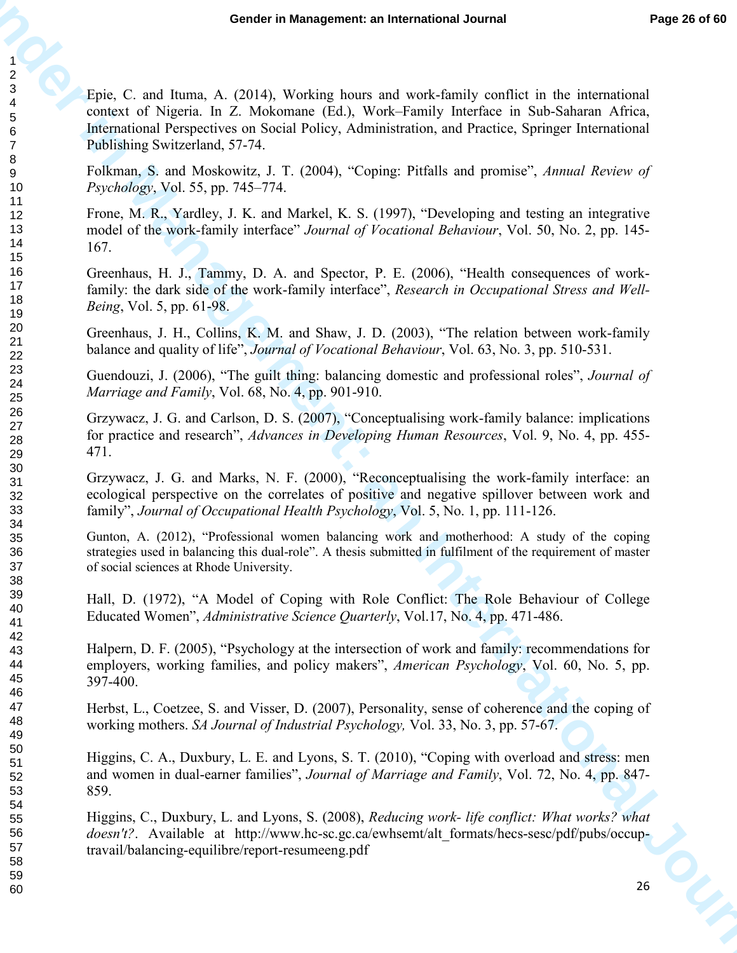**Gender in Management: an International Journal Proposition**<br>
Figure C. and International Propositions and with function of the function of the continued proposition of the<br>
Figure C. and Mostmerity 1.7 (2004), "Coping Pri Epie, C. and Ituma, A. (2014), Working hours and work-family conflict in the international context of Nigeria. In Z. Mokomane (Ed.), Work–Family Interface in Sub-Saharan Africa, International Perspectives on Social Policy, Administration, and Practice, Springer International Publishing Switzerland, 57-74.

Folkman, S. and Moskowitz, J. T. (2004), "Coping: Pitfalls and promise", *Annual Review of Psychology*, Vol. 55, pp. 745–774.

Frone, M. R., Yardley, J. K. and Markel, K. S. (1997), "Developing and testing an integrative model of the work-family interface" *Journal of Vocational Behaviour*, Vol. 50, No. 2, pp. 145- 167.

Greenhaus, H. J., Tammy, D. A. and Spector, P. E. (2006), "Health consequences of workfamily: the dark side of the work-family interface", *Research in Occupational Stress and Well-Being*, Vol. 5, pp. 61-98.

Greenhaus, J. H., Collins, K. M. and Shaw, J. D. (2003), "The relation between work-family balance and quality of life", *Journal of Vocational Behaviour*, Vol. 63, No. 3, pp. 510-531.

Guendouzi, J. (2006), "The guilt thing: balancing domestic and professional roles", *Journal of Marriage and Family*, Vol. 68, No. 4, pp. 901-910.

Grzywacz, J. G. and Carlson, D. S. (2007), "Conceptualising work-family balance: implications for practice and research", *Advances in Developing Human Resources*, Vol. 9, No. 4, pp. 455- 471.

Grzywacz, J. G. and Marks, N. F. (2000), "Reconceptualising the work-family interface: an ecological perspective on the correlates of positive and negative spillover between work and family", *Journal of Occupational Health Psychology*, Vol. 5, No. 1, pp. 111-126.

Gunton, A. (2012), "Professional women balancing work and motherhood: A study of the coping strategies used in balancing this dual-role". A thesis submitted in fulfilment of the requirement of master of social sciences at Rhode University.

Hall, D. (1972), "A Model of Coping with Role Conflict: The Role Behaviour of College Educated Women", *Administrative Science Quarterly*, Vol.17, No. 4, pp. 471-486.

Halpern, D. F. (2005), "Psychology at the intersection of work and family: recommendations for employers, working families, and policy makers", *American Psychology*, Vol. 60, No. 5, pp. 397-400.

Herbst, L., Coetzee, S. and Visser, D. (2007), Personality, sense of coherence and the coping of working mothers. *SA Journal of Industrial Psychology,* Vol. 33, No. 3, pp. 57-67.

Higgins, C. A., Duxbury, L. E. and Lyons, S. T. (2010), "Coping with overload and stress: men and women in dual-earner families", *Journal of Marriage and Family*, Vol. 72, No. 4, pp. 847- 859.

Higgins, C., Duxbury, L. and Lyons, S. (2008), *Reducing work- life conflict: What works? what doesn't?*. Available at http://www.hc-sc.gc.ca/ewhsemt/alt formats/hecs-sesc/pdf/pubs/occuptravail/balancing-equilibre/report-resumeeng.pdf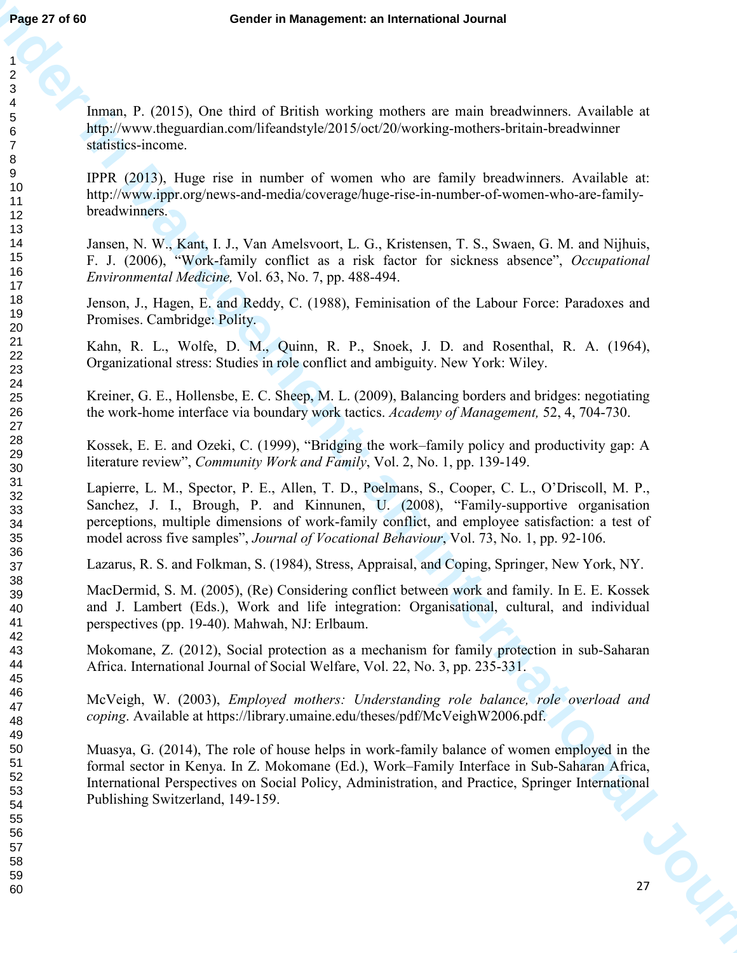Inman, P. (2015), One third of British working mothers are main breadwinners. Available at http://www.theguardian.com/lifeandstyle/2015/oct/20/working-mothers-britain-breadwinner statistics-income.

IPPR (2013), Huge rise in number of women who are family breadwinners. Available at: http://www.ippr.org/news-and-media/coverage/huge-rise-in-number-of-women-who-are-familybreadwinners.

Jansen, N. W., Kant, I. J., Van Amelsvoort, L. G., Kristensen, T. S., Swaen, G. M. and Nijhuis, F. J. (2006), "Work-family conflict as a risk factor for sickness absence", *Occupational Environmental Medicine,* Vol. 63, No. 7, pp. 488-494.

Jenson, J., Hagen, E. and Reddy, C. (1988), Feminisation of the Labour Force: Paradoxes and Promises. Cambridge: Polity.

Kahn, R. L., Wolfe, D. M., Quinn, R. P., Snoek, J. D. and Rosenthal, R. A. (1964), Organizational stress: Studies in role conflict and ambiguity. New York: Wiley.

Kreiner, G. E., Hollensbe, E. C. Sheep, M. L. (2009), Balancing borders and bridges: negotiating the work-home interface via boundary work tactics. *Academy of Management,* 52, 4, 704-730.

Kossek, E. E. and Ozeki, C. (1999), "Bridging the work–family policy and productivity gap: A literature review", *Community Work and Family*, Vol. 2, No. 1, pp. 139-149.

**Fage 27 of 68**<br> **Gender in Management: an International Journal<br>**  $\frac{2}{5}$ **<br>
<b>Gender in Management:** and the baseling reaches are mainly because the simulations. A stabilistic<br> **Gender in Management:** and the baseline of w Lapierre, L. M., Spector, P. E., Allen, T. D., Poelmans, S., Cooper, C. L., O'Driscoll, M. P., Sanchez, J. I., Brough, P. and Kinnunen, U. (2008), "Family-supportive organisation perceptions, multiple dimensions of work-family conflict, and employee satisfaction: a test of model across five samples", *Journal of Vocational Behaviour*, Vol. 73, No. 1, pp. 92-106.

Lazarus, R. S. and Folkman, S. (1984), Stress, Appraisal, and Coping, Springer, New York, NY.

MacDermid, S. M. (2005), (Re) Considering conflict between work and family. In E. E. Kossek and J. Lambert (Eds.), Work and life integration: Organisational, cultural, and individual perspectives (pp. 19-40). Mahwah, NJ: Erlbaum.

Mokomane, Z. (2012), Social protection as a mechanism for family protection in sub-Saharan Africa. International Journal of Social Welfare, Vol. 22, No. 3, pp. 235-331.

McVeigh, W. (2003), *Employed mothers: Understanding role balance, role overload and coping*. Available at https://library.umaine.edu/theses/pdf/McVeighW2006.pdf.

Muasya, G. (2014), The role of house helps in work-family balance of women employed in the formal sector in Kenya. In Z. Mokomane (Ed.), Work–Family Interface in Sub-Saharan Africa, International Perspectives on Social Policy, Administration, and Practice, Springer International Publishing Switzerland, 149-159.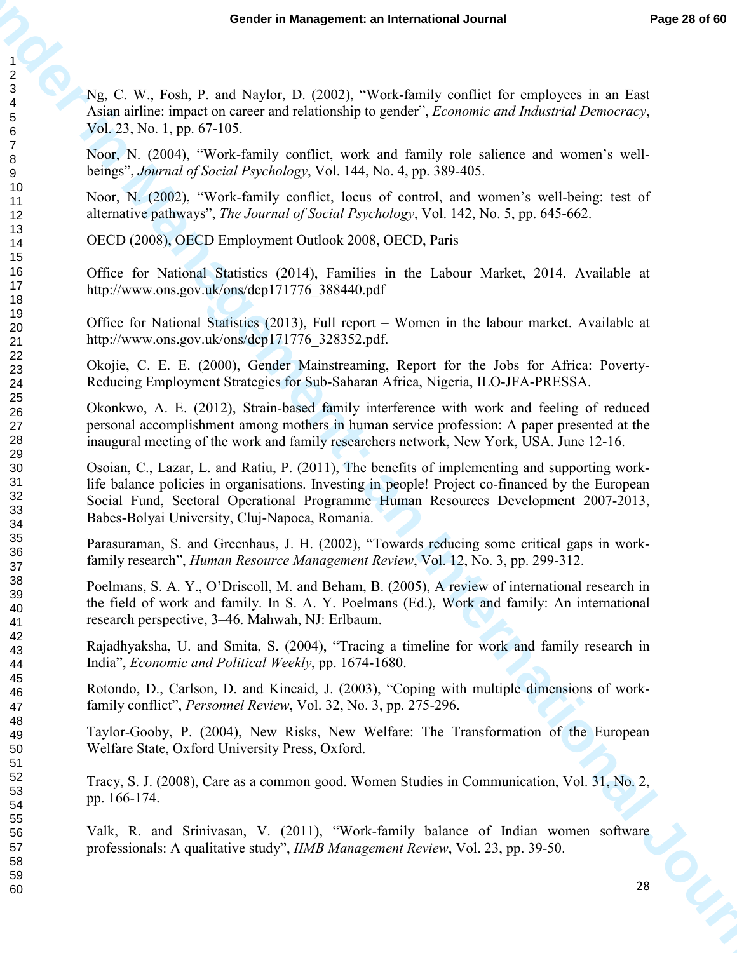Ng, C. W., Fosh, P. and Naylor, D. (2002), "Work-family conflict for employees in an East Asian airline: impact on career and relationship to gender", *Economic and Industrial Democracy*, Vol. 23, No. 1, pp. 67-105.

Noor, N. (2004), "Work-family conflict, work and family role salience and women's wellbeings", *Journal of Social Psychology*, Vol. 144, No. 4, pp. 389-405.

Noor, N. (2002), "Work-family conflict, locus of control, and women's well-being: test of alternative pathways", *The Journal of Social Psychology*, Vol. 142, No. 5, pp. 645-662.

OECD (2008), OECD Employment Outlook 2008, OECD, Paris

Office for National Statistics (2014), Families in the Labour Market, 2014. Available at http://www.ons.gov.uk/ons/dcp171776\_388440.pdf

Office for National Statistics (2013), Full report – Women in the labour market. Available at http://www.ons.gov.uk/ons/dcp171776\_328352.pdf.

Okojie, C. E. E. (2000), Gender Mainstreaming, Report for the Jobs for Africa: Poverty-Reducing Employment Strategies for Sub-Saharan Africa, Nigeria, ILO-JFA-PRESSA.

Okonkwo, A. E. (2012), Strain-based family interference with work and feeling of reduced personal accomplishment among mothers in human service profession: A paper presented at the inaugural meeting of the work and family researchers network, New York, USA. June 12-16.

Gender in Management: an International Journal Prop. 26.<br>  $\frac{1}{2}$  Vg. C. W., 1md. P. and Noyles, D. (2002). "Weak limity turnfuc for semi-control and the<br>  $\frac{1}{2}$  Vg. C. W., 1md. P. and Noise and Value in the line of Osoian, C., Lazar, L. and Ratiu, P. (2011), The benefits of implementing and supporting worklife balance policies in organisations. Investing in people! Project co-financed by the European Social Fund, Sectoral Operational Programme Human Resources Development 2007-2013, Babes-Bolyai University, Cluj-Napoca, Romania.

Parasuraman, S. and Greenhaus, J. H. (2002), "Towards reducing some critical gaps in workfamily research", *Human Resource Management Review*, Vol. 12, No. 3, pp. 299-312.

Poelmans, S. A. Y., O'Driscoll, M. and Beham, B. (2005), A review of international research in the field of work and family. In S. A. Y. Poelmans (Ed.), Work and family: An international research perspective, 3–46. Mahwah, NJ: Erlbaum.

Rajadhyaksha, U. and Smita, S. (2004), "Tracing a timeline for work and family research in India", *Economic and Political Weekly*, pp. 1674-1680.

Rotondo, D., Carlson, D. and Kincaid, J. (2003), "Coping with multiple dimensions of workfamily conflict", *Personnel Review*, Vol. 32, No. 3, pp. 275-296.

Taylor-Gooby, P. (2004), New Risks, New Welfare: The Transformation of the European Welfare State, Oxford University Press, Oxford.

Tracy, S. J. (2008), Care as a common good. Women Studies in Communication, Vol. 31, No. 2, pp. 166-174.

Valk, R. and Srinivasan, V. (2011), "Work-family balance of Indian women software professionals: A qualitative study", *IIMB Management Review*, Vol. 23, pp. 39-50.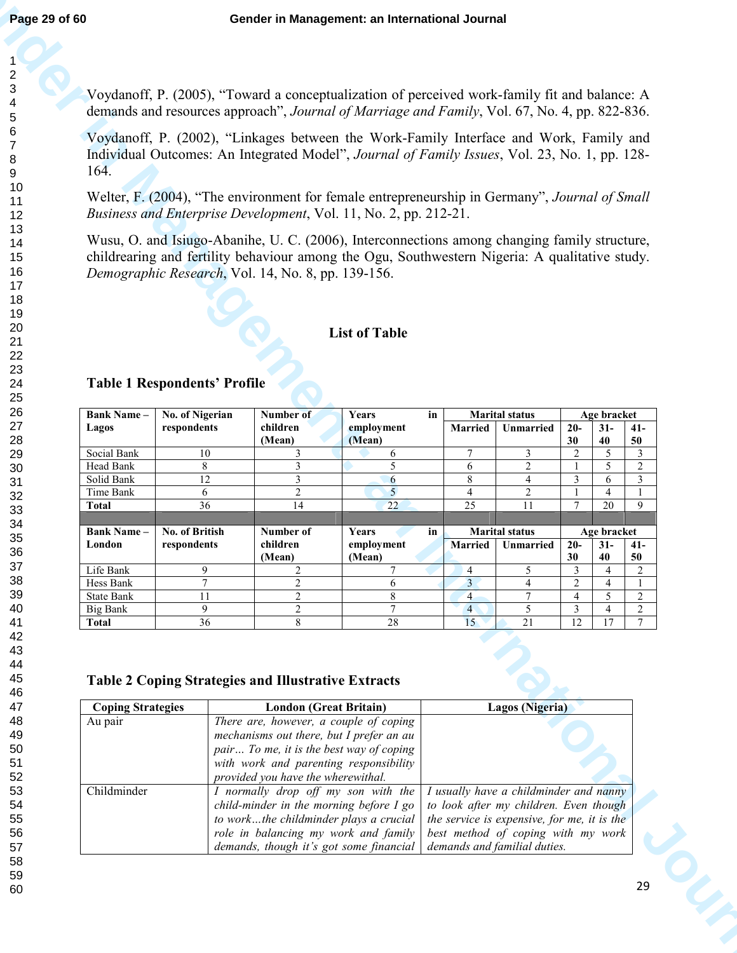# **List of Table**

| 164.<br>Business and Enterprise Development, Vol. 11, No. 2, pp. 212-21.<br>Demographic Research, Vol. 14, No. 8, pp. 139-156.<br><b>List of Table</b> | No. of Nigerian<br>Number of<br>in<br><b>Marital status</b><br>Years<br>$20-$<br>respondents<br>children<br>employment<br>Married<br>Unmarried<br>$31-$<br>(Mean)<br>(Mean)<br>30<br>40<br>5<br>2<br>10<br>7<br>3<br>3<br>6<br>$\overline{2}$<br>5<br>8<br>3<br>5<br>6<br>$\overline{8}$<br>$\overline{12}$<br>$\mathfrak{Z}$<br>3<br>$6\phantom{.}6$<br>$\overline{4}$<br>6 | <b>Table 1 Respondents' Profile</b><br><b>Bank Name-</b><br>Age bracket<br>Lagos<br>Social Bank<br>Head Bank<br>Solid Bank<br>$\overline{5}$<br>$\overline{2}$<br>$\overline{2}$<br>4<br>6<br>$\overline{4}$<br>Time Bank<br>22<br>$\overline{25}$<br>36<br>14<br>11<br>$\overline{7}$<br>20<br><b>Total</b> | 50<br>3<br>$\overline{c}$<br>$\mathfrak{Z}$<br>9<br>No. of British<br><b>Bank Name-</b><br>Number of<br>Years<br>in<br><b>Marital status</b><br>Age bracket<br>London<br>children<br>employment<br>$20-$<br>respondents<br><b>Married</b><br>Unmarried<br>$31 -$<br>$41 -$<br>40<br>(Mean)<br>(Mean)<br>30<br>50<br>Life Bank<br>$\overline{4}$<br>9<br>2<br>7<br>$\overline{4}$<br>5<br>$\overline{c}$<br>3<br>$\overline{3}$<br>Hess Bank<br>$\overline{c}$<br>7<br>2<br>4<br>6<br>4<br>$\overline{2}$<br>$\,$ 8 $\,$<br>$\overline{4}$<br>5<br>$\mathbf{2}$<br>$\tau$<br>$\overline{4}$<br><b>State Bank</b><br>11<br>$\overline{2}$<br>$\tau$<br>$\overline{2}$<br>9<br>$\overline{4}$<br>5<br><b>Big Bank</b><br>3<br>$\overline{4}$<br>$\overline{21}$<br>36<br>28<br>15<br>8<br>$\overline{12}$<br>17<br>$\tau$<br><b>Total</b> | Voydanoff, P. (2005), "Toward a conceptualization of perceived work-family fit and balance: A<br>demands and resources approach", Journal of Marriage and Family, Vol. 67, No. 4, pp. 822-836.<br>Voydanoff, P. (2002), "Linkages between the Work-Family Interface and Work, Family and<br>Individual Outcomes: An Integrated Model", Journal of Family Issues, Vol. 23, No. 1, pp. 128-<br>Welter, F. (2004), "The environment for female entrepreneurship in Germany", Journal of Small<br>Wusu, O. and Isiugo-Abanihe, U. C. (2006), Interconnections among changing family structure,<br>childrearing and fertility behaviour among the Ogu, Southwestern Nigeria: A qualitative study.<br>$41-$<br><b>Table 2 Coping Strategies and Illustrative Extracts</b><br><b>Coping Strategies</b><br><b>London (Great Britain)</b><br><b>Lagos (Nigeria)</b><br>There are, however, a couple of coping<br>Au pair<br>mechanisms out there, but I prefer an au<br>pair To me, it is the best way of coping<br>with work and parenting responsibility<br>provided you have the wherewithal.<br>Childminder<br>I normally drop off my son with the<br>I usually have a childminder and nanny<br>child-minder in the morning before I go<br>to look after my children. Even though<br>to workthe childminder plays a crucial<br>the service is expensive, for me, it is the<br>role in balancing my work and family<br>best method of coping with my work<br>demands, though it's got some financial<br>demands and familial duties. |  | Page 29 of 60 |  | Gender in Management: an International Journal |  |  |  |    |
|--------------------------------------------------------------------------------------------------------------------------------------------------------|------------------------------------------------------------------------------------------------------------------------------------------------------------------------------------------------------------------------------------------------------------------------------------------------------------------------------------------------------------------------------|--------------------------------------------------------------------------------------------------------------------------------------------------------------------------------------------------------------------------------------------------------------------------------------------------------------|----------------------------------------------------------------------------------------------------------------------------------------------------------------------------------------------------------------------------------------------------------------------------------------------------------------------------------------------------------------------------------------------------------------------------------------------------------------------------------------------------------------------------------------------------------------------------------------------------------------------------------------------------------------------------------------------------------------------------------------------------------------------------------------------------------------------------------------|--------------------------------------------------------------------------------------------------------------------------------------------------------------------------------------------------------------------------------------------------------------------------------------------------------------------------------------------------------------------------------------------------------------------------------------------------------------------------------------------------------------------------------------------------------------------------------------------------------------------------------------------------------------------------------------------------------------------------------------------------------------------------------------------------------------------------------------------------------------------------------------------------------------------------------------------------------------------------------------------------------------------------------------------------------------------------------------------------------------------------------------------------------------------------------------------------------------------------------------------------------------------------------------------------------------------------------------------------------------------------------------------------------------------------------------------------------------------------------------------------------------------------------|--|---------------|--|------------------------------------------------|--|--|--|----|
|                                                                                                                                                        |                                                                                                                                                                                                                                                                                                                                                                              |                                                                                                                                                                                                                                                                                                              |                                                                                                                                                                                                                                                                                                                                                                                                                                                                                                                                                                                                                                                                                                                                                                                                                                        |                                                                                                                                                                                                                                                                                                                                                                                                                                                                                                                                                                                                                                                                                                                                                                                                                                                                                                                                                                                                                                                                                                                                                                                                                                                                                                                                                                                                                                                                                                                                |  |               |  |                                                |  |  |  |    |
|                                                                                                                                                        |                                                                                                                                                                                                                                                                                                                                                                              |                                                                                                                                                                                                                                                                                                              |                                                                                                                                                                                                                                                                                                                                                                                                                                                                                                                                                                                                                                                                                                                                                                                                                                        |                                                                                                                                                                                                                                                                                                                                                                                                                                                                                                                                                                                                                                                                                                                                                                                                                                                                                                                                                                                                                                                                                                                                                                                                                                                                                                                                                                                                                                                                                                                                |  |               |  |                                                |  |  |  |    |
|                                                                                                                                                        |                                                                                                                                                                                                                                                                                                                                                                              |                                                                                                                                                                                                                                                                                                              |                                                                                                                                                                                                                                                                                                                                                                                                                                                                                                                                                                                                                                                                                                                                                                                                                                        |                                                                                                                                                                                                                                                                                                                                                                                                                                                                                                                                                                                                                                                                                                                                                                                                                                                                                                                                                                                                                                                                                                                                                                                                                                                                                                                                                                                                                                                                                                                                |  |               |  |                                                |  |  |  |    |
|                                                                                                                                                        |                                                                                                                                                                                                                                                                                                                                                                              |                                                                                                                                                                                                                                                                                                              |                                                                                                                                                                                                                                                                                                                                                                                                                                                                                                                                                                                                                                                                                                                                                                                                                                        |                                                                                                                                                                                                                                                                                                                                                                                                                                                                                                                                                                                                                                                                                                                                                                                                                                                                                                                                                                                                                                                                                                                                                                                                                                                                                                                                                                                                                                                                                                                                |  |               |  |                                                |  |  |  |    |
|                                                                                                                                                        |                                                                                                                                                                                                                                                                                                                                                                              |                                                                                                                                                                                                                                                                                                              |                                                                                                                                                                                                                                                                                                                                                                                                                                                                                                                                                                                                                                                                                                                                                                                                                                        |                                                                                                                                                                                                                                                                                                                                                                                                                                                                                                                                                                                                                                                                                                                                                                                                                                                                                                                                                                                                                                                                                                                                                                                                                                                                                                                                                                                                                                                                                                                                |  |               |  |                                                |  |  |  |    |
|                                                                                                                                                        |                                                                                                                                                                                                                                                                                                                                                                              |                                                                                                                                                                                                                                                                                                              |                                                                                                                                                                                                                                                                                                                                                                                                                                                                                                                                                                                                                                                                                                                                                                                                                                        |                                                                                                                                                                                                                                                                                                                                                                                                                                                                                                                                                                                                                                                                                                                                                                                                                                                                                                                                                                                                                                                                                                                                                                                                                                                                                                                                                                                                                                                                                                                                |  |               |  |                                                |  |  |  |    |
|                                                                                                                                                        |                                                                                                                                                                                                                                                                                                                                                                              |                                                                                                                                                                                                                                                                                                              |                                                                                                                                                                                                                                                                                                                                                                                                                                                                                                                                                                                                                                                                                                                                                                                                                                        |                                                                                                                                                                                                                                                                                                                                                                                                                                                                                                                                                                                                                                                                                                                                                                                                                                                                                                                                                                                                                                                                                                                                                                                                                                                                                                                                                                                                                                                                                                                                |  |               |  |                                                |  |  |  |    |
|                                                                                                                                                        |                                                                                                                                                                                                                                                                                                                                                                              |                                                                                                                                                                                                                                                                                                              |                                                                                                                                                                                                                                                                                                                                                                                                                                                                                                                                                                                                                                                                                                                                                                                                                                        |                                                                                                                                                                                                                                                                                                                                                                                                                                                                                                                                                                                                                                                                                                                                                                                                                                                                                                                                                                                                                                                                                                                                                                                                                                                                                                                                                                                                                                                                                                                                |  |               |  |                                                |  |  |  |    |
|                                                                                                                                                        |                                                                                                                                                                                                                                                                                                                                                                              |                                                                                                                                                                                                                                                                                                              |                                                                                                                                                                                                                                                                                                                                                                                                                                                                                                                                                                                                                                                                                                                                                                                                                                        |                                                                                                                                                                                                                                                                                                                                                                                                                                                                                                                                                                                                                                                                                                                                                                                                                                                                                                                                                                                                                                                                                                                                                                                                                                                                                                                                                                                                                                                                                                                                |  |               |  |                                                |  |  |  |    |
|                                                                                                                                                        |                                                                                                                                                                                                                                                                                                                                                                              |                                                                                                                                                                                                                                                                                                              |                                                                                                                                                                                                                                                                                                                                                                                                                                                                                                                                                                                                                                                                                                                                                                                                                                        |                                                                                                                                                                                                                                                                                                                                                                                                                                                                                                                                                                                                                                                                                                                                                                                                                                                                                                                                                                                                                                                                                                                                                                                                                                                                                                                                                                                                                                                                                                                                |  |               |  |                                                |  |  |  |    |
|                                                                                                                                                        |                                                                                                                                                                                                                                                                                                                                                                              |                                                                                                                                                                                                                                                                                                              |                                                                                                                                                                                                                                                                                                                                                                                                                                                                                                                                                                                                                                                                                                                                                                                                                                        |                                                                                                                                                                                                                                                                                                                                                                                                                                                                                                                                                                                                                                                                                                                                                                                                                                                                                                                                                                                                                                                                                                                                                                                                                                                                                                                                                                                                                                                                                                                                |  |               |  |                                                |  |  |  |    |
|                                                                                                                                                        |                                                                                                                                                                                                                                                                                                                                                                              |                                                                                                                                                                                                                                                                                                              |                                                                                                                                                                                                                                                                                                                                                                                                                                                                                                                                                                                                                                                                                                                                                                                                                                        |                                                                                                                                                                                                                                                                                                                                                                                                                                                                                                                                                                                                                                                                                                                                                                                                                                                                                                                                                                                                                                                                                                                                                                                                                                                                                                                                                                                                                                                                                                                                |  |               |  |                                                |  |  |  |    |
|                                                                                                                                                        |                                                                                                                                                                                                                                                                                                                                                                              |                                                                                                                                                                                                                                                                                                              |                                                                                                                                                                                                                                                                                                                                                                                                                                                                                                                                                                                                                                                                                                                                                                                                                                        |                                                                                                                                                                                                                                                                                                                                                                                                                                                                                                                                                                                                                                                                                                                                                                                                                                                                                                                                                                                                                                                                                                                                                                                                                                                                                                                                                                                                                                                                                                                                |  |               |  |                                                |  |  |  |    |
|                                                                                                                                                        |                                                                                                                                                                                                                                                                                                                                                                              |                                                                                                                                                                                                                                                                                                              |                                                                                                                                                                                                                                                                                                                                                                                                                                                                                                                                                                                                                                                                                                                                                                                                                                        |                                                                                                                                                                                                                                                                                                                                                                                                                                                                                                                                                                                                                                                                                                                                                                                                                                                                                                                                                                                                                                                                                                                                                                                                                                                                                                                                                                                                                                                                                                                                |  |               |  |                                                |  |  |  |    |
|                                                                                                                                                        |                                                                                                                                                                                                                                                                                                                                                                              |                                                                                                                                                                                                                                                                                                              |                                                                                                                                                                                                                                                                                                                                                                                                                                                                                                                                                                                                                                                                                                                                                                                                                                        |                                                                                                                                                                                                                                                                                                                                                                                                                                                                                                                                                                                                                                                                                                                                                                                                                                                                                                                                                                                                                                                                                                                                                                                                                                                                                                                                                                                                                                                                                                                                |  |               |  |                                                |  |  |  |    |
|                                                                                                                                                        |                                                                                                                                                                                                                                                                                                                                                                              |                                                                                                                                                                                                                                                                                                              |                                                                                                                                                                                                                                                                                                                                                                                                                                                                                                                                                                                                                                                                                                                                                                                                                                        |                                                                                                                                                                                                                                                                                                                                                                                                                                                                                                                                                                                                                                                                                                                                                                                                                                                                                                                                                                                                                                                                                                                                                                                                                                                                                                                                                                                                                                                                                                                                |  |               |  |                                                |  |  |  |    |
|                                                                                                                                                        |                                                                                                                                                                                                                                                                                                                                                                              |                                                                                                                                                                                                                                                                                                              |                                                                                                                                                                                                                                                                                                                                                                                                                                                                                                                                                                                                                                                                                                                                                                                                                                        |                                                                                                                                                                                                                                                                                                                                                                                                                                                                                                                                                                                                                                                                                                                                                                                                                                                                                                                                                                                                                                                                                                                                                                                                                                                                                                                                                                                                                                                                                                                                |  |               |  |                                                |  |  |  |    |
|                                                                                                                                                        |                                                                                                                                                                                                                                                                                                                                                                              |                                                                                                                                                                                                                                                                                                              |                                                                                                                                                                                                                                                                                                                                                                                                                                                                                                                                                                                                                                                                                                                                                                                                                                        |                                                                                                                                                                                                                                                                                                                                                                                                                                                                                                                                                                                                                                                                                                                                                                                                                                                                                                                                                                                                                                                                                                                                                                                                                                                                                                                                                                                                                                                                                                                                |  |               |  |                                                |  |  |  |    |
|                                                                                                                                                        |                                                                                                                                                                                                                                                                                                                                                                              |                                                                                                                                                                                                                                                                                                              |                                                                                                                                                                                                                                                                                                                                                                                                                                                                                                                                                                                                                                                                                                                                                                                                                                        |                                                                                                                                                                                                                                                                                                                                                                                                                                                                                                                                                                                                                                                                                                                                                                                                                                                                                                                                                                                                                                                                                                                                                                                                                                                                                                                                                                                                                                                                                                                                |  |               |  |                                                |  |  |  |    |
|                                                                                                                                                        |                                                                                                                                                                                                                                                                                                                                                                              |                                                                                                                                                                                                                                                                                                              |                                                                                                                                                                                                                                                                                                                                                                                                                                                                                                                                                                                                                                                                                                                                                                                                                                        |                                                                                                                                                                                                                                                                                                                                                                                                                                                                                                                                                                                                                                                                                                                                                                                                                                                                                                                                                                                                                                                                                                                                                                                                                                                                                                                                                                                                                                                                                                                                |  |               |  |                                                |  |  |  |    |
|                                                                                                                                                        |                                                                                                                                                                                                                                                                                                                                                                              |                                                                                                                                                                                                                                                                                                              |                                                                                                                                                                                                                                                                                                                                                                                                                                                                                                                                                                                                                                                                                                                                                                                                                                        |                                                                                                                                                                                                                                                                                                                                                                                                                                                                                                                                                                                                                                                                                                                                                                                                                                                                                                                                                                                                                                                                                                                                                                                                                                                                                                                                                                                                                                                                                                                                |  |               |  |                                                |  |  |  |    |
|                                                                                                                                                        |                                                                                                                                                                                                                                                                                                                                                                              |                                                                                                                                                                                                                                                                                                              |                                                                                                                                                                                                                                                                                                                                                                                                                                                                                                                                                                                                                                                                                                                                                                                                                                        |                                                                                                                                                                                                                                                                                                                                                                                                                                                                                                                                                                                                                                                                                                                                                                                                                                                                                                                                                                                                                                                                                                                                                                                                                                                                                                                                                                                                                                                                                                                                |  |               |  |                                                |  |  |  |    |
|                                                                                                                                                        |                                                                                                                                                                                                                                                                                                                                                                              |                                                                                                                                                                                                                                                                                                              |                                                                                                                                                                                                                                                                                                                                                                                                                                                                                                                                                                                                                                                                                                                                                                                                                                        |                                                                                                                                                                                                                                                                                                                                                                                                                                                                                                                                                                                                                                                                                                                                                                                                                                                                                                                                                                                                                                                                                                                                                                                                                                                                                                                                                                                                                                                                                                                                |  |               |  |                                                |  |  |  |    |
|                                                                                                                                                        |                                                                                                                                                                                                                                                                                                                                                                              |                                                                                                                                                                                                                                                                                                              |                                                                                                                                                                                                                                                                                                                                                                                                                                                                                                                                                                                                                                                                                                                                                                                                                                        |                                                                                                                                                                                                                                                                                                                                                                                                                                                                                                                                                                                                                                                                                                                                                                                                                                                                                                                                                                                                                                                                                                                                                                                                                                                                                                                                                                                                                                                                                                                                |  |               |  |                                                |  |  |  |    |
|                                                                                                                                                        |                                                                                                                                                                                                                                                                                                                                                                              |                                                                                                                                                                                                                                                                                                              |                                                                                                                                                                                                                                                                                                                                                                                                                                                                                                                                                                                                                                                                                                                                                                                                                                        |                                                                                                                                                                                                                                                                                                                                                                                                                                                                                                                                                                                                                                                                                                                                                                                                                                                                                                                                                                                                                                                                                                                                                                                                                                                                                                                                                                                                                                                                                                                                |  |               |  |                                                |  |  |  |    |
|                                                                                                                                                        |                                                                                                                                                                                                                                                                                                                                                                              |                                                                                                                                                                                                                                                                                                              |                                                                                                                                                                                                                                                                                                                                                                                                                                                                                                                                                                                                                                                                                                                                                                                                                                        |                                                                                                                                                                                                                                                                                                                                                                                                                                                                                                                                                                                                                                                                                                                                                                                                                                                                                                                                                                                                                                                                                                                                                                                                                                                                                                                                                                                                                                                                                                                                |  |               |  |                                                |  |  |  |    |
|                                                                                                                                                        |                                                                                                                                                                                                                                                                                                                                                                              |                                                                                                                                                                                                                                                                                                              |                                                                                                                                                                                                                                                                                                                                                                                                                                                                                                                                                                                                                                                                                                                                                                                                                                        |                                                                                                                                                                                                                                                                                                                                                                                                                                                                                                                                                                                                                                                                                                                                                                                                                                                                                                                                                                                                                                                                                                                                                                                                                                                                                                                                                                                                                                                                                                                                |  |               |  |                                                |  |  |  |    |
|                                                                                                                                                        |                                                                                                                                                                                                                                                                                                                                                                              |                                                                                                                                                                                                                                                                                                              |                                                                                                                                                                                                                                                                                                                                                                                                                                                                                                                                                                                                                                                                                                                                                                                                                                        |                                                                                                                                                                                                                                                                                                                                                                                                                                                                                                                                                                                                                                                                                                                                                                                                                                                                                                                                                                                                                                                                                                                                                                                                                                                                                                                                                                                                                                                                                                                                |  |               |  |                                                |  |  |  |    |
|                                                                                                                                                        |                                                                                                                                                                                                                                                                                                                                                                              |                                                                                                                                                                                                                                                                                                              |                                                                                                                                                                                                                                                                                                                                                                                                                                                                                                                                                                                                                                                                                                                                                                                                                                        |                                                                                                                                                                                                                                                                                                                                                                                                                                                                                                                                                                                                                                                                                                                                                                                                                                                                                                                                                                                                                                                                                                                                                                                                                                                                                                                                                                                                                                                                                                                                |  |               |  |                                                |  |  |  |    |
|                                                                                                                                                        |                                                                                                                                                                                                                                                                                                                                                                              |                                                                                                                                                                                                                                                                                                              |                                                                                                                                                                                                                                                                                                                                                                                                                                                                                                                                                                                                                                                                                                                                                                                                                                        |                                                                                                                                                                                                                                                                                                                                                                                                                                                                                                                                                                                                                                                                                                                                                                                                                                                                                                                                                                                                                                                                                                                                                                                                                                                                                                                                                                                                                                                                                                                                |  |               |  |                                                |  |  |  |    |
|                                                                                                                                                        |                                                                                                                                                                                                                                                                                                                                                                              |                                                                                                                                                                                                                                                                                                              |                                                                                                                                                                                                                                                                                                                                                                                                                                                                                                                                                                                                                                                                                                                                                                                                                                        |                                                                                                                                                                                                                                                                                                                                                                                                                                                                                                                                                                                                                                                                                                                                                                                                                                                                                                                                                                                                                                                                                                                                                                                                                                                                                                                                                                                                                                                                                                                                |  |               |  |                                                |  |  |  |    |
|                                                                                                                                                        |                                                                                                                                                                                                                                                                                                                                                                              |                                                                                                                                                                                                                                                                                                              |                                                                                                                                                                                                                                                                                                                                                                                                                                                                                                                                                                                                                                                                                                                                                                                                                                        |                                                                                                                                                                                                                                                                                                                                                                                                                                                                                                                                                                                                                                                                                                                                                                                                                                                                                                                                                                                                                                                                                                                                                                                                                                                                                                                                                                                                                                                                                                                                |  |               |  |                                                |  |  |  |    |
|                                                                                                                                                        |                                                                                                                                                                                                                                                                                                                                                                              |                                                                                                                                                                                                                                                                                                              |                                                                                                                                                                                                                                                                                                                                                                                                                                                                                                                                                                                                                                                                                                                                                                                                                                        |                                                                                                                                                                                                                                                                                                                                                                                                                                                                                                                                                                                                                                                                                                                                                                                                                                                                                                                                                                                                                                                                                                                                                                                                                                                                                                                                                                                                                                                                                                                                |  |               |  |                                                |  |  |  |    |
|                                                                                                                                                        |                                                                                                                                                                                                                                                                                                                                                                              |                                                                                                                                                                                                                                                                                                              |                                                                                                                                                                                                                                                                                                                                                                                                                                                                                                                                                                                                                                                                                                                                                                                                                                        |                                                                                                                                                                                                                                                                                                                                                                                                                                                                                                                                                                                                                                                                                                                                                                                                                                                                                                                                                                                                                                                                                                                                                                                                                                                                                                                                                                                                                                                                                                                                |  |               |  |                                                |  |  |  |    |
|                                                                                                                                                        |                                                                                                                                                                                                                                                                                                                                                                              |                                                                                                                                                                                                                                                                                                              |                                                                                                                                                                                                                                                                                                                                                                                                                                                                                                                                                                                                                                                                                                                                                                                                                                        |                                                                                                                                                                                                                                                                                                                                                                                                                                                                                                                                                                                                                                                                                                                                                                                                                                                                                                                                                                                                                                                                                                                                                                                                                                                                                                                                                                                                                                                                                                                                |  |               |  |                                                |  |  |  |    |
|                                                                                                                                                        |                                                                                                                                                                                                                                                                                                                                                                              |                                                                                                                                                                                                                                                                                                              |                                                                                                                                                                                                                                                                                                                                                                                                                                                                                                                                                                                                                                                                                                                                                                                                                                        |                                                                                                                                                                                                                                                                                                                                                                                                                                                                                                                                                                                                                                                                                                                                                                                                                                                                                                                                                                                                                                                                                                                                                                                                                                                                                                                                                                                                                                                                                                                                |  |               |  |                                                |  |  |  |    |
|                                                                                                                                                        |                                                                                                                                                                                                                                                                                                                                                                              |                                                                                                                                                                                                                                                                                                              |                                                                                                                                                                                                                                                                                                                                                                                                                                                                                                                                                                                                                                                                                                                                                                                                                                        |                                                                                                                                                                                                                                                                                                                                                                                                                                                                                                                                                                                                                                                                                                                                                                                                                                                                                                                                                                                                                                                                                                                                                                                                                                                                                                                                                                                                                                                                                                                                |  |               |  |                                                |  |  |  |    |
|                                                                                                                                                        |                                                                                                                                                                                                                                                                                                                                                                              |                                                                                                                                                                                                                                                                                                              |                                                                                                                                                                                                                                                                                                                                                                                                                                                                                                                                                                                                                                                                                                                                                                                                                                        |                                                                                                                                                                                                                                                                                                                                                                                                                                                                                                                                                                                                                                                                                                                                                                                                                                                                                                                                                                                                                                                                                                                                                                                                                                                                                                                                                                                                                                                                                                                                |  |               |  |                                                |  |  |  |    |
|                                                                                                                                                        |                                                                                                                                                                                                                                                                                                                                                                              |                                                                                                                                                                                                                                                                                                              |                                                                                                                                                                                                                                                                                                                                                                                                                                                                                                                                                                                                                                                                                                                                                                                                                                        |                                                                                                                                                                                                                                                                                                                                                                                                                                                                                                                                                                                                                                                                                                                                                                                                                                                                                                                                                                                                                                                                                                                                                                                                                                                                                                                                                                                                                                                                                                                                |  |               |  |                                                |  |  |  |    |
|                                                                                                                                                        |                                                                                                                                                                                                                                                                                                                                                                              |                                                                                                                                                                                                                                                                                                              |                                                                                                                                                                                                                                                                                                                                                                                                                                                                                                                                                                                                                                                                                                                                                                                                                                        |                                                                                                                                                                                                                                                                                                                                                                                                                                                                                                                                                                                                                                                                                                                                                                                                                                                                                                                                                                                                                                                                                                                                                                                                                                                                                                                                                                                                                                                                                                                                |  |               |  |                                                |  |  |  |    |
|                                                                                                                                                        |                                                                                                                                                                                                                                                                                                                                                                              |                                                                                                                                                                                                                                                                                                              |                                                                                                                                                                                                                                                                                                                                                                                                                                                                                                                                                                                                                                                                                                                                                                                                                                        |                                                                                                                                                                                                                                                                                                                                                                                                                                                                                                                                                                                                                                                                                                                                                                                                                                                                                                                                                                                                                                                                                                                                                                                                                                                                                                                                                                                                                                                                                                                                |  |               |  |                                                |  |  |  |    |
|                                                                                                                                                        |                                                                                                                                                                                                                                                                                                                                                                              |                                                                                                                                                                                                                                                                                                              |                                                                                                                                                                                                                                                                                                                                                                                                                                                                                                                                                                                                                                                                                                                                                                                                                                        |                                                                                                                                                                                                                                                                                                                                                                                                                                                                                                                                                                                                                                                                                                                                                                                                                                                                                                                                                                                                                                                                                                                                                                                                                                                                                                                                                                                                                                                                                                                                |  |               |  |                                                |  |  |  |    |
|                                                                                                                                                        |                                                                                                                                                                                                                                                                                                                                                                              |                                                                                                                                                                                                                                                                                                              |                                                                                                                                                                                                                                                                                                                                                                                                                                                                                                                                                                                                                                                                                                                                                                                                                                        |                                                                                                                                                                                                                                                                                                                                                                                                                                                                                                                                                                                                                                                                                                                                                                                                                                                                                                                                                                                                                                                                                                                                                                                                                                                                                                                                                                                                                                                                                                                                |  |               |  |                                                |  |  |  |    |
|                                                                                                                                                        |                                                                                                                                                                                                                                                                                                                                                                              |                                                                                                                                                                                                                                                                                                              |                                                                                                                                                                                                                                                                                                                                                                                                                                                                                                                                                                                                                                                                                                                                                                                                                                        |                                                                                                                                                                                                                                                                                                                                                                                                                                                                                                                                                                                                                                                                                                                                                                                                                                                                                                                                                                                                                                                                                                                                                                                                                                                                                                                                                                                                                                                                                                                                |  |               |  |                                                |  |  |  |    |
|                                                                                                                                                        |                                                                                                                                                                                                                                                                                                                                                                              |                                                                                                                                                                                                                                                                                                              |                                                                                                                                                                                                                                                                                                                                                                                                                                                                                                                                                                                                                                                                                                                                                                                                                                        |                                                                                                                                                                                                                                                                                                                                                                                                                                                                                                                                                                                                                                                                                                                                                                                                                                                                                                                                                                                                                                                                                                                                                                                                                                                                                                                                                                                                                                                                                                                                |  |               |  |                                                |  |  |  |    |
|                                                                                                                                                        |                                                                                                                                                                                                                                                                                                                                                                              |                                                                                                                                                                                                                                                                                                              |                                                                                                                                                                                                                                                                                                                                                                                                                                                                                                                                                                                                                                                                                                                                                                                                                                        |                                                                                                                                                                                                                                                                                                                                                                                                                                                                                                                                                                                                                                                                                                                                                                                                                                                                                                                                                                                                                                                                                                                                                                                                                                                                                                                                                                                                                                                                                                                                |  |               |  |                                                |  |  |  |    |
|                                                                                                                                                        |                                                                                                                                                                                                                                                                                                                                                                              |                                                                                                                                                                                                                                                                                                              |                                                                                                                                                                                                                                                                                                                                                                                                                                                                                                                                                                                                                                                                                                                                                                                                                                        |                                                                                                                                                                                                                                                                                                                                                                                                                                                                                                                                                                                                                                                                                                                                                                                                                                                                                                                                                                                                                                                                                                                                                                                                                                                                                                                                                                                                                                                                                                                                |  |               |  |                                                |  |  |  |    |
|                                                                                                                                                        |                                                                                                                                                                                                                                                                                                                                                                              |                                                                                                                                                                                                                                                                                                              |                                                                                                                                                                                                                                                                                                                                                                                                                                                                                                                                                                                                                                                                                                                                                                                                                                        |                                                                                                                                                                                                                                                                                                                                                                                                                                                                                                                                                                                                                                                                                                                                                                                                                                                                                                                                                                                                                                                                                                                                                                                                                                                                                                                                                                                                                                                                                                                                |  |               |  |                                                |  |  |  | 29 |

# **Table 1 Respondents' Profile**

### **Table 2 Coping Strategies and Illustrative Extracts**

| <b>Coping Strategies</b> | London (Great Britain)                    | Lagos (Nigeria)                             |    |
|--------------------------|-------------------------------------------|---------------------------------------------|----|
| Au pair                  | There are, however, a couple of coping    |                                             |    |
|                          | mechanisms out there, but I prefer an au  |                                             |    |
|                          | pair To me, it is the best way of coping  |                                             |    |
|                          | with work and parenting responsibility    |                                             |    |
|                          | provided you have the wherewithal.        |                                             |    |
| Childminder              | I normally drop off my son with the       | I usually have a childminder and nanny      |    |
|                          | child-minder in the morning before $I$ go | to look after my children. Even though      |    |
|                          | to workthe childminder plays a crucial    | the service is expensive, for me, it is the |    |
|                          | role in balancing my work and family      | best method of coping with my work          |    |
|                          | demands, though it's got some financial   | demands and familial duties.                |    |
|                          |                                           |                                             | 29 |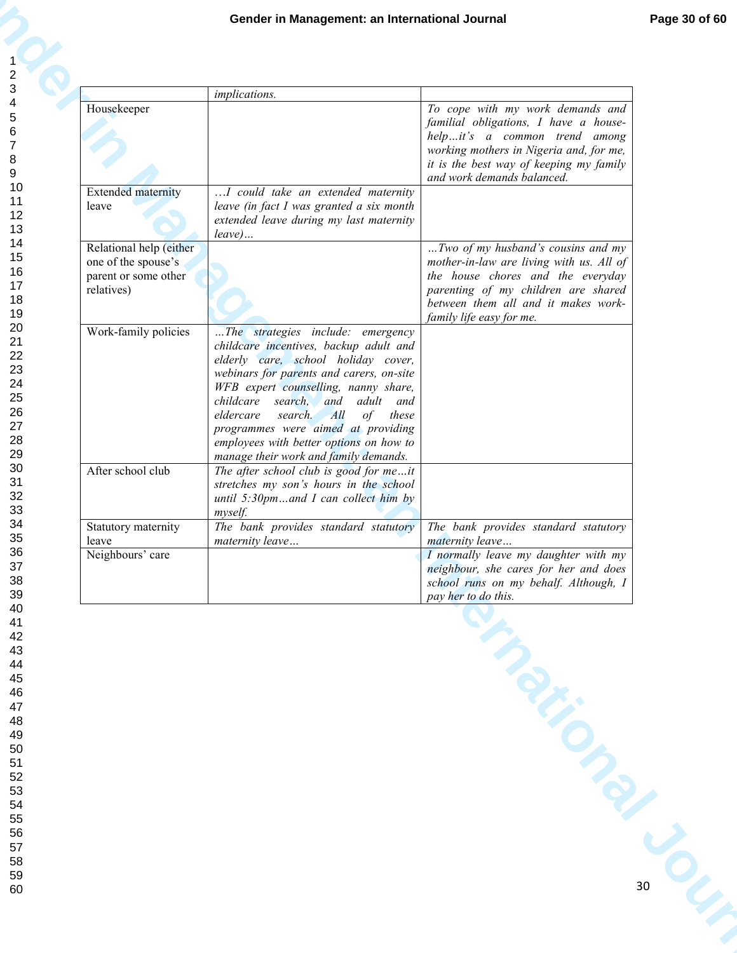|                                                                                      | Gender in Management: an International Journal                                                                                                                                                                                                                                                                                                                                                                    |                                                                                                                                                                                                                                |
|--------------------------------------------------------------------------------------|-------------------------------------------------------------------------------------------------------------------------------------------------------------------------------------------------------------------------------------------------------------------------------------------------------------------------------------------------------------------------------------------------------------------|--------------------------------------------------------------------------------------------------------------------------------------------------------------------------------------------------------------------------------|
|                                                                                      | implications.                                                                                                                                                                                                                                                                                                                                                                                                     |                                                                                                                                                                                                                                |
| Housekeeper                                                                          |                                                                                                                                                                                                                                                                                                                                                                                                                   | To cope with my work demands and<br>familial obligations, I have a house-<br>helpit's a common trend among<br>working mothers in Nigeria and, for me,<br>it is the best way of keeping my family<br>and work demands balanced. |
| <b>Extended maternity</b><br>leave                                                   | I could take an extended maternity<br>leave (in fact I was granted a six month<br>extended leave during my last maternity<br>$leave) \dots$                                                                                                                                                                                                                                                                       |                                                                                                                                                                                                                                |
| Relational help (either<br>one of the spouse's<br>parent or some other<br>relatives) |                                                                                                                                                                                                                                                                                                                                                                                                                   | Two of my husband's cousins and my<br>mother-in-law are living with us. All of<br>the house chores and the everyday<br>parenting of my children are shared<br>between them all and it makes work-<br>family life easy for me.  |
| Work-family policies                                                                 | The strategies include: emergency<br>childcare incentives, backup adult and<br>elderly care, school holiday cover,<br>webinars for parents and carers, on-site<br>WFB expert counselling, nanny share,<br>childcare search, and adult<br>and<br>search. All<br>of<br>eldercare<br>these<br>programmes were aimed at providing<br>employees with better options on how to<br>manage their work and family demands. |                                                                                                                                                                                                                                |
| After school club                                                                    | The after school club is good for meit<br>stretches my son's hours in the school<br>until $5:30pm$ and I can collect him by<br>myself.                                                                                                                                                                                                                                                                            |                                                                                                                                                                                                                                |
| Statutory maternity<br>leave<br>Neighbours' care                                     | The bank provides standard statutory<br>maternity leave                                                                                                                                                                                                                                                                                                                                                           | The bank provides standard statutory<br>maternity leave<br>I normally leave my daughter with my<br>neighbour, she cares for her and does<br>school runs on my behalf. Although, I<br>pay her to do this.                       |
|                                                                                      |                                                                                                                                                                                                                                                                                                                                                                                                                   | man de la                                                                                                                                                                                                                      |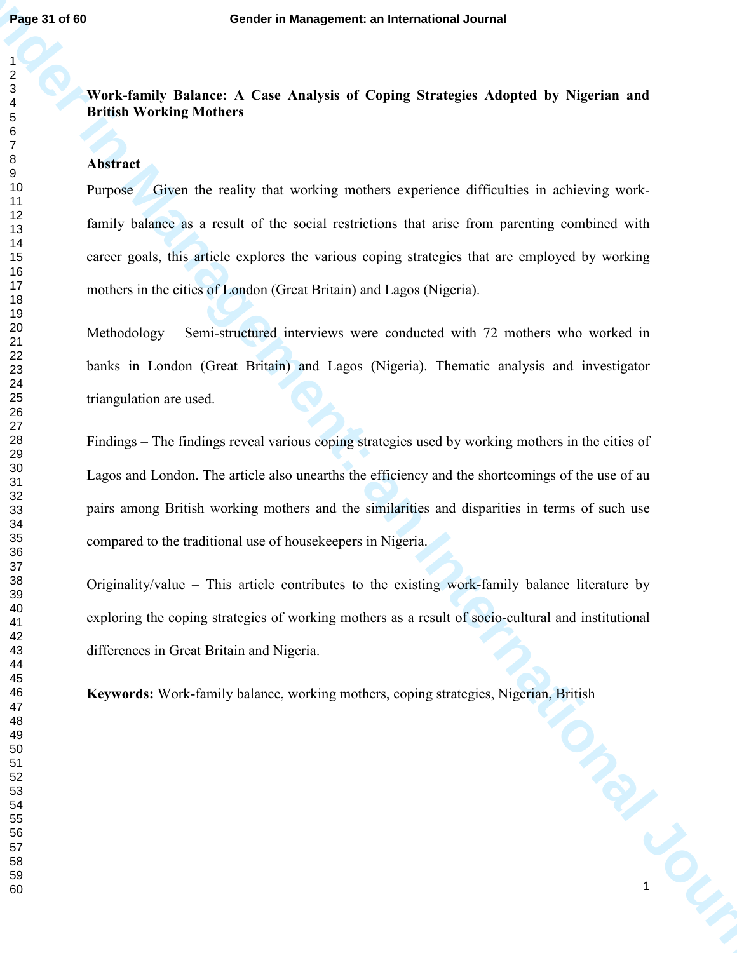#### **Work-family Balance: A Case Analysis of Coping Strategies Adopted by Nigerian and British Working Mothers**

#### **Abstract**

**Fage 31 of 63**<br> **Gender in Management: an International Journal**<br> **Gender in Management: an International Journal Diversion and<br>
<b>Control Management:** Civer the reality that wristing trailers experience difficulation in a Purpose – Given the reality that working mothers experience difficulties in achieving workfamily balance as a result of the social restrictions that arise from parenting combined with career goals, this article explores the various coping strategies that are employed by working mothers in the cities of London (Great Britain) and Lagos (Nigeria).

Methodology – Semi-structured interviews were conducted with 72 mothers who worked in banks in London (Great Britain) and Lagos (Nigeria). Thematic analysis and investigator triangulation are used.

Findings – The findings reveal various coping strategies used by working mothers in the cities of Lagos and London. The article also unearths the efficiency and the shortcomings of the use of au pairs among British working mothers and the similarities and disparities in terms of such use compared to the traditional use of housekeepers in Nigeria.

Originality/value – This article contributes to the existing work-family balance literature by exploring the coping strategies of working mothers as a result of socio-cultural and institutional differences in Great Britain and Nigeria.

**Keywords:** Work-family balance, working mothers, coping strategies, Nigerian, British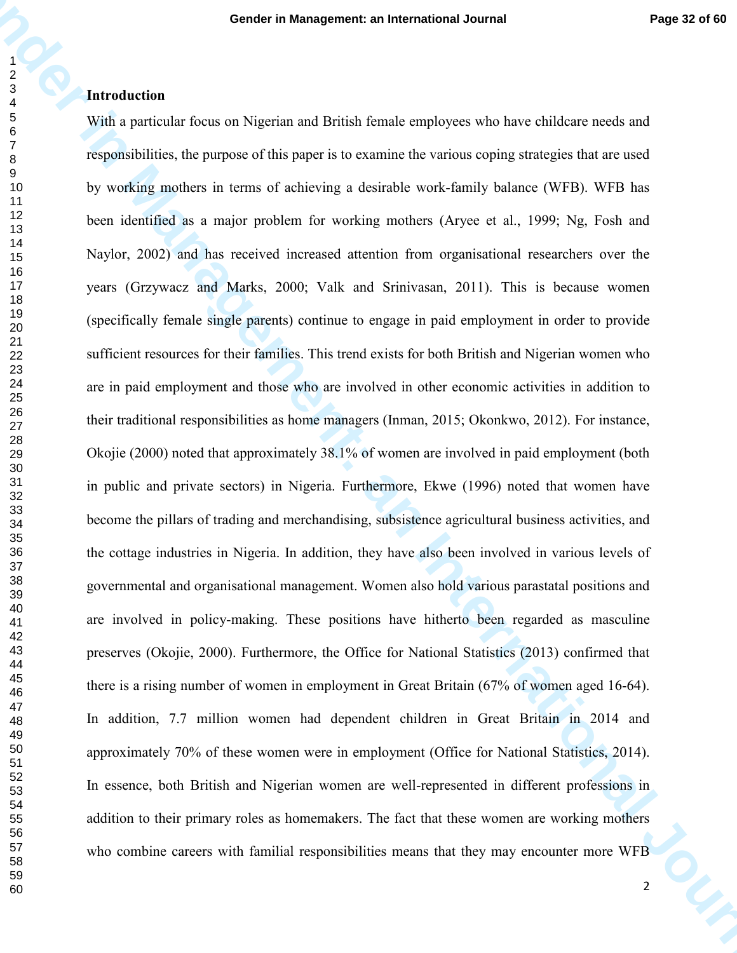#### **Introduction**

**Gender in Management: an International Journal Proper Experiments (According the System of the System of the System Christmas Control Christmas Control Christmas Control Christmas Control Christmas Control Christmas Contr** With a particular focus on Nigerian and British female employees who have childcare needs and responsibilities, the purpose of this paper is to examine the various coping strategies that are used by working mothers in terms of achieving a desirable work-family balance (WFB). WFB has been identified as a major problem for working mothers (Aryee et al., 1999; Ng, Fosh and Naylor, 2002) and has received increased attention from organisational researchers over the years (Grzywacz and Marks, 2000; Valk and Srinivasan, 2011). This is because women (specifically female single parents) continue to engage in paid employment in order to provide sufficient resources for their families. This trend exists for both British and Nigerian women who are in paid employment and those who are involved in other economic activities in addition to their traditional responsibilities as home managers (Inman, 2015; Okonkwo, 2012). For instance, Okojie (2000) noted that approximately 38.1% of women are involved in paid employment (both in public and private sectors) in Nigeria. Furthermore, Ekwe (1996) noted that women have become the pillars of trading and merchandising, subsistence agricultural business activities, and the cottage industries in Nigeria. In addition, they have also been involved in various levels of governmental and organisational management. Women also hold various parastatal positions and are involved in policy-making. These positions have hitherto been regarded as masculine preserves (Okojie, 2000). Furthermore, the Office for National Statistics (2013) confirmed that there is a rising number of women in employment in Great Britain (67% of women aged 16-64). In addition, 7.7 million women had dependent children in Great Britain in 2014 and approximately 70% of these women were in employment (Office for National Statistics, 2014). In essence, both British and Nigerian women are well-represented in different professions in addition to their primary roles as homemakers. The fact that these women are working mothers who combine careers with familial responsibilities means that they may encounter more WFB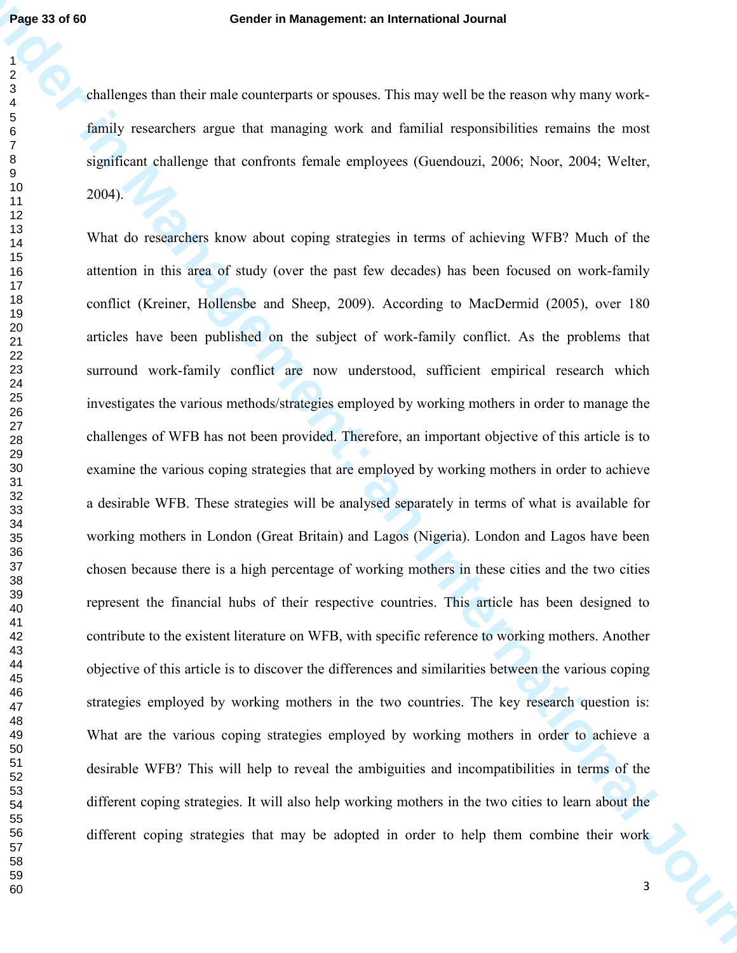challenges than their male counterparts or spouses. This may well be the reason why many workfamily researchers argue that managing work and familial responsibilities remains the most significant challenge that confronts female employees (Guendouzi, 2006; Noor, 2004; Welter, 2004).

**Fage 31 of 63**<br> **Gender in Management: an International Journal**<br> **Gender in Management:** an International Journal of the University of the University of the University Section<br> **General University researches** cargonic st What do researchers know about coping strategies in terms of achieving WFB? Much of the attention in this area of study (over the past few decades) has been focused on work-family conflict (Kreiner, Hollensbe and Sheep, 2009). According to MacDermid (2005), over 180 articles have been published on the subject of work-family conflict. As the problems that surround work-family conflict are now understood, sufficient empirical research which investigates the various methods/strategies employed by working mothers in order to manage the challenges of WFB has not been provided. Therefore, an important objective of this article is to examine the various coping strategies that are employed by working mothers in order to achieve a desirable WFB. These strategies will be analysed separately in terms of what is available for working mothers in London (Great Britain) and Lagos (Nigeria). London and Lagos have been chosen because there is a high percentage of working mothers in these cities and the two cities represent the financial hubs of their respective countries. This article has been designed to contribute to the existent literature on WFB, with specific reference to working mothers. Another objective of this article is to discover the differences and similarities between the various coping strategies employed by working mothers in the two countries. The key research question is: What are the various coping strategies employed by working mothers in order to achieve a desirable WFB? This will help to reveal the ambiguities and incompatibilities in terms of the different coping strategies. It will also help working mothers in the two cities to learn about the different coping strategies that may be adopted in order to help them combine their work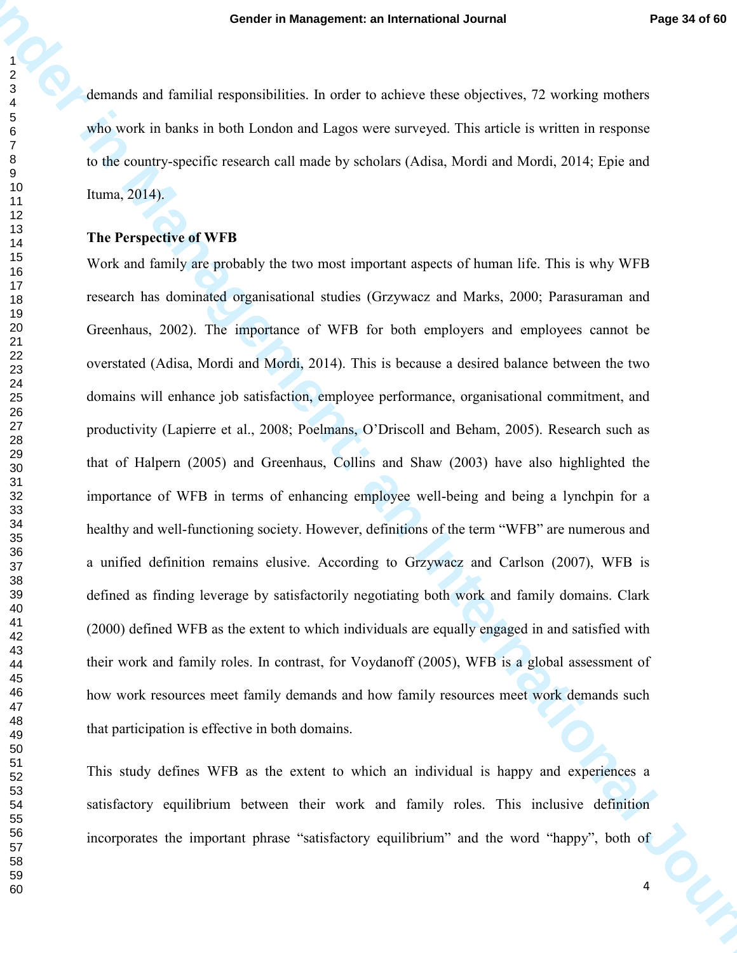demands and familial responsibilities. In order to achieve these objectives, 72 working mothers who work in banks in both London and Lagos were surveyed. This article is written in response to the country-specific research call made by scholars (Adisa, Mordi and Mordi, 2014; Epie and Ituma, 2014).

#### **The Perspective of WFB**

**Gender in Management: an International Journal Propries and Security American Security American Security American Security American Security American Security American Security American Security American Security American** Work and family are probably the two most important aspects of human life. This is why WFB research has dominated organisational studies (Grzywacz and Marks, 2000; Parasuraman and Greenhaus, 2002). The importance of WFB for both employers and employees cannot be overstated (Adisa, Mordi and Mordi, 2014). This is because a desired balance between the two domains will enhance job satisfaction, employee performance, organisational commitment, and productivity (Lapierre et al., 2008; Poelmans, O'Driscoll and Beham, 2005). Research such as that of Halpern (2005) and Greenhaus, Collins and Shaw (2003) have also highlighted the importance of WFB in terms of enhancing employee well-being and being a lynchpin for a healthy and well-functioning society. However, definitions of the term "WFB" are numerous and a unified definition remains elusive. According to Grzywacz and Carlson (2007), WFB is defined as finding leverage by satisfactorily negotiating both work and family domains. Clark (2000) defined WFB as the extent to which individuals are equally engaged in and satisfied with their work and family roles. In contrast, for Voydanoff (2005), WFB is a global assessment of how work resources meet family demands and how family resources meet work demands such that participation is effective in both domains.

This study defines WFB as the extent to which an individual is happy and experiences a satisfactory equilibrium between their work and family roles. This inclusive definition incorporates the important phrase "satisfactory equilibrium" and the word "happy", both of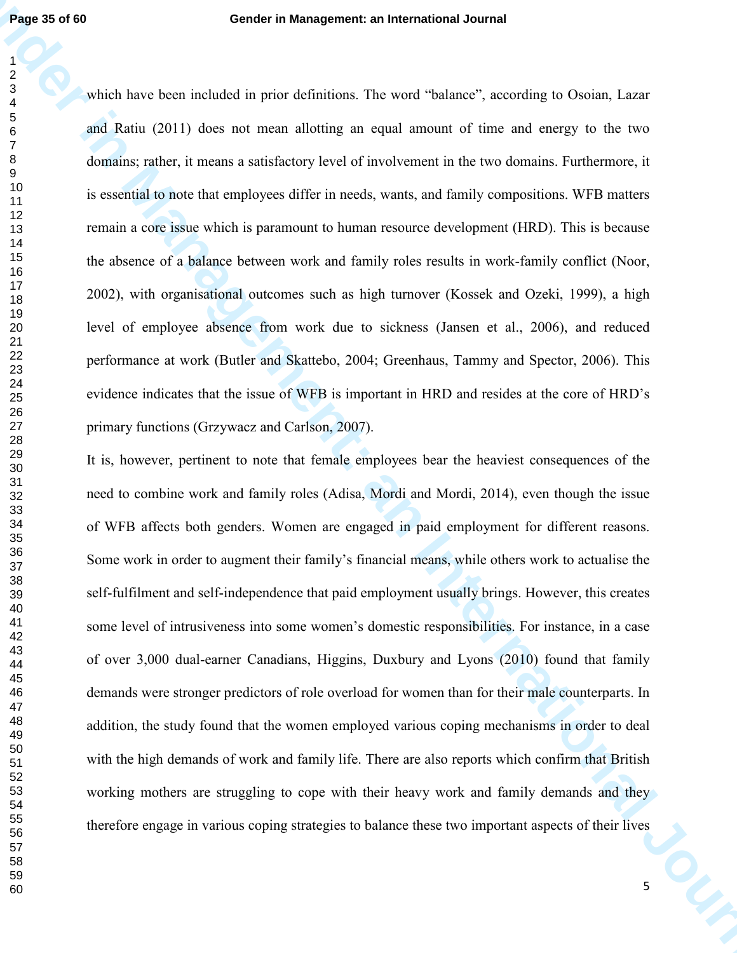which have been included in prior definitions. The word "balance", according to Osoian, Lazar and Ratiu (2011) does not mean allotting an equal amount of time and energy to the two domains; rather, it means a satisfactory level of involvement in the two domains. Furthermore, it is essential to note that employees differ in needs, wants, and family compositions. WFB matters remain a core issue which is paramount to human resource development (HRD). This is because the absence of a balance between work and family roles results in work-family conflict (Noor, 2002), with organisational outcomes such as high turnover (Kossek and Ozeki, 1999), a high level of employee absence from work due to sickness (Jansen et al., 2006), and reduced performance at work (Butler and Skattebo, 2004; Greenhaus, Tammy and Spector, 2006). This evidence indicates that the issue of WFB is important in HRD and resides at the core of HRD's primary functions (Grzywacz and Carlson, 2007).

**Fage 25 of 68**<br>**Gender in Management: an International Journal (16)**<br> $\frac{2}{5}$ <br>which have been included in proor definitions. The word "halome", according to Oronic, Lazar<br>of and Rain (2011) does not mean alisting: an equ It is, however, pertinent to note that female employees bear the heaviest consequences of the need to combine work and family roles (Adisa, Mordi and Mordi, 2014), even though the issue of WFB affects both genders. Women are engaged in paid employment for different reasons. Some work in order to augment their family's financial means, while others work to actualise the self-fulfilment and self-independence that paid employment usually brings. However, this creates some level of intrusiveness into some women's domestic responsibilities. For instance, in a case of over 3,000 dual-earner Canadians, Higgins, Duxbury and Lyons (2010) found that family demands were stronger predictors of role overload for women than for their male counterparts. In addition, the study found that the women employed various coping mechanisms in order to deal with the high demands of work and family life. There are also reports which confirm that British working mothers are struggling to cope with their heavy work and family demands and they therefore engage in various coping strategies to balance these two important aspects of their lives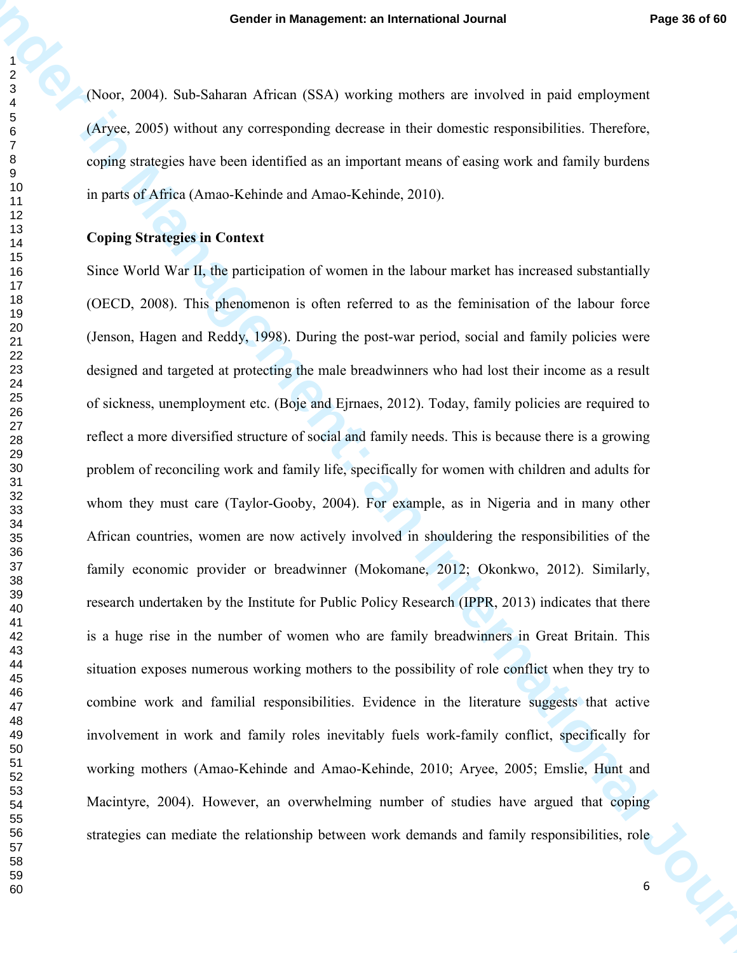(Noor, 2004). Sub-Saharan African (SSA) working mothers are involved in paid employment (Aryee, 2005) without any corresponding decrease in their domestic responsibilities. Therefore, coping strategies have been identified as an important means of easing work and family burdens in parts of Africa (Amao-Kehinde and Amao-Kehinde, 2010).

#### **Coping Strategies in Context**

**Gender in Management: an International Journal Proper Box 17.1**<br>
Cone, 2005). Schif-Manuse: Alibace (SSA) woulding mathes are involved in paid compleyment<br>  $\frac{2}{5}$ <br>
Conjugar 2005) without any interneteding decrease in t Since World War II, the participation of women in the labour market has increased substantially (OECD, 2008). This phenomenon is often referred to as the feminisation of the labour force (Jenson, Hagen and Reddy, 1998). During the post-war period, social and family policies were designed and targeted at protecting the male breadwinners who had lost their income as a result of sickness, unemployment etc. (Boje and Ejrnaes, 2012). Today, family policies are required to reflect a more diversified structure of social and family needs. This is because there is a growing problem of reconciling work and family life, specifically for women with children and adults for whom they must care (Taylor-Gooby, 2004). For example, as in Nigeria and in many other African countries, women are now actively involved in shouldering the responsibilities of the family economic provider or breadwinner (Mokomane, 2012; Okonkwo, 2012). Similarly, research undertaken by the Institute for Public Policy Research (IPPR, 2013) indicates that there is a huge rise in the number of women who are family breadwinners in Great Britain. This situation exposes numerous working mothers to the possibility of role conflict when they try to combine work and familial responsibilities. Evidence in the literature suggests that active involvement in work and family roles inevitably fuels work-family conflict, specifically for working mothers (Amao-Kehinde and Amao-Kehinde, 2010; Aryee, 2005; Emslie, Hunt and Macintyre, 2004). However, an overwhelming number of studies have argued that coping strategies can mediate the relationship between work demands and family responsibilities, role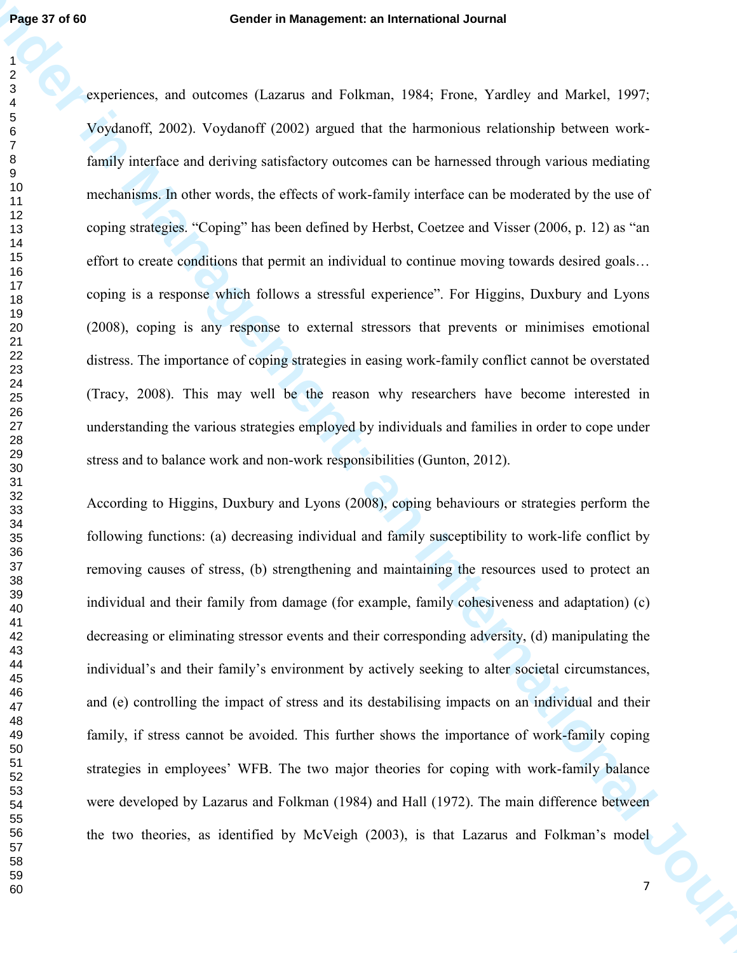**Fage 37 of 68**<br>**Gender in Management: an International Journal**<br> **Gender in Management:** and Indicates Theorem Yank Point Yank Point Contact The Contact Theorem in the System of The Contact Theorem in the Contact Theorem experiences, and outcomes (Lazarus and Folkman, 1984; Frone, Yardley and Markel, 1997; Voydanoff, 2002). Voydanoff (2002) argued that the harmonious relationship between workfamily interface and deriving satisfactory outcomes can be harnessed through various mediating mechanisms. In other words, the effects of work-family interface can be moderated by the use of coping strategies. "Coping" has been defined by Herbst, Coetzee and Visser (2006, p. 12) as "an effort to create conditions that permit an individual to continue moving towards desired goals… coping is a response which follows a stressful experience". For Higgins, Duxbury and Lyons (2008), coping is any response to external stressors that prevents or minimises emotional distress. The importance of coping strategies in easing work-family conflict cannot be overstated (Tracy, 2008). This may well be the reason why researchers have become interested in understanding the various strategies employed by individuals and families in order to cope under stress and to balance work and non-work responsibilities (Gunton, 2012).

According to Higgins, Duxbury and Lyons (2008), coping behaviours or strategies perform the following functions: (a) decreasing individual and family susceptibility to work-life conflict by removing causes of stress, (b) strengthening and maintaining the resources used to protect an individual and their family from damage (for example, family cohesiveness and adaptation) (c) decreasing or eliminating stressor events and their corresponding adversity, (d) manipulating the individual's and their family's environment by actively seeking to alter societal circumstances, and (e) controlling the impact of stress and its destabilising impacts on an individual and their family, if stress cannot be avoided. This further shows the importance of work-family coping strategies in employees' WFB. The two major theories for coping with work-family balance were developed by Lazarus and Folkman (1984) and Hall (1972). The main difference between the two theories, as identified by McVeigh (2003), is that Lazarus and Folkman's model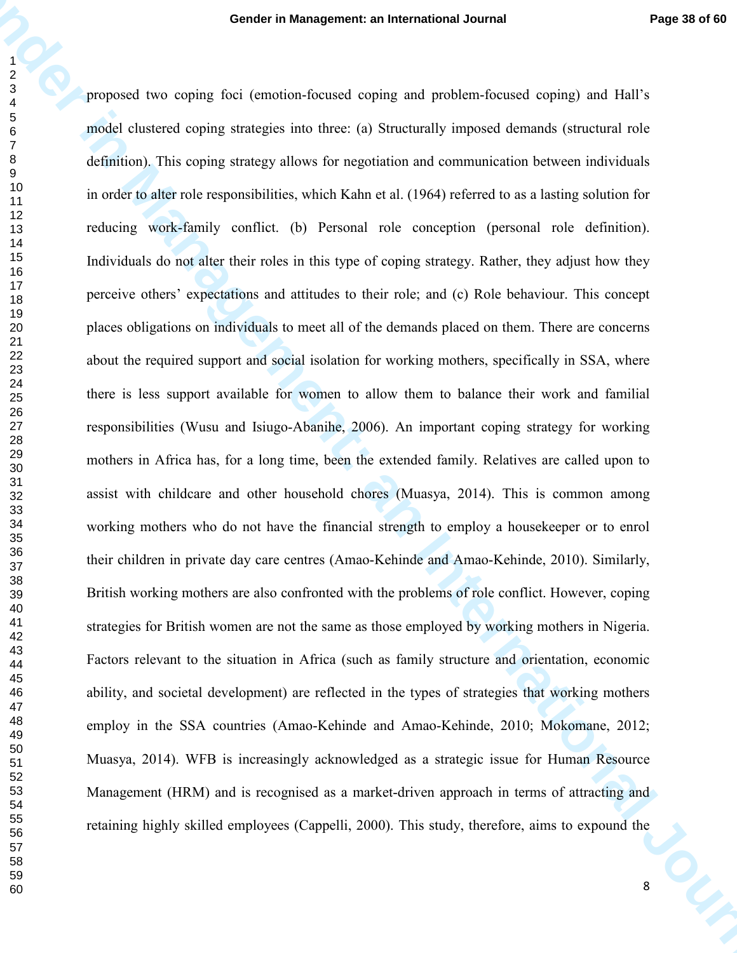**Gender in Management: an International Journal Proposition**<br> **Gender in the spin proposition** is the small proposition and problem focused unique problem in the spin and the small change of the spin and the small of the s proposed two coping foci (emotion-focused coping and problem-focused coping) and Hall's model clustered coping strategies into three: (a) Structurally imposed demands (structural role definition). This coping strategy allows for negotiation and communication between individuals in order to alter role responsibilities, which Kahn et al. (1964) referred to as a lasting solution for reducing work-family conflict. (b) Personal role conception (personal role definition). Individuals do not alter their roles in this type of coping strategy. Rather, they adjust how they perceive others' expectations and attitudes to their role; and (c) Role behaviour. This concept places obligations on individuals to meet all of the demands placed on them. There are concerns about the required support and social isolation for working mothers, specifically in SSA, where there is less support available for women to allow them to balance their work and familial responsibilities (Wusu and Isiugo-Abanihe, 2006). An important coping strategy for working mothers in Africa has, for a long time, been the extended family. Relatives are called upon to assist with childcare and other household chores (Muasya, 2014). This is common among working mothers who do not have the financial strength to employ a housekeeper or to enrol their children in private day care centres (Amao-Kehinde and Amao-Kehinde, 2010). Similarly, British working mothers are also confronted with the problems of role conflict. However, coping strategies for British women are not the same as those employed by working mothers in Nigeria. Factors relevant to the situation in Africa (such as family structure and orientation, economic ability, and societal development) are reflected in the types of strategies that working mothers employ in the SSA countries (Amao-Kehinde and Amao-Kehinde, 2010; Mokomane, 2012; Muasya, 2014). WFB is increasingly acknowledged as a strategic issue for Human Resource Management (HRM) and is recognised as a market-driven approach in terms of attracting and retaining highly skilled employees (Cappelli, 2000). This study, therefore, aims to expound the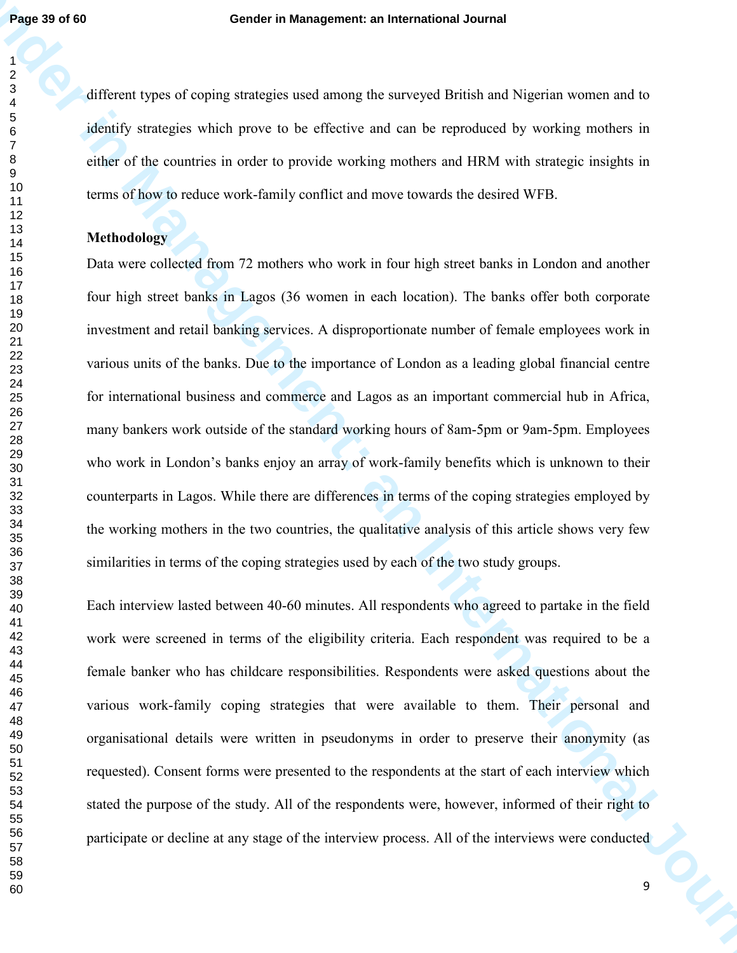different types of coping strategies used among the surveyed British and Nigerian women and to identify strategies which prove to be effective and can be reproduced by working mothers in either of the countries in order to provide working mothers and HRM with strategic insights in terms of how to reduce work-family conflict and move towards the desired WFB.

#### **Methodology**

**Fage 21 of 60**<br>**Gender in Management: an International Journal of the distribution of the strength of the contribution of the contribution of the contribution of the contribution of the contribution of the contribution of** Data were collected from 72 mothers who work in four high street banks in London and another four high street banks in Lagos (36 women in each location). The banks offer both corporate investment and retail banking services. A disproportionate number of female employees work in various units of the banks. Due to the importance of London as a leading global financial centre for international business and commerce and Lagos as an important commercial hub in Africa, many bankers work outside of the standard working hours of 8am-5pm or 9am-5pm. Employees who work in London's banks enjoy an array of work-family benefits which is unknown to their counterparts in Lagos. While there are differences in terms of the coping strategies employed by the working mothers in the two countries, the qualitative analysis of this article shows very few similarities in terms of the coping strategies used by each of the two study groups.

Each interview lasted between 40-60 minutes. All respondents who agreed to partake in the field work were screened in terms of the eligibility criteria. Each respondent was required to be a female banker who has childcare responsibilities. Respondents were asked questions about the various work-family coping strategies that were available to them. Their personal and organisational details were written in pseudonyms in order to preserve their anonymity (as requested). Consent forms were presented to the respondents at the start of each interview which stated the purpose of the study. All of the respondents were, however, informed of their right to participate or decline at any stage of the interview process. All of the interviews were conducted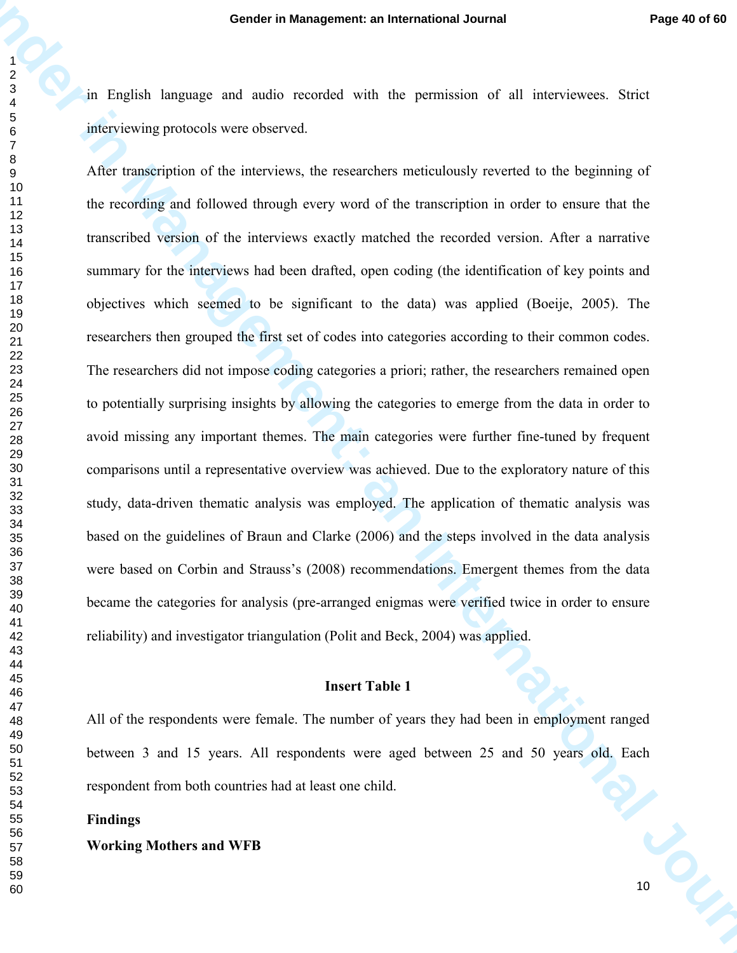in English language and audio recorded with the permission of all interviewees. Strict interviewing protocols were observed.

**Gender in Management: an International Journal Propose Control<br>
2 and interviewing probability and stable viscolational with the permission of all interviewes. Nurel interviewes the management of the interviewe, the manuf** After transcription of the interviews, the researchers meticulously reverted to the beginning of the recording and followed through every word of the transcription in order to ensure that the transcribed version of the interviews exactly matched the recorded version. After a narrative summary for the interviews had been drafted, open coding (the identification of key points and objectives which seemed to be significant to the data) was applied (Boeije, 2005). The researchers then grouped the first set of codes into categories according to their common codes. The researchers did not impose coding categories a priori; rather, the researchers remained open to potentially surprising insights by allowing the categories to emerge from the data in order to avoid missing any important themes. The main categories were further fine-tuned by frequent comparisons until a representative overview was achieved. Due to the exploratory nature of this study, data-driven thematic analysis was employed. The application of thematic analysis was based on the guidelines of Braun and Clarke (2006) and the steps involved in the data analysis were based on Corbin and Strauss's (2008) recommendations. Emergent themes from the data became the categories for analysis (pre-arranged enigmas were verified twice in order to ensure reliability) and investigator triangulation (Polit and Beck, 2004) was applied.

#### **Insert Table 1**

1 Long All of the respondents were female. The number of years they had been in employment ranged between 3 and 15 years. All respondents were aged between 25 and 50 years old. Each respondent from both countries had at least one child.

**Findings** 

**Working Mothers and WFB**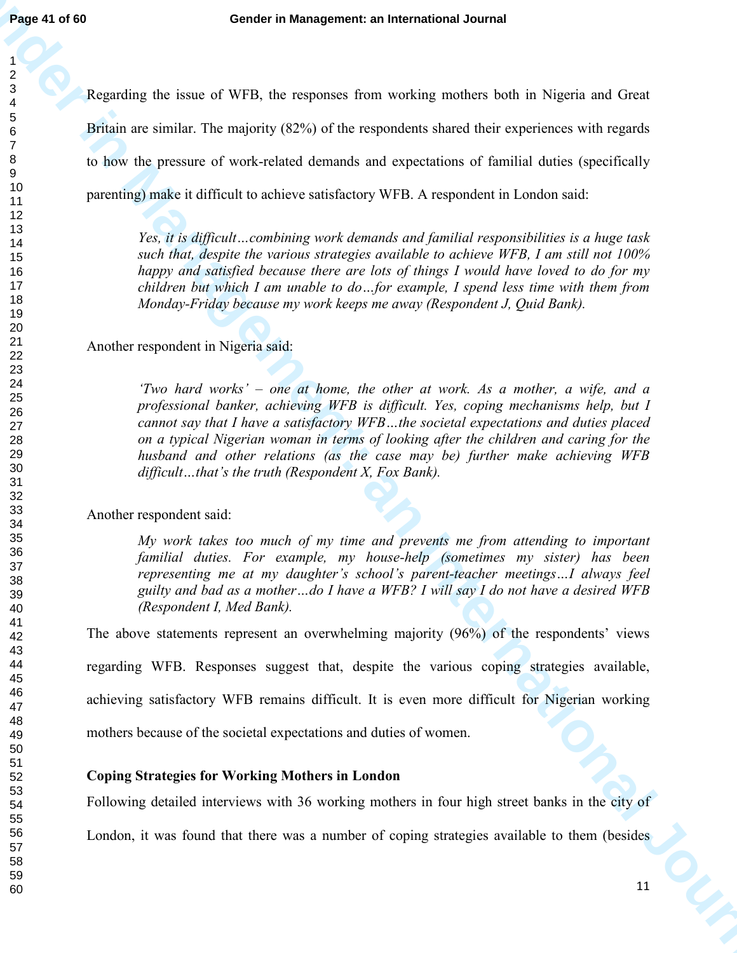**Frogs 41 of 63**<br> **Gendering** the two-or of W130 the responses from venturing modesn both in Nigeria and Creat<br> **General or** Registration Construction of the metallic metallic metallic metallic equations<br> **Constrained**<br> Regarding the issue of WFB, the responses from working mothers both in Nigeria and Great Britain are similar. The majority (82%) of the respondents shared their experiences with regards to how the pressure of work-related demands and expectations of familial duties (specifically parenting) make it difficult to achieve satisfactory WFB. A respondent in London said:

*Yes, it is difficult…combining work demands and familial responsibilities is a huge task such that, despite the various strategies available to achieve WFB, I am still not 100% happy and satisfied because there are lots of things I would have loved to do for my children but which I am unable to do…for example, I spend less time with them from Monday-Friday because my work keeps me away (Respondent J, Quid Bank).* 

Another respondent in Nigeria said:

*'Two hard works' – one at home, the other at work. As a mother, a wife, and a professional banker, achieving WFB is difficult. Yes, coping mechanisms help, but I cannot say that I have a satisfactory WFB…the societal expectations and duties placed on a typical Nigerian woman in terms of looking after the children and caring for the husband and other relations (as the case may be) further make achieving WFB difficult…that's the truth (Respondent X, Fox Bank).* 

Another respondent said:

*My work takes too much of my time and prevents me from attending to important familial duties. For example, my house-help (sometimes my sister) has been representing me at my daughter's school's parent-teacher meetings…I always feel guilty and bad as a mother…do I have a WFB? I will say I do not have a desired WFB (Respondent I, Med Bank).* 

The above statements represent an overwhelming majority (96%) of the respondents' views regarding WFB. Responses suggest that, despite the various coping strategies available, achieving satisfactory WFB remains difficult. It is even more difficult for Nigerian working mothers because of the societal expectations and duties of women.

#### **Coping Strategies for Working Mothers in London**

Following detailed interviews with 36 working mothers in four high street banks in the city of

London, it was found that there was a number of coping strategies available to them (besides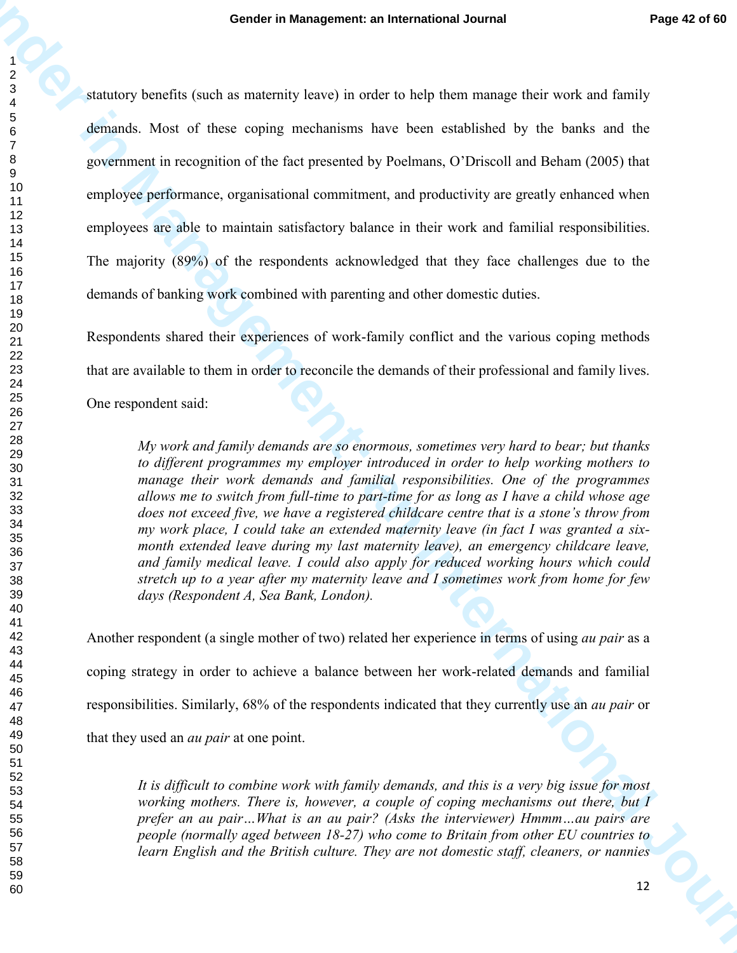**Gender in Management: an International Journal Page 42 of 66**<br> **Gender in Management:** A statistic (vech as maintring leave) in under tail for the international Journal Earthly<br> **Generalis.** Man, all these expressions res statutory benefits (such as maternity leave) in order to help them manage their work and family demands. Most of these coping mechanisms have been established by the banks and the government in recognition of the fact presented by Poelmans, O'Driscoll and Beham (2005) that employee performance, organisational commitment, and productivity are greatly enhanced when employees are able to maintain satisfactory balance in their work and familial responsibilities. The majority (89%) of the respondents acknowledged that they face challenges due to the demands of banking work combined with parenting and other domestic duties.

Respondents shared their experiences of work-family conflict and the various coping methods that are available to them in order to reconcile the demands of their professional and family lives. One respondent said:

*My work and family demands are so enormous, sometimes very hard to bear; but thanks to different programmes my employer introduced in order to help working mothers to manage their work demands and familial responsibilities. One of the programmes allows me to switch from full-time to part-time for as long as I have a child whose age does not exceed five, we have a registered childcare centre that is a stone's throw from my work place, I could take an extended maternity leave (in fact I was granted a sixmonth extended leave during my last maternity leave), an emergency childcare leave, and family medical leave. I could also apply for reduced working hours which could stretch up to a year after my maternity leave and I sometimes work from home for few days (Respondent A, Sea Bank, London).* 

Another respondent (a single mother of two) related her experience in terms of using *au pair* as a coping strategy in order to achieve a balance between her work-related demands and familial responsibilities. Similarly, 68% of the respondents indicated that they currently use an *au pair* or that they used an *au pair* at one point.

*It is difficult to combine work with family demands, and this is a very big issue for most working mothers. There is, however, a couple of coping mechanisms out there, but I prefer an au pair…What is an au pair? (Asks the interviewer) Hmmm…au pairs are people (normally aged between 18-27) who come to Britain from other EU countries to learn English and the British culture. They are not domestic staff, cleaners, or nannies*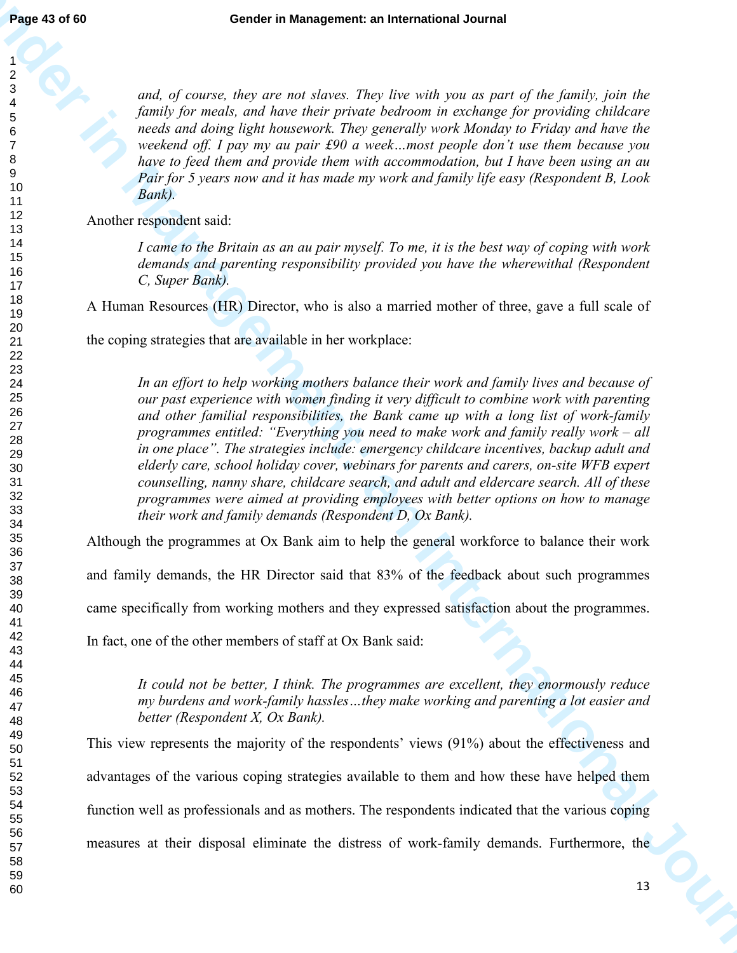*and, of course, they are not slaves. They live with you as part of the family, join the family for meals, and have their private bedroom in exchange for providing childcare needs and doing light housework. They generally work Monday to Friday and have the weekend off. I pay my au pair £90 a week…most people don't use them because you have to feed them and provide them with accommodation, but I have been using an au Pair for 5 years now and it has made my work and family life easy (Respondent B, Look Bank).* 

Another respondent said:

*I came to the Britain as an au pair myself. To me, it is the best way of coping with work demands and parenting responsibility provided you have the wherewithal (Respondent C, Super Bank).* 

A Human Resources (HR) Director, who is also a married mother of three, gave a full scale of

the coping strategies that are available in her workplace:

**Frage 43 of 68**<br> **Gender in Management: an International Journal particular is a method of the function of the function function**  $\frac{2}{5}$  **and the continue of the particular international Journal of the particular interna** *In an effort to help working mothers balance their work and family lives and because of our past experience with women finding it very difficult to combine work with parenting and other familial responsibilities, the Bank came up with a long list of work-family programmes entitled: "Everything you need to make work and family really work – all in one place". The strategies include: emergency childcare incentives, backup adult and elderly care, school holiday cover, webinars for parents and carers, on-site WFB expert counselling, nanny share, childcare search, and adult and eldercare search. All of these programmes were aimed at providing employees with better options on how to manage their work and family demands (Respondent D, Ox Bank).* 

Although the programmes at Ox Bank aim to help the general workforce to balance their work

and family demands, the HR Director said that 83% of the feedback about such programmes

came specifically from working mothers and they expressed satisfaction about the programmes.

In fact, one of the other members of staff at Ox Bank said:

*It could not be better, I think. The programmes are excellent, they enormously reduce my burdens and work-family hassles…they make working and parenting a lot easier and better (Respondent X, Ox Bank).* 

This view represents the majority of the respondents' views (91%) about the effectiveness and advantages of the various coping strategies available to them and how these have helped them function well as professionals and as mothers. The respondents indicated that the various coping measures at their disposal eliminate the distress of work-family demands. Furthermore, the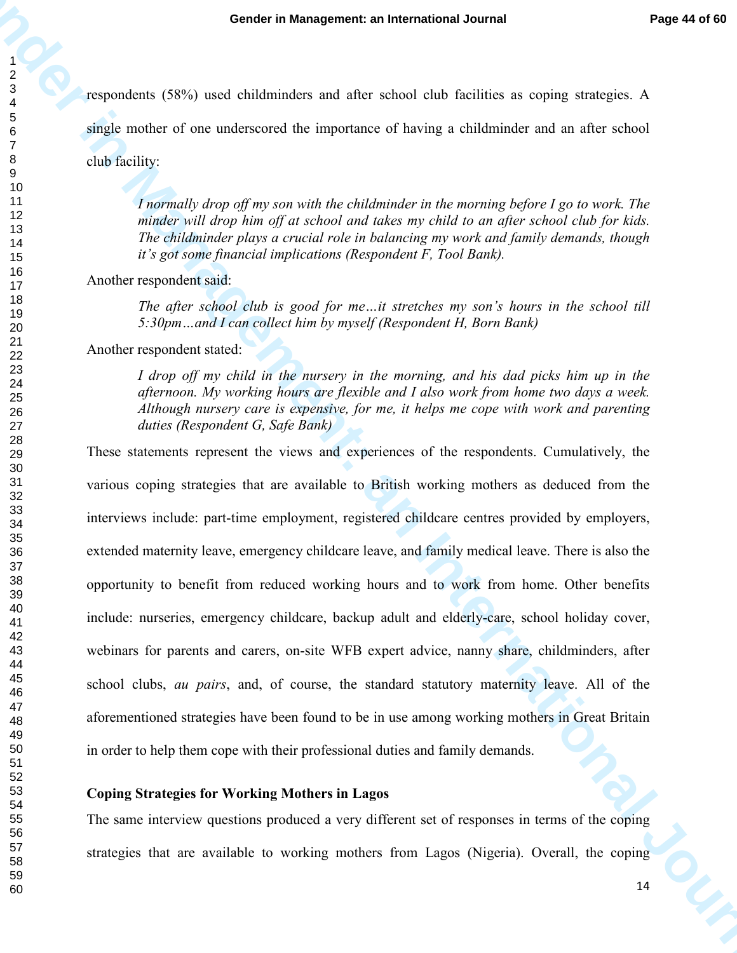respondents (58%) used childminders and after school club facilities as coping strategies. A single mother of one underscored the importance of having a childminder and an after school club facility:

*I normally drop off my son with the childminder in the morning before I go to work. The minder will drop him off at school and takes my child to an after school club for kids. The childminder plays a crucial role in balancing my work and family demands, though it's got some financial implications (Respondent F, Tool Bank).* 

Another respondent said:

*The after school club is good for me…it stretches my son's hours in the school till 5:30pm…and I can collect him by myself (Respondent H, Born Bank)* 

Another respondent stated:

*I drop off my child in the nursery in the morning, and his dad picks him up in the afternoon. My working hours are flexible and I also work from home two days a week. Although nursery care is expensive, for me, it helps me cope with work and parenting duties (Respondent G, Safe Bank)* 

**Gender in Management: an International Journal Progression**<br> **Gender in Management:** and also solind table lacking a strigger A strigger of the results of the strigger of the orientation of the strigger of the results of These statements represent the views and experiences of the respondents. Cumulatively, the various coping strategies that are available to British working mothers as deduced from the interviews include: part-time employment, registered childcare centres provided by employers, extended maternity leave, emergency childcare leave, and family medical leave. There is also the opportunity to benefit from reduced working hours and to work from home. Other benefits include: nurseries, emergency childcare, backup adult and elderly-care, school holiday cover, webinars for parents and carers, on-site WFB expert advice, nanny share, childminders, after school clubs, *au pairs*, and, of course, the standard statutory maternity leave. All of the aforementioned strategies have been found to be in use among working mothers in Great Britain in order to help them cope with their professional duties and family demands.

#### **Coping Strategies for Working Mothers in Lagos**

The same interview questions produced a very different set of responses in terms of the coping strategies that are available to working mothers from Lagos (Nigeria). Overall, the coping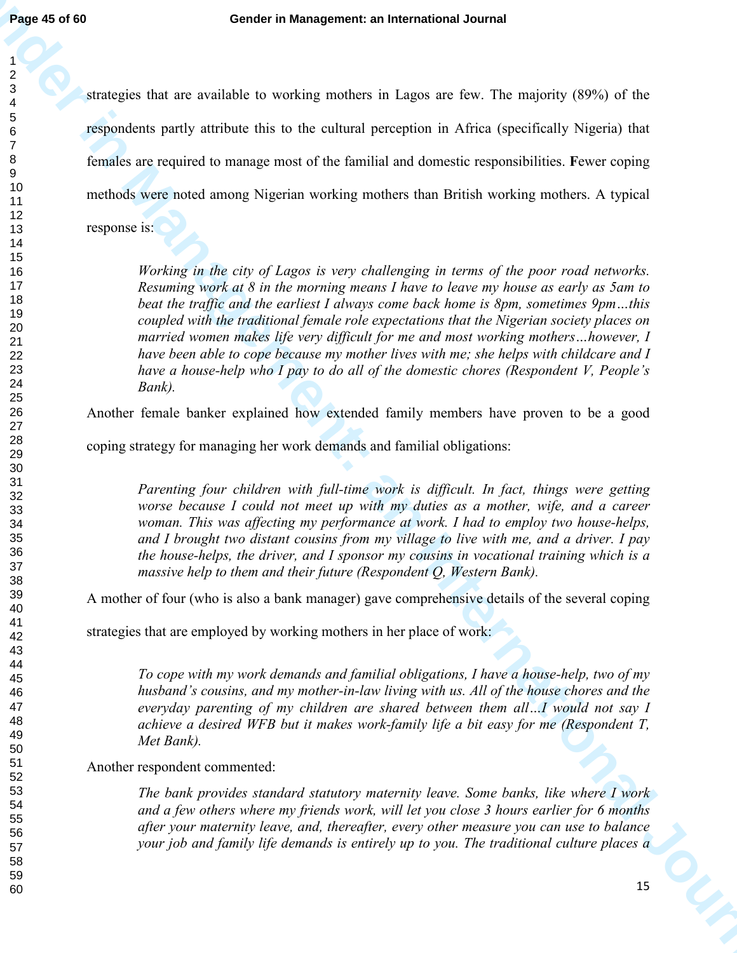**Frage 42 of 63**<br> **Gender in Management: an International Journal 2**<br> **Gender in Management:** an International Journal 1 and the state of the state of the state of the state of the state of the state of the state of the st strategies that are available to working mothers in Lagos are few. The majority (89%) of the respondents partly attribute this to the cultural perception in Africa (specifically Nigeria) that females are required to manage most of the familial and domestic responsibilities. **F**ewer coping methods were noted among Nigerian working mothers than British working mothers. A typical response is:

*Working in the city of Lagos is very challenging in terms of the poor road networks. Resuming work at 8 in the morning means I have to leave my house as early as 5am to beat the traffic and the earliest I always come back home is 8pm, sometimes 9pm…this coupled with the traditional female role expectations that the Nigerian society places on married women makes life very difficult for me and most working mothers...however, I have been able to cope because my mother lives with me; she helps with childcare and I have a house-help who I pay to do all of the domestic chores (Respondent V, People's Bank).* 

Another female banker explained how extended family members have proven to be a good

coping strategy for managing her work demands and familial obligations:

*Parenting four children with full-time work is difficult. In fact, things were getting worse because I could not meet up with my duties as a mother, wife, and a career woman. This was affecting my performance at work. I had to employ two house-helps, and I brought two distant cousins from my village to live with me, and a driver. I pay the house-helps, the driver, and I sponsor my cousins in vocational training which is a massive help to them and their future (Respondent Q, Western Bank).* 

A mother of four (who is also a bank manager) gave comprehensive details of the several coping

strategies that are employed by working mothers in her place of work:

*To cope with my work demands and familial obligations, I have a house-help, two of my husband's cousins, and my mother-in-law living with us. All of the house chores and the everyday parenting of my children are shared between them all…I would not say I achieve a desired WFB but it makes work-family life a bit easy for me (Respondent T, Met Bank).* 

Another respondent commented:

*The bank provides standard statutory maternity leave. Some banks, like where I work and a few others where my friends work, will let you close 3 hours earlier for 6 months after your maternity leave, and, thereafter, every other measure you can use to balance your job and family life demands is entirely up to you. The traditional culture places a*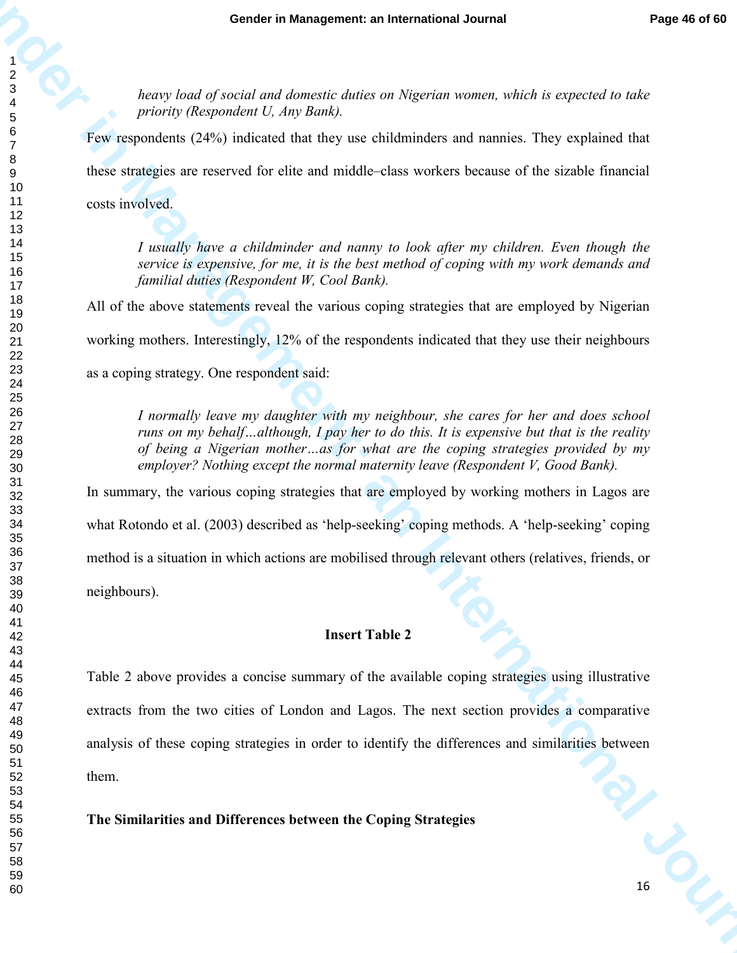*heavy load of social and domestic duties on Nigerian women, which is expected to take priority (Respondent U, Any Bank).* 

Few respondents (24%) indicated that they use childminders and nannies. They explained that

these strategies are reserved for elite and middle–class workers because of the sizable financial

costs involved.

*I usually have a childminder and nanny to look after my children. Even though the service is expensive, for me, it is the best method of coping with my work demands and familial duties (Respondent W, Cool Bank).* 

All of the above statements reveal the various coping strategies that are employed by Nigerian

working mothers. Interestingly, 12% of the respondents indicated that they use their neighbours

as a coping strategy. One respondent said:

*I normally leave my daughter with my neighbour, she cares for her and does school runs on my behalf…although, I pay her to do this. It is expensive but that is the reality of being a Nigerian mother…as for what are the coping strategies provided by my employer? Nothing except the normal maternity leave (Respondent V, Good Bank).* 

In summary, the various coping strategies that are employed by working mothers in Lagos are

what Rotondo et al. (2003) described as 'help-seeking' coping methods. A 'help-seeking' coping

method is a situation in which actions are mobilised through relevant others (relatives, friends, or neighbours).

#### **Insert Table 2**

**Gender in Management: an International Journal Properties**<br> **Gender in Management:** (1.197 fluxe)<br> **For the computer in the control of the set of the method of the set of the set of the set of the set of the simple<br>
<b>For** Table 2 above provides a concise summary of the available coping strategies using illustrative extracts from the two cities of London and Lagos. The next section provides a comparative analysis of these coping strategies in order to identify the differences and similarities between them.

**The Similarities and Differences between the Coping Strategies**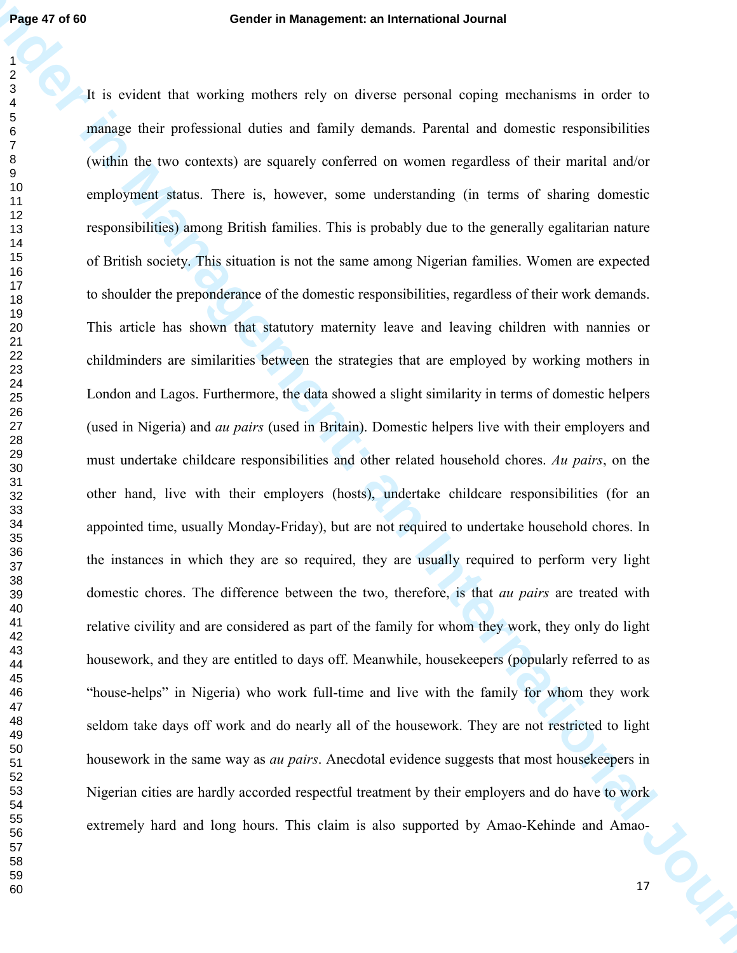**Frage 47 of 68**<br> **Gender in Management: an International Journal**<br> **A** in evolution that woulders mathers only on these promoted temperature responsibilities<br> **Consider the professional datter and family demands. Procedur** It is evident that working mothers rely on diverse personal coping mechanisms in order to manage their professional duties and family demands. Parental and domestic responsibilities (within the two contexts) are squarely conferred on women regardless of their marital and/or employment status. There is, however, some understanding (in terms of sharing domestic responsibilities) among British families. This is probably due to the generally egalitarian nature of British society. This situation is not the same among Nigerian families. Women are expected to shoulder the preponderance of the domestic responsibilities, regardless of their work demands. This article has shown that statutory maternity leave and leaving children with nannies or childminders are similarities between the strategies that are employed by working mothers in London and Lagos. Furthermore, the data showed a slight similarity in terms of domestic helpers (used in Nigeria) and *au pairs* (used in Britain). Domestic helpers live with their employers and must undertake childcare responsibilities and other related household chores. *Au pairs*, on the other hand, live with their employers (hosts), undertake childcare responsibilities (for an appointed time, usually Monday-Friday), but are not required to undertake household chores. In the instances in which they are so required, they are usually required to perform very light domestic chores. The difference between the two, therefore, is that *au pairs* are treated with relative civility and are considered as part of the family for whom they work, they only do light housework, and they are entitled to days off. Meanwhile, housekeepers (popularly referred to as "house-helps" in Nigeria) who work full-time and live with the family for whom they work seldom take days off work and do nearly all of the housework. They are not restricted to light housework in the same way as *au pairs*. Anecdotal evidence suggests that most housekeepers in Nigerian cities are hardly accorded respectful treatment by their employers and do have to work extremely hard and long hours. This claim is also supported by Amao-Kehinde and Amao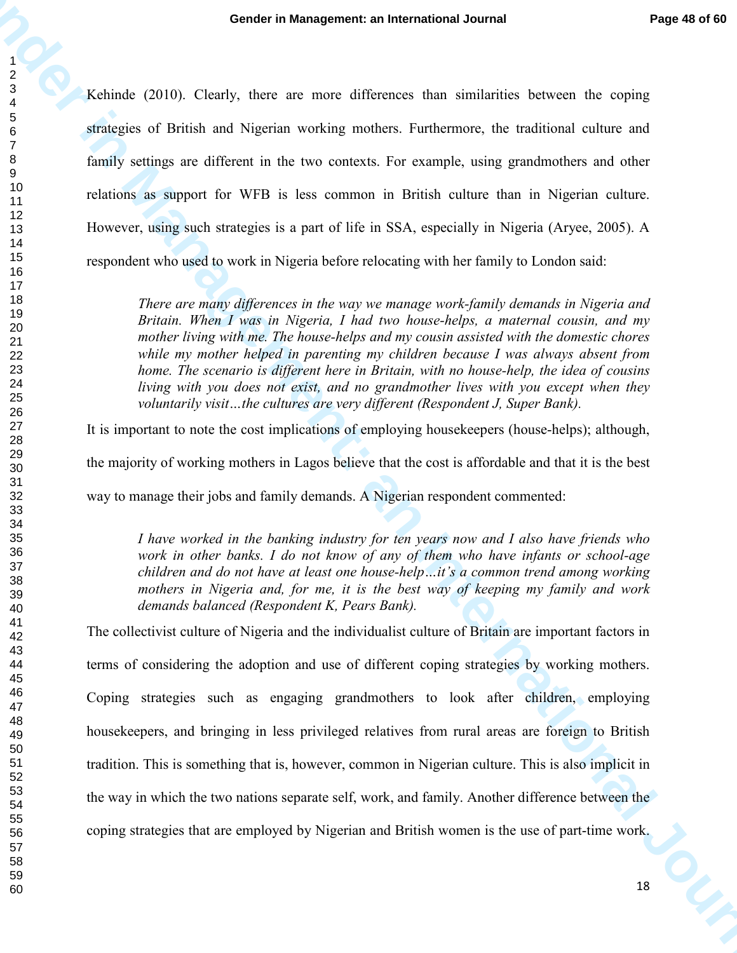Kehinde (2010). Clearly, there are more differences than similarities between the coping strategies of British and Nigerian working mothers. Furthermore, the traditional culture and family settings are different in the two contexts. For example, using grandmothers and other relations as support for WFB is less common in British culture than in Nigerian culture. However, using such strategies is a part of life in SSA, especially in Nigeria (Aryee, 2005). A respondent who used to work in Nigeria before relocating with her family to London said:

*There are many differences in the way we manage work-family demands in Nigeria and Britain. When I was in Nigeria, I had two house-helps, a maternal cousin, and my mother living with me. The house-helps and my cousin assisted with the domestic chores while my mother helped in parenting my children because I was always absent from home. The scenario is different here in Britain, with no house-help, the idea of cousins living with you does not exist, and no grandmother lives with you except when they voluntarily visit…the cultures are very different (Respondent J, Super Bank).* 

It is important to note the cost implications of employing housekeepers (house-helps); although,

the majority of working mothers in Lagos believe that the cost is affordable and that it is the best

way to manage their jobs and family demands. A Nigerian respondent commented:

*I have worked in the banking industry for ten years now and I also have friends who work in other banks. I do not know of any of them who have infants or school-age children and do not have at least one house-help…it's a common trend among working mothers in Nigeria and, for me, it is the best way of keeping my family and work demands balanced (Respondent K, Pears Bank).* 

**Gender in Management: an International Journal Prop. Page 48 of 69**<br>
A Columbic (2010). Chartly, there we enter differenties. Furthermore, the multimediate both over the columbic<br>
Form of the state of the state of the s The collectivist culture of Nigeria and the individualist culture of Britain are important factors in terms of considering the adoption and use of different coping strategies by working mothers. Coping strategies such as engaging grandmothers to look after children, employing housekeepers, and bringing in less privileged relatives from rural areas are foreign to British tradition. This is something that is, however, common in Nigerian culture. This is also implicit in the way in which the two nations separate self, work, and family. Another difference between the coping strategies that are employed by Nigerian and British women is the use of part-time work.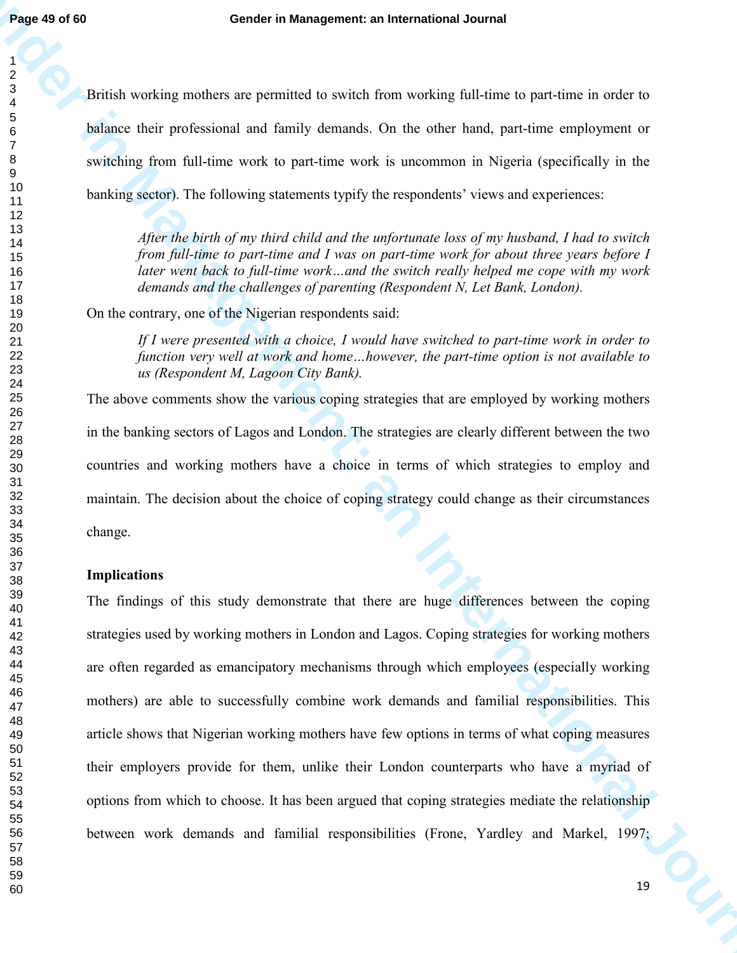British working mothers are permitted to switch from working full-time to part-time in order to balance their professional and family demands. On the other hand, part-time employment or switching from full-time work to part-time work is uncommon in Nigeria (specifically in the banking sector). The following statements typify the respondents' views and experiences:

*After the birth of my third child and the unfortunate loss of my husband, I had to switch from full-time to part-time and I was on part-time work for about three years before I later went back to full-time work…and the switch really helped me cope with my work demands and the challenges of parenting (Respondent N, Let Bank, London).* 

On the contrary, one of the Nigerian respondents said:

*If I were presented with a choice, I would have switched to part-time work in order to function very well at work and home…however, the part-time option is not available to us (Respondent M, Lagoon City Bank).* 

The above comments show the various coping strategies that are employed by working mothers in the banking sectors of Lagos and London. The strategies are clearly different between the two countries and working mothers have a choice in terms of which strategies to employ and maintain. The decision about the choice of coping strategy could change as their circumstances change.

#### **Implications**

**Fage 43 of 63**<br> **Gender in Management: an International Journal** and the spanning the strength of the strength of the strength of the strength of the strength of the strength of the strength of the strength of the streng The findings of this study demonstrate that there are huge differences between the coping strategies used by working mothers in London and Lagos. Coping strategies for working mothers are often regarded as emancipatory mechanisms through which employees (especially working mothers) are able to successfully combine work demands and familial responsibilities. This article shows that Nigerian working mothers have few options in terms of what coping measures their employers provide for them, unlike their London counterparts who have a myriad of options from which to choose. It has been argued that coping strategies mediate the relationship between work demands and familial responsibilities (Frone, Yardley and Markel, 1997;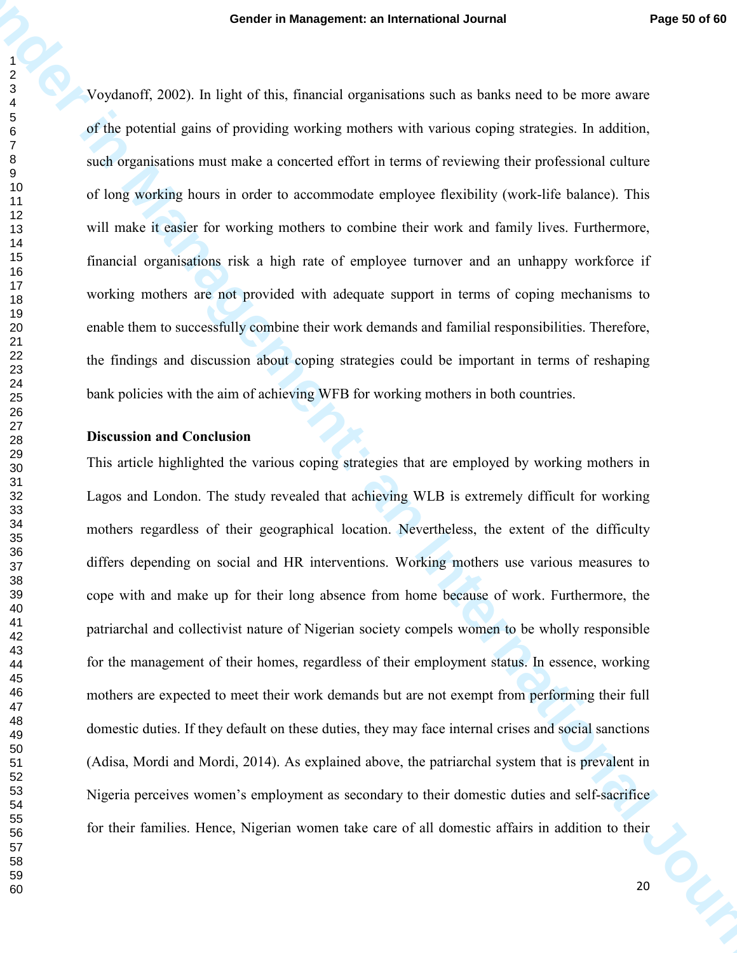Voydanoff, 2002). In light of this, financial organisations such as banks need to be more aware of the potential gains of providing working mothers with various coping strategies. In addition, such organisations must make a concerted effort in terms of reviewing their professional culture of long working hours in order to accommodate employee flexibility (work-life balance). This will make it easier for working mothers to combine their work and family lives. Furthermore, financial organisations risk a high rate of employee turnover and an unhappy workforce if working mothers are not provided with adequate support in terms of coping mechanisms to enable them to successfully combine their work demands and familial responsibilities. Therefore, the findings and discussion about coping strategies could be important in terms of reshaping bank policies with the aim of achieving WFB for working mothers in both countries.

#### **Discussion and Conclusion**

**Gender in Management: an International Journal Properties**<br> **Gender in Management: an International Societies** with a hands nood to be none aways<br>
of the entertial game of providing sovieting problem with variance implies This article highlighted the various coping strategies that are employed by working mothers in Lagos and London. The study revealed that achieving WLB is extremely difficult for working mothers regardless of their geographical location. Nevertheless, the extent of the difficulty differs depending on social and HR interventions. Working mothers use various measures to cope with and make up for their long absence from home because of work. Furthermore, the patriarchal and collectivist nature of Nigerian society compels women to be wholly responsible for the management of their homes, regardless of their employment status. In essence, working mothers are expected to meet their work demands but are not exempt from performing their full domestic duties. If they default on these duties, they may face internal crises and social sanctions (Adisa, Mordi and Mordi, 2014). As explained above, the patriarchal system that is prevalent in Nigeria perceives women's employment as secondary to their domestic duties and self-sacrifice for their families. Hence, Nigerian women take care of all domestic affairs in addition to their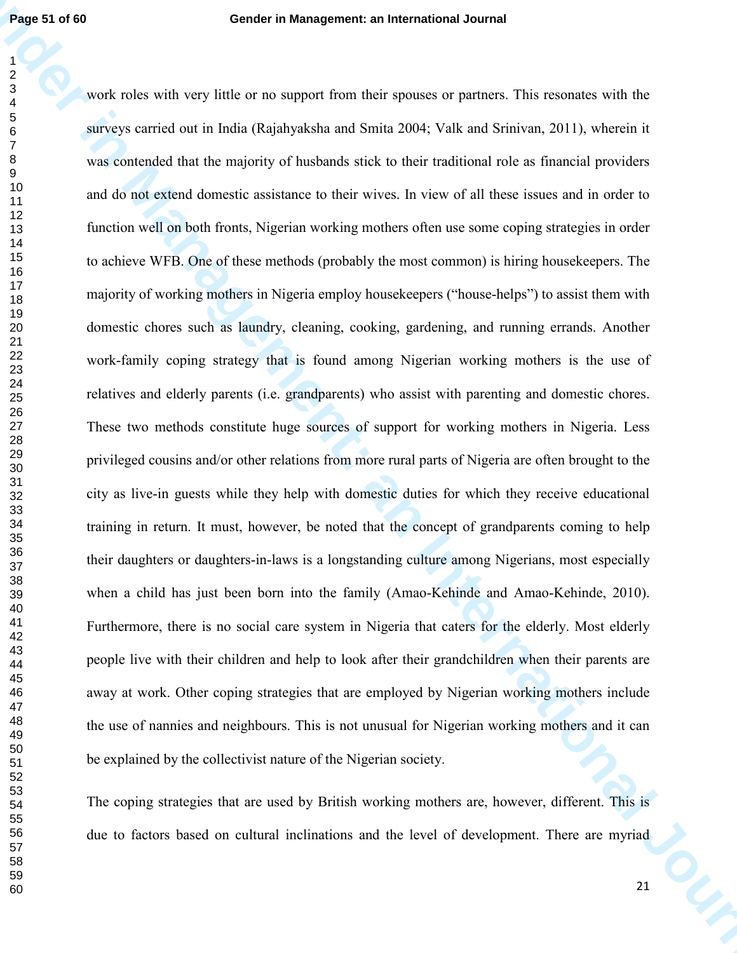**Frage 51 of 63**<br> **Gender in Management: an International Journal Diversions in the system of the system of the system of the system of the system of the system of the system of the system of the system of the system of th** work roles with very little or no support from their spouses or partners. This resonates with the surveys carried out in India (Rajahyaksha and Smita 2004; Valk and Srinivan, 2011), wherein it was contended that the majority of husbands stick to their traditional role as financial providers and do not extend domestic assistance to their wives. In view of all these issues and in order to function well on both fronts, Nigerian working mothers often use some coping strategies in order to achieve WFB. One of these methods (probably the most common) is hiring housekeepers. The majority of working mothers in Nigeria employ housekeepers ("house-helps") to assist them with domestic chores such as laundry, cleaning, cooking, gardening, and running errands. Another work-family coping strategy that is found among Nigerian working mothers is the use of relatives and elderly parents (i.e. grandparents) who assist with parenting and domestic chores. These two methods constitute huge sources of support for working mothers in Nigeria. Less privileged cousins and/or other relations from more rural parts of Nigeria are often brought to the city as live-in guests while they help with domestic duties for which they receive educational training in return. It must, however, be noted that the concept of grandparents coming to help their daughters or daughters-in-laws is a longstanding culture among Nigerians, most especially when a child has just been born into the family (Amao-Kehinde and Amao-Kehinde, 2010). Furthermore, there is no social care system in Nigeria that caters for the elderly. Most elderly people live with their children and help to look after their grandchildren when their parents are away at work. Other coping strategies that are employed by Nigerian working mothers include the use of nannies and neighbours. This is not unusual for Nigerian working mothers and it can be explained by the collectivist nature of the Nigerian society.

The coping strategies that are used by British working mothers are, however, different. This is due to factors based on cultural inclinations and the level of development. There are myriad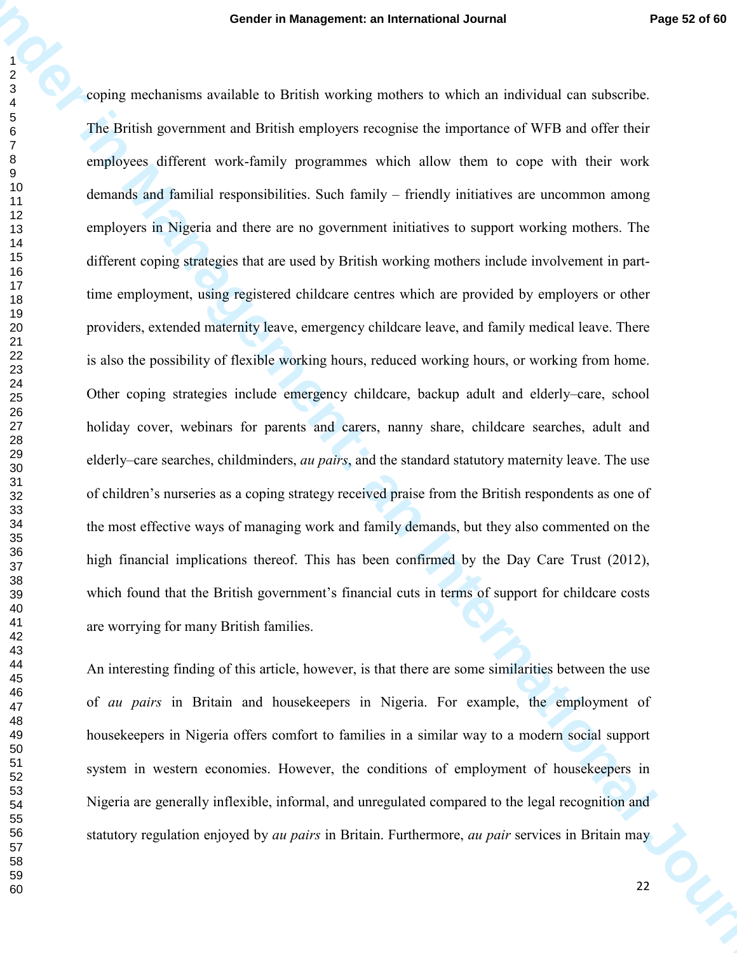**Gender in Management: an International Journal Propositions**<br> **Gender in Management:** and these derivative multistics is which an individual can asked the<br> **Fig. Drivers are multistical that the employees recognise the im** coping mechanisms available to British working mothers to which an individual can subscribe. The British government and British employers recognise the importance of WFB and offer their employees different work-family programmes which allow them to cope with their work demands and familial responsibilities. Such family – friendly initiatives are uncommon among employers in Nigeria and there are no government initiatives to support working mothers. The different coping strategies that are used by British working mothers include involvement in parttime employment, using registered childcare centres which are provided by employers or other providers, extended maternity leave, emergency childcare leave, and family medical leave. There is also the possibility of flexible working hours, reduced working hours, or working from home. Other coping strategies include emergency childcare, backup adult and elderly–care, school holiday cover, webinars for parents and carers, nanny share, childcare searches, adult and elderly–care searches, childminders, *au pairs*, and the standard statutory maternity leave. The use of children's nurseries as a coping strategy received praise from the British respondents as one of the most effective ways of managing work and family demands, but they also commented on the high financial implications thereof. This has been confirmed by the Day Care Trust (2012), which found that the British government's financial cuts in terms of support for childcare costs are worrying for many British families.

An interesting finding of this article, however, is that there are some similarities between the use of *au pairs* in Britain and housekeepers in Nigeria. For example, the employment of housekeepers in Nigeria offers comfort to families in a similar way to a modern social support system in western economies. However, the conditions of employment of housekeepers in Nigeria are generally inflexible, informal, and unregulated compared to the legal recognition and statutory regulation enjoyed by *au pairs* in Britain. Furthermore, *au pair* services in Britain may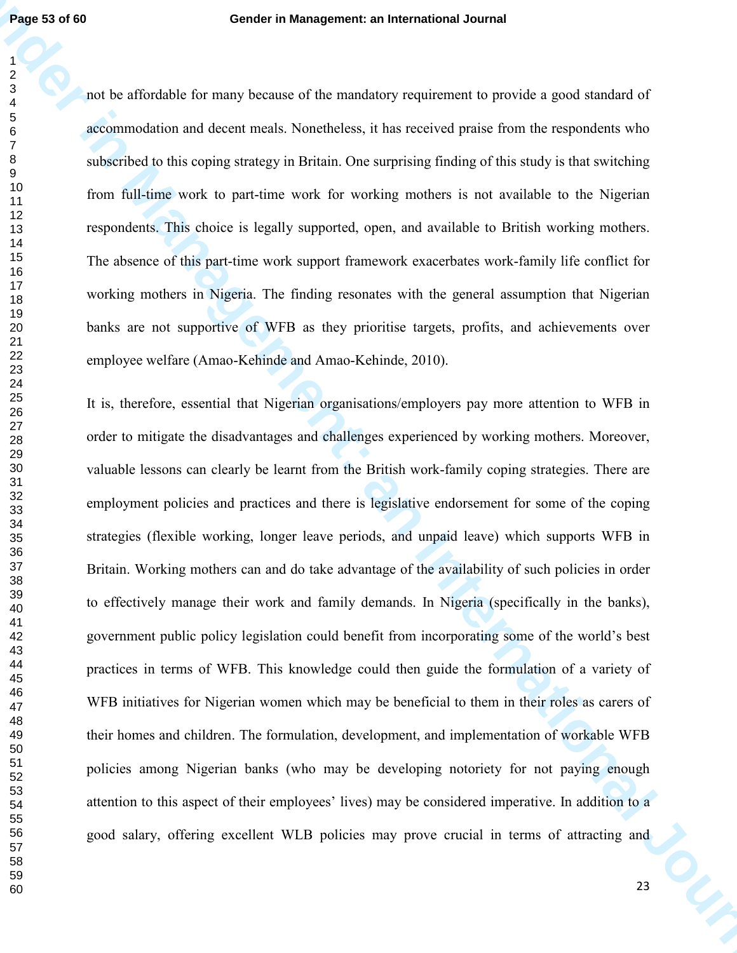not be affordable for many because of the mandatory requirement to provide a good standard of accommodation and decent meals. Nonetheless, it has received praise from the respondents who subscribed to this coping strategy in Britain. One surprising finding of this study is that switching from full-time work to part-time work for working mothers is not available to the Nigerian respondents. This choice is legally supported, open, and available to British working mothers. The absence of this part-time work support framework exacerbates work-family life conflict for working mothers in Nigeria. The finding resonates with the general assumption that Nigerian banks are not supportive of WFB as they prioritise targets, profits, and achievements over employee welfare (Amao-Kehinde and Amao-Kehinde, 2010).

**Fage 53 of 63**<br>**Gender in Management: an International Journal of the constrained in the system of the system of the system of the system of the system of the system of the system of the system of the system of the system** It is, therefore, essential that Nigerian organisations/employers pay more attention to WFB in order to mitigate the disadvantages and challenges experienced by working mothers. Moreover, valuable lessons can clearly be learnt from the British work-family coping strategies. There are employment policies and practices and there is legislative endorsement for some of the coping strategies (flexible working, longer leave periods, and unpaid leave) which supports WFB in Britain. Working mothers can and do take advantage of the availability of such policies in order to effectively manage their work and family demands. In Nigeria (specifically in the banks), government public policy legislation could benefit from incorporating some of the world's best practices in terms of WFB. This knowledge could then guide the formulation of a variety of WFB initiatives for Nigerian women which may be beneficial to them in their roles as carers of their homes and children. The formulation, development, and implementation of workable WFB policies among Nigerian banks (who may be developing notoriety for not paying enough attention to this aspect of their employees' lives) may be considered imperative. In addition to a good salary, offering excellent WLB policies may prove crucial in terms of attracting and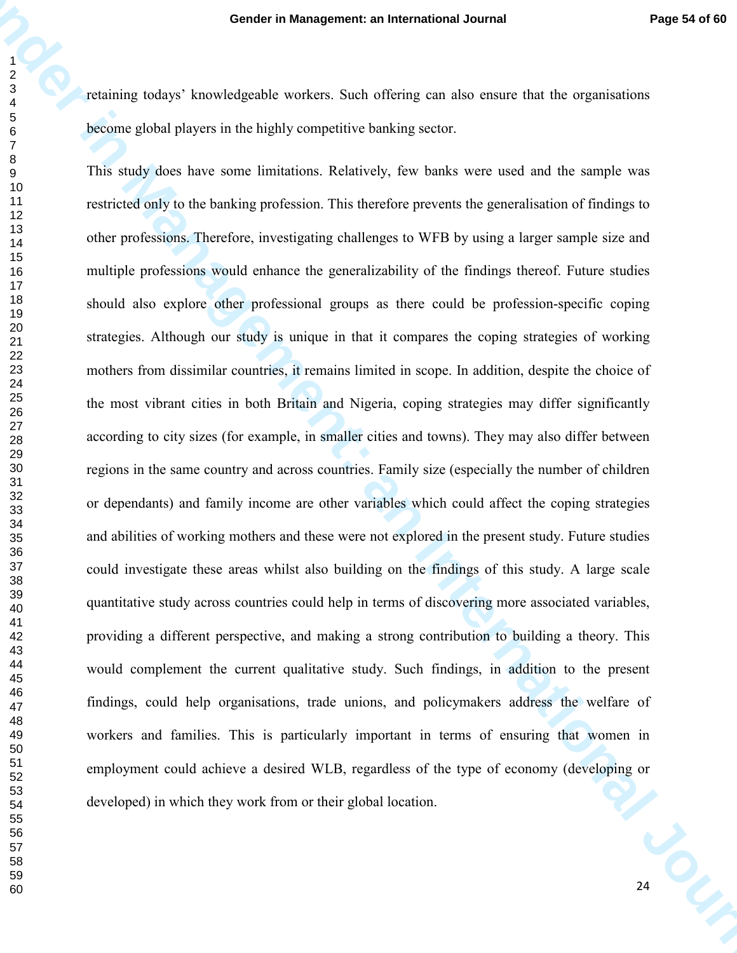retaining todays' knowledgeable workers. Such offering can also ensure that the organisations become global players in the highly competitive banking sector.

**Gender in Management: an International Journal Page E4 of the Constrainer in the Constrainer in the Constrainer Constrainer in the Constrainer in the Constrainer in the Constrainer in the Constrainer in the Constrainer** This study does have some limitations. Relatively, few banks were used and the sample was restricted only to the banking profession. This therefore prevents the generalisation of findings to other professions. Therefore, investigating challenges to WFB by using a larger sample size and multiple professions would enhance the generalizability of the findings thereof. Future studies should also explore other professional groups as there could be profession-specific coping strategies. Although our study is unique in that it compares the coping strategies of working mothers from dissimilar countries, it remains limited in scope. In addition, despite the choice of the most vibrant cities in both Britain and Nigeria, coping strategies may differ significantly according to city sizes (for example, in smaller cities and towns). They may also differ between regions in the same country and across countries. Family size (especially the number of children or dependants) and family income are other variables which could affect the coping strategies and abilities of working mothers and these were not explored in the present study. Future studies could investigate these areas whilst also building on the findings of this study. A large scale quantitative study across countries could help in terms of discovering more associated variables, providing a different perspective, and making a strong contribution to building a theory. This would complement the current qualitative study. Such findings, in addition to the present findings, could help organisations, trade unions, and policymakers address the welfare of workers and families. This is particularly important in terms of ensuring that women in employment could achieve a desired WLB, regardless of the type of economy (developing or developed) in which they work from or their global location.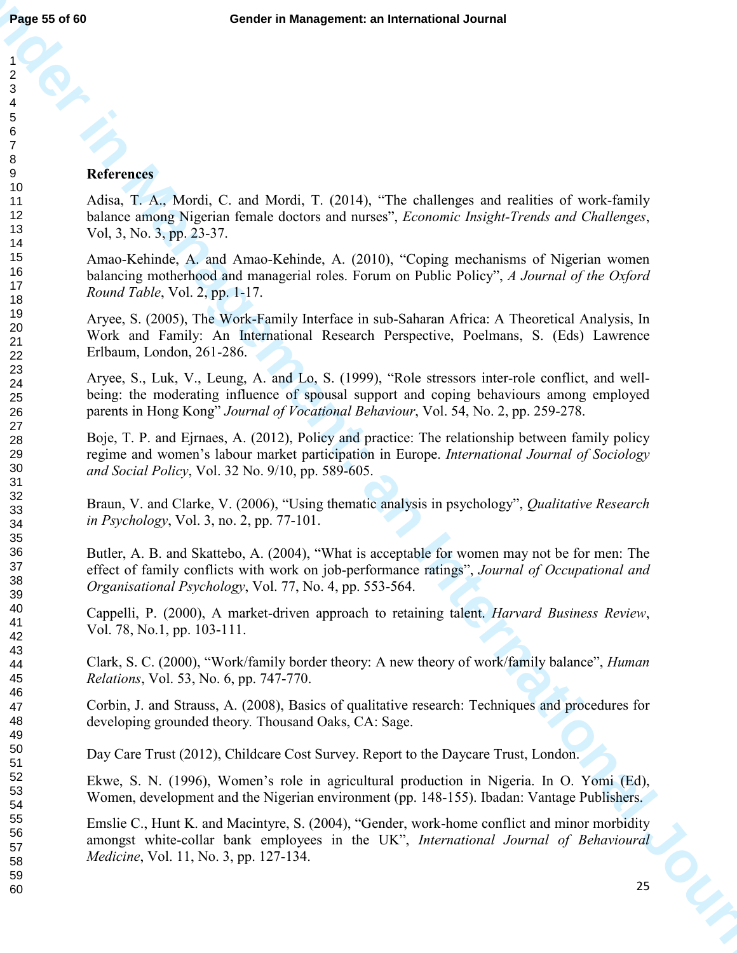#### 

## **References**

**Fage 25 of 68**<br> **Gender in Management: an International Journal<br>**  $\frac{2}{5}$ **<br>
<b>Gender in Management:** and Model, 1, (2011), "The intellective sum Jeanics of wind-highly<br>
Note 1,  $\frac{6}{5}$ <br> **Celux-minim Numerial discurse an** Adisa, T. A., Mordi, C. and Mordi, T. (2014), "The challenges and realities of work-family balance among Nigerian female doctors and nurses", *Economic Insight-Trends and Challenges*, Vol, 3, No. 3, pp. 23-37.

Amao-Kehinde, A. and Amao-Kehinde, A. (2010), "Coping mechanisms of Nigerian women balancing motherhood and managerial roles. Forum on Public Policy", *A Journal of the Oxford Round Table*, Vol. 2, pp. 1-17.

Aryee, S. (2005), The Work-Family Interface in sub-Saharan Africa: A Theoretical Analysis, In Work and Family: An International Research Perspective, Poelmans, S. (Eds) Lawrence Erlbaum, London, 261-286.

Aryee, S., Luk, V., Leung, A. and Lo, S. (1999), "Role stressors inter-role conflict, and wellbeing: the moderating influence of spousal support and coping behaviours among employed parents in Hong Kong" *Journal of Vocational Behaviour*, Vol. 54, No. 2, pp. 259-278.

Boje, T. P. and Ejrnaes, A. (2012), Policy and practice: The relationship between family policy regime and women's labour market participation in Europe. *International Journal of Sociology and Social Policy*, Vol. 32 No. 9/10, pp. 589-605.

Braun, V. and Clarke, V. (2006), "Using thematic analysis in psychology", *Qualitative Research in Psychology*, Vol. 3, no. 2, pp. 77-101.

Butler, A. B. and Skattebo, A. (2004), "What is acceptable for women may not be for men: The effect of family conflicts with work on job-performance ratings", *Journal of Occupational and Organisational Psychology*, Vol. 77, No. 4, pp. 553-564.

Cappelli, P. (2000), A market-driven approach to retaining talent. *Harvard Business Review*, Vol. 78, No.1, pp. 103-111.

Clark, S. C. (2000), "Work/family border theory: A new theory of work/family balance", *Human Relations*, Vol. 53, No. 6, pp. 747-770.

Corbin, J. and Strauss, A. (2008), Basics of qualitative research: Techniques and procedures for developing grounded theory*.* Thousand Oaks, CA: Sage.

Day Care Trust (2012), Childcare Cost Survey. Report to the Daycare Trust, London.

Ekwe, S. N. (1996), Women's role in agricultural production in Nigeria. In O. Yomi (Ed), Women, development and the Nigerian environment (pp. 148-155). Ibadan: Vantage Publishers.

Emslie C., Hunt K. and Macintyre, S. (2004), "Gender, work-home conflict and minor morbidity amongst white-collar bank employees in the UK", *International Journal of Behavioural Medicine*, Vol. 11, No. 3, pp. 127-134.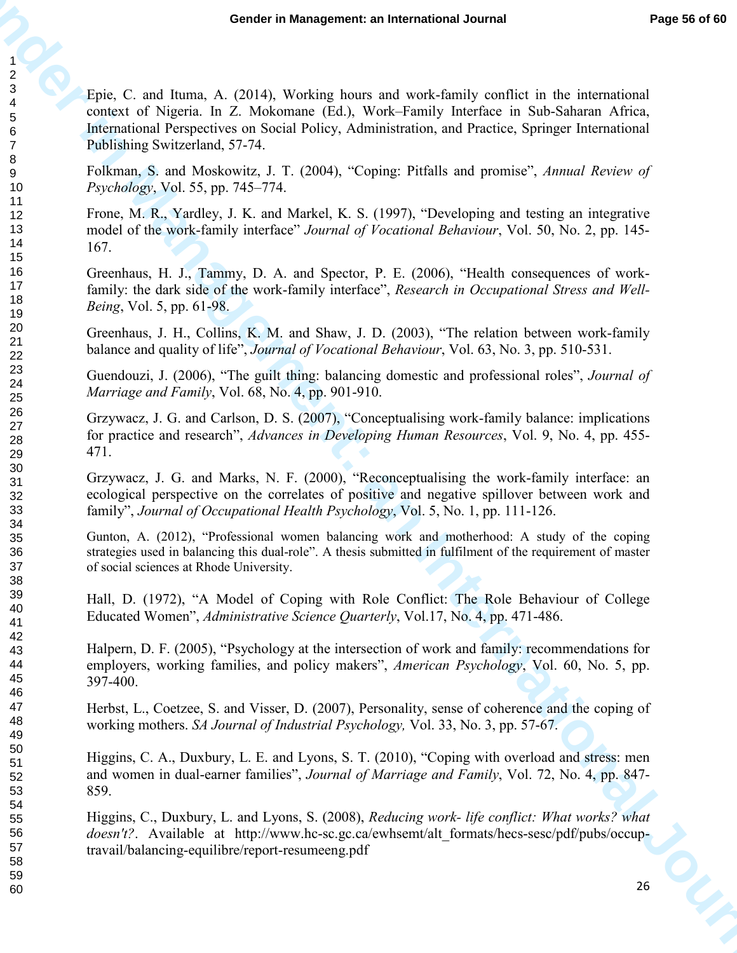**Gender in Management: an International Journal Proposition**<br>
Figure C. and International Propositions and with function of the function of the continued proposition of the<br>
Figure C. and Mostmerity 1.7 (2004), "Coping Pri Epie, C. and Ituma, A. (2014), Working hours and work-family conflict in the international context of Nigeria. In Z. Mokomane (Ed.), Work–Family Interface in Sub-Saharan Africa, International Perspectives on Social Policy, Administration, and Practice, Springer International Publishing Switzerland, 57-74.

Folkman, S. and Moskowitz, J. T. (2004), "Coping: Pitfalls and promise", *Annual Review of Psychology*, Vol. 55, pp. 745–774.

Frone, M. R., Yardley, J. K. and Markel, K. S. (1997), "Developing and testing an integrative model of the work-family interface" *Journal of Vocational Behaviour*, Vol. 50, No. 2, pp. 145- 167.

Greenhaus, H. J., Tammy, D. A. and Spector, P. E. (2006), "Health consequences of workfamily: the dark side of the work-family interface", *Research in Occupational Stress and Well-Being*, Vol. 5, pp. 61-98.

Greenhaus, J. H., Collins, K. M. and Shaw, J. D. (2003), "The relation between work-family balance and quality of life", *Journal of Vocational Behaviour*, Vol. 63, No. 3, pp. 510-531.

Guendouzi, J. (2006), "The guilt thing: balancing domestic and professional roles", *Journal of Marriage and Family*, Vol. 68, No. 4, pp. 901-910.

Grzywacz, J. G. and Carlson, D. S. (2007), "Conceptualising work-family balance: implications for practice and research", *Advances in Developing Human Resources*, Vol. 9, No. 4, pp. 455- 471.

Grzywacz, J. G. and Marks, N. F. (2000), "Reconceptualising the work-family interface: an ecological perspective on the correlates of positive and negative spillover between work and family", *Journal of Occupational Health Psychology*, Vol. 5, No. 1, pp. 111-126.

Gunton, A. (2012), "Professional women balancing work and motherhood: A study of the coping strategies used in balancing this dual-role". A thesis submitted in fulfilment of the requirement of master of social sciences at Rhode University.

Hall, D. (1972), "A Model of Coping with Role Conflict: The Role Behaviour of College Educated Women", *Administrative Science Quarterly*, Vol.17, No. 4, pp. 471-486.

Halpern, D. F. (2005), "Psychology at the intersection of work and family: recommendations for employers, working families, and policy makers", *American Psychology*, Vol. 60, No. 5, pp. 397-400.

Herbst, L., Coetzee, S. and Visser, D. (2007), Personality, sense of coherence and the coping of working mothers. *SA Journal of Industrial Psychology,* Vol. 33, No. 3, pp. 57-67.

Higgins, C. A., Duxbury, L. E. and Lyons, S. T. (2010), "Coping with overload and stress: men and women in dual-earner families", *Journal of Marriage and Family*, Vol. 72, No. 4, pp. 847- 859.

Higgins, C., Duxbury, L. and Lyons, S. (2008), *Reducing work- life conflict: What works? what doesn't?*. Available at http://www.hc-sc.gc.ca/ewhsemt/alt formats/hecs-sesc/pdf/pubs/occuptravail/balancing-equilibre/report-resumeeng.pdf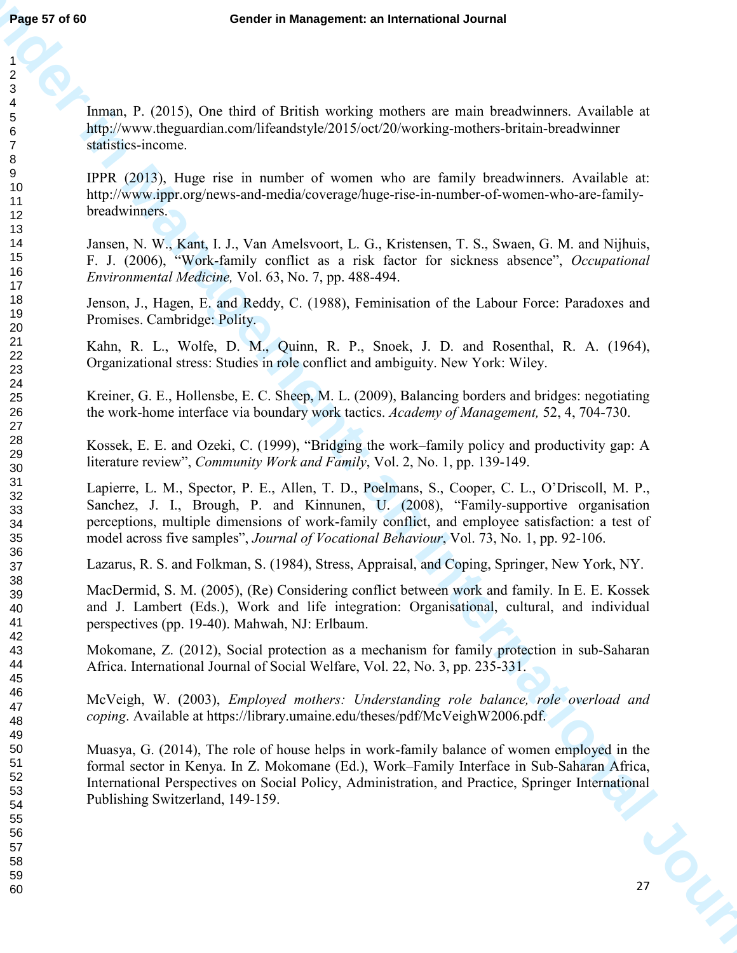Inman, P. (2015), One third of British working mothers are main breadwinners. Available at http://www.theguardian.com/lifeandstyle/2015/oct/20/working-mothers-britain-breadwinner statistics-income.

IPPR (2013), Huge rise in number of women who are family breadwinners. Available at: http://www.ippr.org/news-and-media/coverage/huge-rise-in-number-of-women-who-are-familybreadwinners.

Jansen, N. W., Kant, I. J., Van Amelsvoort, L. G., Kristensen, T. S., Swaen, G. M. and Nijhuis, F. J. (2006), "Work-family conflict as a risk factor for sickness absence", *Occupational Environmental Medicine,* Vol. 63, No. 7, pp. 488-494.

Jenson, J., Hagen, E. and Reddy, C. (1988), Feminisation of the Labour Force: Paradoxes and Promises. Cambridge: Polity.

Kahn, R. L., Wolfe, D. M., Quinn, R. P., Snoek, J. D. and Rosenthal, R. A. (1964), Organizational stress: Studies in role conflict and ambiguity. New York: Wiley.

Kreiner, G. E., Hollensbe, E. C. Sheep, M. L. (2009), Balancing borders and bridges: negotiating the work-home interface via boundary work tactics. *Academy of Management,* 52, 4, 704-730.

Kossek, E. E. and Ozeki, C. (1999), "Bridging the work–family policy and productivity gap: A literature review", *Community Work and Family*, Vol. 2, No. 1, pp. 139-149.

Lapierre, L. M., Spector, P. E., Allen, T. D., Poelmans, S., Cooper, C. L., O'Driscoll, M. P., Sanchez, J. I., Brough, P. and Kinnunen, U. (2008), "Family-supportive organisation perceptions, multiple dimensions of work-family conflict, and employee satisfaction: a test of model across five samples", *Journal of Vocational Behaviour*, Vol. 73, No. 1, pp. 92-106.

Lazarus, R. S. and Folkman, S. (1984), Stress, Appraisal, and Coping, Springer, New York, NY.

MacDermid, S. M. (2005), (Re) Considering conflict between work and family. In E. E. Kossek and J. Lambert (Eds.), Work and life integration: Organisational, cultural, and individual perspectives (pp. 19-40). Mahwah, NJ: Erlbaum.

Mokomane, Z. (2012), Social protection as a mechanism for family protection in sub-Saharan Africa. International Journal of Social Welfare, Vol. 22, No. 3, pp. 235-331.

McVeigh, W. (2003), *Employed mothers: Understanding role balance, role overload and coping*. Available at https://library.umaine.edu/theses/pdf/McVeighW2006.pdf.

**Fage 57 of 68**<br> **Gender in Management: an International Journal<br>**  $\frac{2}{5}$ **<br>
<b>Gender in Management:** and the surface modern in matrix between the matrix behaviour controller in the subset of surface terms in the surface of Muasya, G. (2014), The role of house helps in work-family balance of women employed in the formal sector in Kenya. In Z. Mokomane (Ed.), Work–Family Interface in Sub-Saharan Africa, International Perspectives on Social Policy, Administration, and Practice, Springer International Publishing Switzerland, 149-159.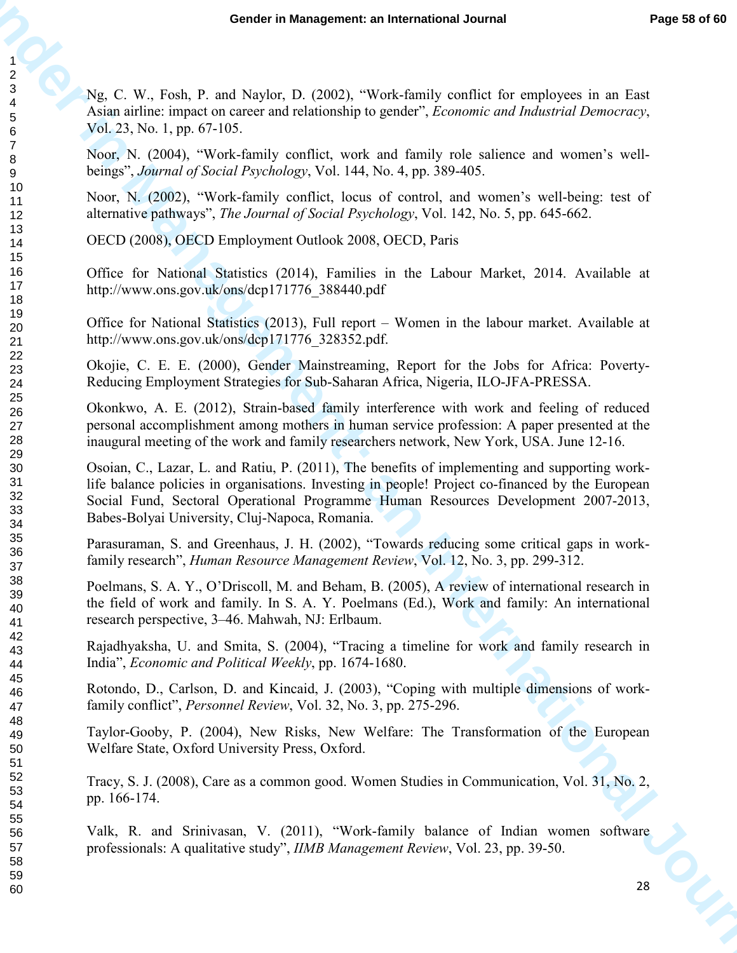Ng, C. W., Fosh, P. and Naylor, D. (2002), "Work-family conflict for employees in an East Asian airline: impact on career and relationship to gender", *Economic and Industrial Democracy*, Vol. 23, No. 1, pp. 67-105.

Noor, N. (2004), "Work-family conflict, work and family role salience and women's wellbeings", *Journal of Social Psychology*, Vol. 144, No. 4, pp. 389-405.

Noor, N. (2002), "Work-family conflict, locus of control, and women's well-being: test of alternative pathways", *The Journal of Social Psychology*, Vol. 142, No. 5, pp. 645-662.

OECD (2008), OECD Employment Outlook 2008, OECD, Paris

Office for National Statistics (2014), Families in the Labour Market, 2014. Available at http://www.ons.gov.uk/ons/dcp171776\_388440.pdf

Office for National Statistics (2013), Full report – Women in the labour market. Available at http://www.ons.gov.uk/ons/dcp171776\_328352.pdf.

Okojie, C. E. E. (2000), Gender Mainstreaming, Report for the Jobs for Africa: Poverty-Reducing Employment Strategies for Sub-Saharan Africa, Nigeria, ILO-JFA-PRESSA.

Okonkwo, A. E. (2012), Strain-based family interference with work and feeling of reduced personal accomplishment among mothers in human service profession: A paper presented at the inaugural meeting of the work and family researchers network, New York, USA. June 12-16.

Gender in Management: an International Journal Proposition 2003<br>  $\chi_E C$ ,  $W_{\perp}$  junk, if and  $\chi_0$  but,  $D$ , (2002), "Work-linning untilns of surphysics in an Exist<br>  $\chi_E C$  Weil 2. Weil 1. pp. 67 distance and subscribe Osoian, C., Lazar, L. and Ratiu, P. (2011), The benefits of implementing and supporting worklife balance policies in organisations. Investing in people! Project co-financed by the European Social Fund, Sectoral Operational Programme Human Resources Development 2007-2013, Babes-Bolyai University, Cluj-Napoca, Romania.

Parasuraman, S. and Greenhaus, J. H. (2002), "Towards reducing some critical gaps in workfamily research", *Human Resource Management Review*, Vol. 12, No. 3, pp. 299-312.

Poelmans, S. A. Y., O'Driscoll, M. and Beham, B. (2005), A review of international research in the field of work and family. In S. A. Y. Poelmans (Ed.), Work and family: An international research perspective, 3–46. Mahwah, NJ: Erlbaum.

Rajadhyaksha, U. and Smita, S. (2004), "Tracing a timeline for work and family research in India", *Economic and Political Weekly*, pp. 1674-1680.

Rotondo, D., Carlson, D. and Kincaid, J. (2003), "Coping with multiple dimensions of workfamily conflict", *Personnel Review*, Vol. 32, No. 3, pp. 275-296.

Taylor-Gooby, P. (2004), New Risks, New Welfare: The Transformation of the European Welfare State, Oxford University Press, Oxford.

Tracy, S. J. (2008), Care as a common good. Women Studies in Communication, Vol. 31, No. 2, pp. 166-174.

Valk, R. and Srinivasan, V. (2011), "Work-family balance of Indian women software professionals: A qualitative study", *IIMB Management Review*, Vol. 23, pp. 39-50.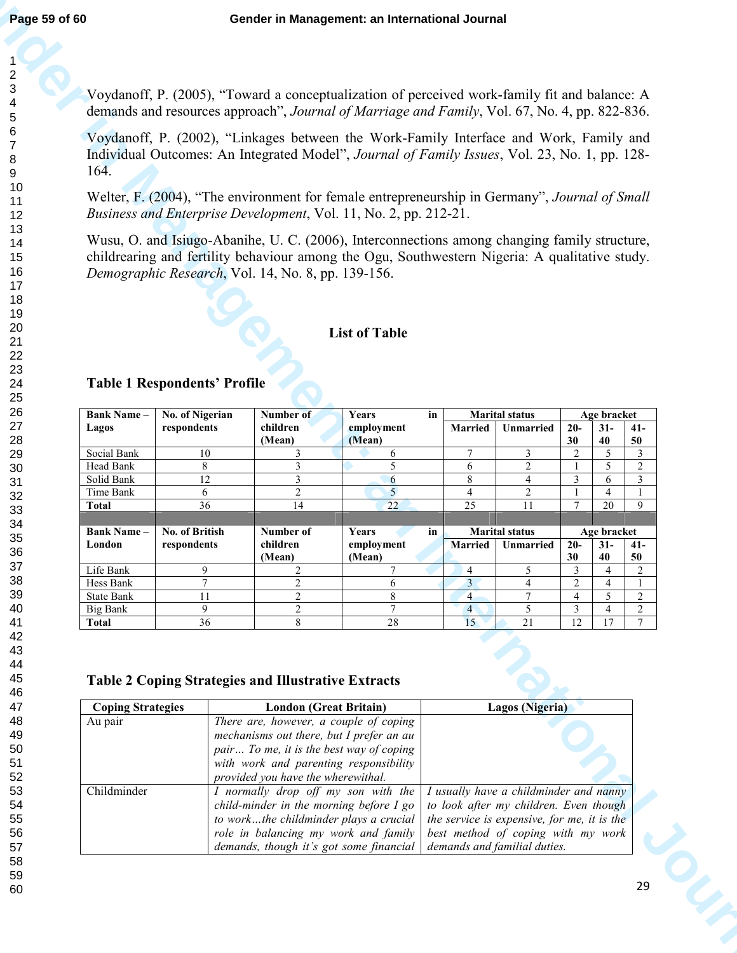# **List of Table**

| demands and resources approach", Journal of Marriage and Family, Vol. 67, No. 4, pp. 822-836.<br>Individual Outcomes: An Integrated Model", Journal of Family Issues, Vol. 23, No. 1, pp. 128-<br>164.<br>Business and Enterprise Development, Vol. 11, No. 2, pp. 212-21.<br>Demographic Research, Vol. 14, No. 8, pp. 139-156.<br><b>List of Table</b><br><b>Table 1 Respondents' Profile</b><br><b>Bank Name-</b><br>No. of Nigerian<br>Number of<br>in<br><b>Marital status</b><br>Years<br>Age bracket<br>$20-$<br>Lagos<br>respondents<br>children<br>employment<br>Married<br>Unmarried<br>$31-$<br>$41-$<br>(Mean)<br>(Mean)<br>30<br>40<br>50<br>Social Bank<br>5<br>2<br>3<br>10<br>7<br>3<br>3<br>6<br>$\overline{c}$<br>5<br>$\overline{c}$<br>8<br>3<br>5<br>6<br>Head Bank<br>$\overline{8}$<br>Solid Bank<br>$\overline{12}$<br>$\mathfrak{Z}$<br>$\mathfrak{Z}$<br>$\mathfrak{Z}$<br>$6\phantom{.}6$<br>$\overline{4}$<br>6<br>$\overline{5}$<br>$\overline{2}$<br>$\overline{2}$<br>4<br>6<br>$\overline{4}$<br>Time Bank<br>22<br>$\overline{25}$<br>36<br>14<br>11<br>$\overline{7}$<br>20<br>9<br><b>Total</b><br>No. of British<br><b>Bank Name-</b><br>Number of<br>Years<br>in<br><b>Marital status</b><br>Age bracket<br>London<br>children<br>employment<br>$20-$<br>respondents<br><b>Married</b><br>Unmarried<br>$31 -$<br>$41 -$<br>40<br>(Mean)<br>(Mean)<br>30<br>50<br>Life Bank<br>$\overline{4}$<br>9<br>2<br>7<br>$\overline{4}$<br>5<br>$\overline{c}$<br>3<br>$\overline{3}$<br>Hess Bank<br>$\overline{c}$<br>7<br>2<br>4<br>6<br>4<br>$\overline{2}$<br>$\,$ 8 $\,$<br>$\overline{4}$<br>5<br>$\mathbf{2}$<br>$\tau$<br>$\overline{4}$<br><b>State Bank</b><br>11<br>$\overline{2}$<br>$\tau$<br>$\overline{2}$<br>9<br>$\overline{4}$<br>5<br><b>Big Bank</b><br>3<br>$\overline{4}$ | Voydanoff, P. (2005), "Toward a conceptualization of perceived work-family fit and balance: A<br>Voydanoff, P. (2002), "Linkages between the Work-Family Interface and Work, Family and<br>Welter, F. (2004), "The environment for female entrepreneurship in Germany", Journal of Small<br>Wusu, O. and Isiugo-Abanihe, U. C. (2006), Interconnections among changing family structure,<br>childrearing and fertility behaviour among the Ogu, Southwestern Nigeria: A qualitative study.<br>$\overline{21}$<br>36<br>28<br>15<br>8<br>$\overline{12}$<br>17<br>$\tau$<br><b>Total</b><br><b>Table 2 Coping Strategies and Illustrative Extracts</b><br><b>Coping Strategies</b><br><b>London (Great Britain)</b><br><b>Lagos (Nigeria)</b><br>There are, however, a couple of coping<br>Au pair<br>mechanisms out there, but I prefer an au<br>pair To me, it is the best way of coping<br>with work and parenting responsibility<br>provided you have the wherewithal.<br>Childminder<br>I normally drop off my son with the<br>I usually have a childminder and nanny<br>child-minder in the morning before I go<br>to look after my children. Even though<br>to workthe childminder plays a crucial<br>the service is expensive, for me, it is the<br>role in balancing my work and family<br>best method of coping with my work<br>demands, though it's got some financial<br>demands and familial duties.<br>29 | Page 59 of 60 |  | Gender in Management: an International Journal |  |  |  |  |
|-----------------------------------------------------------------------------------------------------------------------------------------------------------------------------------------------------------------------------------------------------------------------------------------------------------------------------------------------------------------------------------------------------------------------------------------------------------------------------------------------------------------------------------------------------------------------------------------------------------------------------------------------------------------------------------------------------------------------------------------------------------------------------------------------------------------------------------------------------------------------------------------------------------------------------------------------------------------------------------------------------------------------------------------------------------------------------------------------------------------------------------------------------------------------------------------------------------------------------------------------------------------------------------------------------------------------------------------------------------------------------------------------------------------------------------------------------------------------------------------------------------------------------------------------------------------------------------------------------------------------------------------------------------------------------------------------------------------------------------------------------------------------------------------------------------------------------|------------------------------------------------------------------------------------------------------------------------------------------------------------------------------------------------------------------------------------------------------------------------------------------------------------------------------------------------------------------------------------------------------------------------------------------------------------------------------------------------------------------------------------------------------------------------------------------------------------------------------------------------------------------------------------------------------------------------------------------------------------------------------------------------------------------------------------------------------------------------------------------------------------------------------------------------------------------------------------------------------------------------------------------------------------------------------------------------------------------------------------------------------------------------------------------------------------------------------------------------------------------------------------------------------------------------------------------------------------------------------------------------------------------------|---------------|--|------------------------------------------------|--|--|--|--|
|                                                                                                                                                                                                                                                                                                                                                                                                                                                                                                                                                                                                                                                                                                                                                                                                                                                                                                                                                                                                                                                                                                                                                                                                                                                                                                                                                                                                                                                                                                                                                                                                                                                                                                                                                                                                                             |                                                                                                                                                                                                                                                                                                                                                                                                                                                                                                                                                                                                                                                                                                                                                                                                                                                                                                                                                                                                                                                                                                                                                                                                                                                                                                                                                                                                                        |               |  |                                                |  |  |  |  |
|                                                                                                                                                                                                                                                                                                                                                                                                                                                                                                                                                                                                                                                                                                                                                                                                                                                                                                                                                                                                                                                                                                                                                                                                                                                                                                                                                                                                                                                                                                                                                                                                                                                                                                                                                                                                                             |                                                                                                                                                                                                                                                                                                                                                                                                                                                                                                                                                                                                                                                                                                                                                                                                                                                                                                                                                                                                                                                                                                                                                                                                                                                                                                                                                                                                                        |               |  |                                                |  |  |  |  |
|                                                                                                                                                                                                                                                                                                                                                                                                                                                                                                                                                                                                                                                                                                                                                                                                                                                                                                                                                                                                                                                                                                                                                                                                                                                                                                                                                                                                                                                                                                                                                                                                                                                                                                                                                                                                                             |                                                                                                                                                                                                                                                                                                                                                                                                                                                                                                                                                                                                                                                                                                                                                                                                                                                                                                                                                                                                                                                                                                                                                                                                                                                                                                                                                                                                                        |               |  |                                                |  |  |  |  |
|                                                                                                                                                                                                                                                                                                                                                                                                                                                                                                                                                                                                                                                                                                                                                                                                                                                                                                                                                                                                                                                                                                                                                                                                                                                                                                                                                                                                                                                                                                                                                                                                                                                                                                                                                                                                                             |                                                                                                                                                                                                                                                                                                                                                                                                                                                                                                                                                                                                                                                                                                                                                                                                                                                                                                                                                                                                                                                                                                                                                                                                                                                                                                                                                                                                                        |               |  |                                                |  |  |  |  |
|                                                                                                                                                                                                                                                                                                                                                                                                                                                                                                                                                                                                                                                                                                                                                                                                                                                                                                                                                                                                                                                                                                                                                                                                                                                                                                                                                                                                                                                                                                                                                                                                                                                                                                                                                                                                                             |                                                                                                                                                                                                                                                                                                                                                                                                                                                                                                                                                                                                                                                                                                                                                                                                                                                                                                                                                                                                                                                                                                                                                                                                                                                                                                                                                                                                                        |               |  |                                                |  |  |  |  |
|                                                                                                                                                                                                                                                                                                                                                                                                                                                                                                                                                                                                                                                                                                                                                                                                                                                                                                                                                                                                                                                                                                                                                                                                                                                                                                                                                                                                                                                                                                                                                                                                                                                                                                                                                                                                                             |                                                                                                                                                                                                                                                                                                                                                                                                                                                                                                                                                                                                                                                                                                                                                                                                                                                                                                                                                                                                                                                                                                                                                                                                                                                                                                                                                                                                                        |               |  |                                                |  |  |  |  |
|                                                                                                                                                                                                                                                                                                                                                                                                                                                                                                                                                                                                                                                                                                                                                                                                                                                                                                                                                                                                                                                                                                                                                                                                                                                                                                                                                                                                                                                                                                                                                                                                                                                                                                                                                                                                                             |                                                                                                                                                                                                                                                                                                                                                                                                                                                                                                                                                                                                                                                                                                                                                                                                                                                                                                                                                                                                                                                                                                                                                                                                                                                                                                                                                                                                                        |               |  |                                                |  |  |  |  |
|                                                                                                                                                                                                                                                                                                                                                                                                                                                                                                                                                                                                                                                                                                                                                                                                                                                                                                                                                                                                                                                                                                                                                                                                                                                                                                                                                                                                                                                                                                                                                                                                                                                                                                                                                                                                                             |                                                                                                                                                                                                                                                                                                                                                                                                                                                                                                                                                                                                                                                                                                                                                                                                                                                                                                                                                                                                                                                                                                                                                                                                                                                                                                                                                                                                                        |               |  |                                                |  |  |  |  |
|                                                                                                                                                                                                                                                                                                                                                                                                                                                                                                                                                                                                                                                                                                                                                                                                                                                                                                                                                                                                                                                                                                                                                                                                                                                                                                                                                                                                                                                                                                                                                                                                                                                                                                                                                                                                                             |                                                                                                                                                                                                                                                                                                                                                                                                                                                                                                                                                                                                                                                                                                                                                                                                                                                                                                                                                                                                                                                                                                                                                                                                                                                                                                                                                                                                                        |               |  |                                                |  |  |  |  |
|                                                                                                                                                                                                                                                                                                                                                                                                                                                                                                                                                                                                                                                                                                                                                                                                                                                                                                                                                                                                                                                                                                                                                                                                                                                                                                                                                                                                                                                                                                                                                                                                                                                                                                                                                                                                                             |                                                                                                                                                                                                                                                                                                                                                                                                                                                                                                                                                                                                                                                                                                                                                                                                                                                                                                                                                                                                                                                                                                                                                                                                                                                                                                                                                                                                                        |               |  |                                                |  |  |  |  |
|                                                                                                                                                                                                                                                                                                                                                                                                                                                                                                                                                                                                                                                                                                                                                                                                                                                                                                                                                                                                                                                                                                                                                                                                                                                                                                                                                                                                                                                                                                                                                                                                                                                                                                                                                                                                                             |                                                                                                                                                                                                                                                                                                                                                                                                                                                                                                                                                                                                                                                                                                                                                                                                                                                                                                                                                                                                                                                                                                                                                                                                                                                                                                                                                                                                                        |               |  |                                                |  |  |  |  |
|                                                                                                                                                                                                                                                                                                                                                                                                                                                                                                                                                                                                                                                                                                                                                                                                                                                                                                                                                                                                                                                                                                                                                                                                                                                                                                                                                                                                                                                                                                                                                                                                                                                                                                                                                                                                                             |                                                                                                                                                                                                                                                                                                                                                                                                                                                                                                                                                                                                                                                                                                                                                                                                                                                                                                                                                                                                                                                                                                                                                                                                                                                                                                                                                                                                                        |               |  |                                                |  |  |  |  |
|                                                                                                                                                                                                                                                                                                                                                                                                                                                                                                                                                                                                                                                                                                                                                                                                                                                                                                                                                                                                                                                                                                                                                                                                                                                                                                                                                                                                                                                                                                                                                                                                                                                                                                                                                                                                                             |                                                                                                                                                                                                                                                                                                                                                                                                                                                                                                                                                                                                                                                                                                                                                                                                                                                                                                                                                                                                                                                                                                                                                                                                                                                                                                                                                                                                                        |               |  |                                                |  |  |  |  |
|                                                                                                                                                                                                                                                                                                                                                                                                                                                                                                                                                                                                                                                                                                                                                                                                                                                                                                                                                                                                                                                                                                                                                                                                                                                                                                                                                                                                                                                                                                                                                                                                                                                                                                                                                                                                                             |                                                                                                                                                                                                                                                                                                                                                                                                                                                                                                                                                                                                                                                                                                                                                                                                                                                                                                                                                                                                                                                                                                                                                                                                                                                                                                                                                                                                                        |               |  |                                                |  |  |  |  |
|                                                                                                                                                                                                                                                                                                                                                                                                                                                                                                                                                                                                                                                                                                                                                                                                                                                                                                                                                                                                                                                                                                                                                                                                                                                                                                                                                                                                                                                                                                                                                                                                                                                                                                                                                                                                                             |                                                                                                                                                                                                                                                                                                                                                                                                                                                                                                                                                                                                                                                                                                                                                                                                                                                                                                                                                                                                                                                                                                                                                                                                                                                                                                                                                                                                                        |               |  |                                                |  |  |  |  |
|                                                                                                                                                                                                                                                                                                                                                                                                                                                                                                                                                                                                                                                                                                                                                                                                                                                                                                                                                                                                                                                                                                                                                                                                                                                                                                                                                                                                                                                                                                                                                                                                                                                                                                                                                                                                                             |                                                                                                                                                                                                                                                                                                                                                                                                                                                                                                                                                                                                                                                                                                                                                                                                                                                                                                                                                                                                                                                                                                                                                                                                                                                                                                                                                                                                                        |               |  |                                                |  |  |  |  |
|                                                                                                                                                                                                                                                                                                                                                                                                                                                                                                                                                                                                                                                                                                                                                                                                                                                                                                                                                                                                                                                                                                                                                                                                                                                                                                                                                                                                                                                                                                                                                                                                                                                                                                                                                                                                                             |                                                                                                                                                                                                                                                                                                                                                                                                                                                                                                                                                                                                                                                                                                                                                                                                                                                                                                                                                                                                                                                                                                                                                                                                                                                                                                                                                                                                                        |               |  |                                                |  |  |  |  |
|                                                                                                                                                                                                                                                                                                                                                                                                                                                                                                                                                                                                                                                                                                                                                                                                                                                                                                                                                                                                                                                                                                                                                                                                                                                                                                                                                                                                                                                                                                                                                                                                                                                                                                                                                                                                                             |                                                                                                                                                                                                                                                                                                                                                                                                                                                                                                                                                                                                                                                                                                                                                                                                                                                                                                                                                                                                                                                                                                                                                                                                                                                                                                                                                                                                                        |               |  |                                                |  |  |  |  |
|                                                                                                                                                                                                                                                                                                                                                                                                                                                                                                                                                                                                                                                                                                                                                                                                                                                                                                                                                                                                                                                                                                                                                                                                                                                                                                                                                                                                                                                                                                                                                                                                                                                                                                                                                                                                                             |                                                                                                                                                                                                                                                                                                                                                                                                                                                                                                                                                                                                                                                                                                                                                                                                                                                                                                                                                                                                                                                                                                                                                                                                                                                                                                                                                                                                                        |               |  |                                                |  |  |  |  |
|                                                                                                                                                                                                                                                                                                                                                                                                                                                                                                                                                                                                                                                                                                                                                                                                                                                                                                                                                                                                                                                                                                                                                                                                                                                                                                                                                                                                                                                                                                                                                                                                                                                                                                                                                                                                                             |                                                                                                                                                                                                                                                                                                                                                                                                                                                                                                                                                                                                                                                                                                                                                                                                                                                                                                                                                                                                                                                                                                                                                                                                                                                                                                                                                                                                                        |               |  |                                                |  |  |  |  |
|                                                                                                                                                                                                                                                                                                                                                                                                                                                                                                                                                                                                                                                                                                                                                                                                                                                                                                                                                                                                                                                                                                                                                                                                                                                                                                                                                                                                                                                                                                                                                                                                                                                                                                                                                                                                                             |                                                                                                                                                                                                                                                                                                                                                                                                                                                                                                                                                                                                                                                                                                                                                                                                                                                                                                                                                                                                                                                                                                                                                                                                                                                                                                                                                                                                                        |               |  |                                                |  |  |  |  |
|                                                                                                                                                                                                                                                                                                                                                                                                                                                                                                                                                                                                                                                                                                                                                                                                                                                                                                                                                                                                                                                                                                                                                                                                                                                                                                                                                                                                                                                                                                                                                                                                                                                                                                                                                                                                                             |                                                                                                                                                                                                                                                                                                                                                                                                                                                                                                                                                                                                                                                                                                                                                                                                                                                                                                                                                                                                                                                                                                                                                                                                                                                                                                                                                                                                                        |               |  |                                                |  |  |  |  |
|                                                                                                                                                                                                                                                                                                                                                                                                                                                                                                                                                                                                                                                                                                                                                                                                                                                                                                                                                                                                                                                                                                                                                                                                                                                                                                                                                                                                                                                                                                                                                                                                                                                                                                                                                                                                                             |                                                                                                                                                                                                                                                                                                                                                                                                                                                                                                                                                                                                                                                                                                                                                                                                                                                                                                                                                                                                                                                                                                                                                                                                                                                                                                                                                                                                                        |               |  |                                                |  |  |  |  |
|                                                                                                                                                                                                                                                                                                                                                                                                                                                                                                                                                                                                                                                                                                                                                                                                                                                                                                                                                                                                                                                                                                                                                                                                                                                                                                                                                                                                                                                                                                                                                                                                                                                                                                                                                                                                                             |                                                                                                                                                                                                                                                                                                                                                                                                                                                                                                                                                                                                                                                                                                                                                                                                                                                                                                                                                                                                                                                                                                                                                                                                                                                                                                                                                                                                                        |               |  |                                                |  |  |  |  |
|                                                                                                                                                                                                                                                                                                                                                                                                                                                                                                                                                                                                                                                                                                                                                                                                                                                                                                                                                                                                                                                                                                                                                                                                                                                                                                                                                                                                                                                                                                                                                                                                                                                                                                                                                                                                                             |                                                                                                                                                                                                                                                                                                                                                                                                                                                                                                                                                                                                                                                                                                                                                                                                                                                                                                                                                                                                                                                                                                                                                                                                                                                                                                                                                                                                                        |               |  |                                                |  |  |  |  |
|                                                                                                                                                                                                                                                                                                                                                                                                                                                                                                                                                                                                                                                                                                                                                                                                                                                                                                                                                                                                                                                                                                                                                                                                                                                                                                                                                                                                                                                                                                                                                                                                                                                                                                                                                                                                                             |                                                                                                                                                                                                                                                                                                                                                                                                                                                                                                                                                                                                                                                                                                                                                                                                                                                                                                                                                                                                                                                                                                                                                                                                                                                                                                                                                                                                                        |               |  |                                                |  |  |  |  |
|                                                                                                                                                                                                                                                                                                                                                                                                                                                                                                                                                                                                                                                                                                                                                                                                                                                                                                                                                                                                                                                                                                                                                                                                                                                                                                                                                                                                                                                                                                                                                                                                                                                                                                                                                                                                                             |                                                                                                                                                                                                                                                                                                                                                                                                                                                                                                                                                                                                                                                                                                                                                                                                                                                                                                                                                                                                                                                                                                                                                                                                                                                                                                                                                                                                                        |               |  |                                                |  |  |  |  |
|                                                                                                                                                                                                                                                                                                                                                                                                                                                                                                                                                                                                                                                                                                                                                                                                                                                                                                                                                                                                                                                                                                                                                                                                                                                                                                                                                                                                                                                                                                                                                                                                                                                                                                                                                                                                                             |                                                                                                                                                                                                                                                                                                                                                                                                                                                                                                                                                                                                                                                                                                                                                                                                                                                                                                                                                                                                                                                                                                                                                                                                                                                                                                                                                                                                                        |               |  |                                                |  |  |  |  |
|                                                                                                                                                                                                                                                                                                                                                                                                                                                                                                                                                                                                                                                                                                                                                                                                                                                                                                                                                                                                                                                                                                                                                                                                                                                                                                                                                                                                                                                                                                                                                                                                                                                                                                                                                                                                                             |                                                                                                                                                                                                                                                                                                                                                                                                                                                                                                                                                                                                                                                                                                                                                                                                                                                                                                                                                                                                                                                                                                                                                                                                                                                                                                                                                                                                                        |               |  |                                                |  |  |  |  |
|                                                                                                                                                                                                                                                                                                                                                                                                                                                                                                                                                                                                                                                                                                                                                                                                                                                                                                                                                                                                                                                                                                                                                                                                                                                                                                                                                                                                                                                                                                                                                                                                                                                                                                                                                                                                                             |                                                                                                                                                                                                                                                                                                                                                                                                                                                                                                                                                                                                                                                                                                                                                                                                                                                                                                                                                                                                                                                                                                                                                                                                                                                                                                                                                                                                                        |               |  |                                                |  |  |  |  |
|                                                                                                                                                                                                                                                                                                                                                                                                                                                                                                                                                                                                                                                                                                                                                                                                                                                                                                                                                                                                                                                                                                                                                                                                                                                                                                                                                                                                                                                                                                                                                                                                                                                                                                                                                                                                                             |                                                                                                                                                                                                                                                                                                                                                                                                                                                                                                                                                                                                                                                                                                                                                                                                                                                                                                                                                                                                                                                                                                                                                                                                                                                                                                                                                                                                                        |               |  |                                                |  |  |  |  |
|                                                                                                                                                                                                                                                                                                                                                                                                                                                                                                                                                                                                                                                                                                                                                                                                                                                                                                                                                                                                                                                                                                                                                                                                                                                                                                                                                                                                                                                                                                                                                                                                                                                                                                                                                                                                                             |                                                                                                                                                                                                                                                                                                                                                                                                                                                                                                                                                                                                                                                                                                                                                                                                                                                                                                                                                                                                                                                                                                                                                                                                                                                                                                                                                                                                                        |               |  |                                                |  |  |  |  |
|                                                                                                                                                                                                                                                                                                                                                                                                                                                                                                                                                                                                                                                                                                                                                                                                                                                                                                                                                                                                                                                                                                                                                                                                                                                                                                                                                                                                                                                                                                                                                                                                                                                                                                                                                                                                                             |                                                                                                                                                                                                                                                                                                                                                                                                                                                                                                                                                                                                                                                                                                                                                                                                                                                                                                                                                                                                                                                                                                                                                                                                                                                                                                                                                                                                                        |               |  |                                                |  |  |  |  |
|                                                                                                                                                                                                                                                                                                                                                                                                                                                                                                                                                                                                                                                                                                                                                                                                                                                                                                                                                                                                                                                                                                                                                                                                                                                                                                                                                                                                                                                                                                                                                                                                                                                                                                                                                                                                                             |                                                                                                                                                                                                                                                                                                                                                                                                                                                                                                                                                                                                                                                                                                                                                                                                                                                                                                                                                                                                                                                                                                                                                                                                                                                                                                                                                                                                                        |               |  |                                                |  |  |  |  |
|                                                                                                                                                                                                                                                                                                                                                                                                                                                                                                                                                                                                                                                                                                                                                                                                                                                                                                                                                                                                                                                                                                                                                                                                                                                                                                                                                                                                                                                                                                                                                                                                                                                                                                                                                                                                                             |                                                                                                                                                                                                                                                                                                                                                                                                                                                                                                                                                                                                                                                                                                                                                                                                                                                                                                                                                                                                                                                                                                                                                                                                                                                                                                                                                                                                                        |               |  |                                                |  |  |  |  |
|                                                                                                                                                                                                                                                                                                                                                                                                                                                                                                                                                                                                                                                                                                                                                                                                                                                                                                                                                                                                                                                                                                                                                                                                                                                                                                                                                                                                                                                                                                                                                                                                                                                                                                                                                                                                                             |                                                                                                                                                                                                                                                                                                                                                                                                                                                                                                                                                                                                                                                                                                                                                                                                                                                                                                                                                                                                                                                                                                                                                                                                                                                                                                                                                                                                                        |               |  |                                                |  |  |  |  |
|                                                                                                                                                                                                                                                                                                                                                                                                                                                                                                                                                                                                                                                                                                                                                                                                                                                                                                                                                                                                                                                                                                                                                                                                                                                                                                                                                                                                                                                                                                                                                                                                                                                                                                                                                                                                                             |                                                                                                                                                                                                                                                                                                                                                                                                                                                                                                                                                                                                                                                                                                                                                                                                                                                                                                                                                                                                                                                                                                                                                                                                                                                                                                                                                                                                                        |               |  |                                                |  |  |  |  |
|                                                                                                                                                                                                                                                                                                                                                                                                                                                                                                                                                                                                                                                                                                                                                                                                                                                                                                                                                                                                                                                                                                                                                                                                                                                                                                                                                                                                                                                                                                                                                                                                                                                                                                                                                                                                                             |                                                                                                                                                                                                                                                                                                                                                                                                                                                                                                                                                                                                                                                                                                                                                                                                                                                                                                                                                                                                                                                                                                                                                                                                                                                                                                                                                                                                                        |               |  |                                                |  |  |  |  |
|                                                                                                                                                                                                                                                                                                                                                                                                                                                                                                                                                                                                                                                                                                                                                                                                                                                                                                                                                                                                                                                                                                                                                                                                                                                                                                                                                                                                                                                                                                                                                                                                                                                                                                                                                                                                                             |                                                                                                                                                                                                                                                                                                                                                                                                                                                                                                                                                                                                                                                                                                                                                                                                                                                                                                                                                                                                                                                                                                                                                                                                                                                                                                                                                                                                                        |               |  |                                                |  |  |  |  |
|                                                                                                                                                                                                                                                                                                                                                                                                                                                                                                                                                                                                                                                                                                                                                                                                                                                                                                                                                                                                                                                                                                                                                                                                                                                                                                                                                                                                                                                                                                                                                                                                                                                                                                                                                                                                                             |                                                                                                                                                                                                                                                                                                                                                                                                                                                                                                                                                                                                                                                                                                                                                                                                                                                                                                                                                                                                                                                                                                                                                                                                                                                                                                                                                                                                                        |               |  |                                                |  |  |  |  |
|                                                                                                                                                                                                                                                                                                                                                                                                                                                                                                                                                                                                                                                                                                                                                                                                                                                                                                                                                                                                                                                                                                                                                                                                                                                                                                                                                                                                                                                                                                                                                                                                                                                                                                                                                                                                                             |                                                                                                                                                                                                                                                                                                                                                                                                                                                                                                                                                                                                                                                                                                                                                                                                                                                                                                                                                                                                                                                                                                                                                                                                                                                                                                                                                                                                                        |               |  |                                                |  |  |  |  |
|                                                                                                                                                                                                                                                                                                                                                                                                                                                                                                                                                                                                                                                                                                                                                                                                                                                                                                                                                                                                                                                                                                                                                                                                                                                                                                                                                                                                                                                                                                                                                                                                                                                                                                                                                                                                                             |                                                                                                                                                                                                                                                                                                                                                                                                                                                                                                                                                                                                                                                                                                                                                                                                                                                                                                                                                                                                                                                                                                                                                                                                                                                                                                                                                                                                                        |               |  |                                                |  |  |  |  |
|                                                                                                                                                                                                                                                                                                                                                                                                                                                                                                                                                                                                                                                                                                                                                                                                                                                                                                                                                                                                                                                                                                                                                                                                                                                                                                                                                                                                                                                                                                                                                                                                                                                                                                                                                                                                                             |                                                                                                                                                                                                                                                                                                                                                                                                                                                                                                                                                                                                                                                                                                                                                                                                                                                                                                                                                                                                                                                                                                                                                                                                                                                                                                                                                                                                                        |               |  |                                                |  |  |  |  |
|                                                                                                                                                                                                                                                                                                                                                                                                                                                                                                                                                                                                                                                                                                                                                                                                                                                                                                                                                                                                                                                                                                                                                                                                                                                                                                                                                                                                                                                                                                                                                                                                                                                                                                                                                                                                                             |                                                                                                                                                                                                                                                                                                                                                                                                                                                                                                                                                                                                                                                                                                                                                                                                                                                                                                                                                                                                                                                                                                                                                                                                                                                                                                                                                                                                                        |               |  |                                                |  |  |  |  |
|                                                                                                                                                                                                                                                                                                                                                                                                                                                                                                                                                                                                                                                                                                                                                                                                                                                                                                                                                                                                                                                                                                                                                                                                                                                                                                                                                                                                                                                                                                                                                                                                                                                                                                                                                                                                                             |                                                                                                                                                                                                                                                                                                                                                                                                                                                                                                                                                                                                                                                                                                                                                                                                                                                                                                                                                                                                                                                                                                                                                                                                                                                                                                                                                                                                                        |               |  |                                                |  |  |  |  |

# **Table 1 Respondents' Profile**

#### **Table 2 Coping Strategies and Illustrative Extracts**

| <b>Coping Strategies</b> | London (Great Britain)                    | Lagos (Nigeria)                             |    |
|--------------------------|-------------------------------------------|---------------------------------------------|----|
| Au pair                  | There are, however, a couple of coping    |                                             |    |
|                          | mechanisms out there, but I prefer an au  |                                             |    |
|                          | pair To me, it is the best way of coping  |                                             |    |
|                          | with work and parenting responsibility    |                                             |    |
|                          | provided you have the wherewithal.        |                                             |    |
| Childminder              | I normally drop off my son with the       | I usually have a childminder and nanny      |    |
|                          | child-minder in the morning before $I$ go | to look after my children. Even though      |    |
|                          | to workthe childminder plays a crucial    | the service is expensive, for me, it is the |    |
|                          | role in balancing my work and family      | best method of coping with my work          |    |
|                          | demands, though it's got some financial   | demands and familial duties.                |    |
|                          |                                           |                                             | 29 |